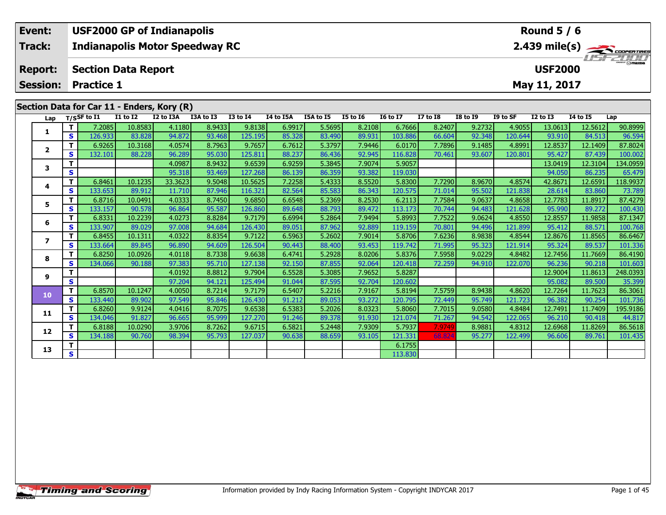|                                            | Event:          |          |                                 |                            | <b>USF2000 GP of Indianapolis</b>     |           |                 | Round $5/6$    |           |                 |                 |                 |                                                                      |          |              |          |         |  |  |  |
|--------------------------------------------|-----------------|----------|---------------------------------|----------------------------|---------------------------------------|-----------|-----------------|----------------|-----------|-----------------|-----------------|-----------------|----------------------------------------------------------------------|----------|--------------|----------|---------|--|--|--|
|                                            | <b>Track:</b>   |          |                                 |                            | <b>Indianapolis Motor Speedway RC</b> |           |                 |                |           |                 |                 |                 | $2.439$ mile(s) $\overbrace{\hspace{2cm}}$ codenances<br>$H = -2011$ |          |              |          |         |  |  |  |
| <b>Report:</b>                             |                 |          |                                 | <b>Section Data Report</b> |                                       |           |                 | <b>USF2000</b> |           |                 |                 |                 |                                                                      |          |              |          |         |  |  |  |
|                                            | <b>Session:</b> |          | <b>Practice 1</b>               |                            |                                       |           |                 |                |           |                 |                 |                 |                                                                      |          | May 11, 2017 |          |         |  |  |  |
| Section Data for Car 11 - Enders, Kory (R) |                 |          |                                 |                            |                                       |           |                 |                |           |                 |                 |                 |                                                                      |          |              |          |         |  |  |  |
|                                            |                 |          | Lap $T/S$ SF to $\overline{11}$ | <b>I1 to I2</b>            | I2 to I3A                             | I3A to I3 | <b>I3 to I4</b> | I4 to I5A      | I5A to I5 | <b>I5 to 16</b> | <b>I6 to I7</b> | <b>I7 to I8</b> | I8 to I9                                                             | I9 to SF | $I2$ to $I3$ | 14 to 15 | Lap     |  |  |  |
|                                            |                 |          | 7.2085                          | 10.8583                    | 4.1180                                | 8.9433    | 9.8138          | 6.9917         | 5.5695    | 8.2108          | 6.7666          | 8.2407          | 9.2732                                                               | 4.9055   | 13.0613      | 12.5612  | 90.8999 |  |  |  |
|                                            |                 | <b>S</b> | 126.9331                        | 83.828                     | 94.872                                | 93.468    | 125.195         | 85.328         | 83.490    | 89.931          | 103.886         | 66.604          | 92.348                                                               | 120.644  | 93.910       | 84.513   | 96.594  |  |  |  |

**<sup>T</sup>** 6.9265 10.3168 4.0574 8.7963 9.7657 6.7612 5.3797 7.9446 6.0170 7.7896 9.1485 4.8991 12.8537 12.1409 87.8024 **<sup>S</sup>** 132.101 88.228 96.289 95.030 125.811 88.237 86.436 92.945 116.828 70.461 93.607 120.801 95.427 87.439 100.002

**<sup>T</sup>** 4.0987 8.9432 9.6539 6.9259 5.3845 7.9074 5.9057 13.0419 12.3104 134.0959 **<sup>S</sup>** 95.318 93.469 127.268 86.139 86.359 93.382 119.030 94.050 86.235 65.479

4 | T | 6.8461 10.1235| 33.3623| 9.5048| 10.5625| 7.2258| 5.4333| 8.5520| 5.8300| 7.7290| 8.9670| 4.8574| 42.8671| 12.6591| 118.9937<br>- S | 133.653| 89.912| 11.710| 87.946| 116.321| 82.564| 85.583| 86.343| 120.575| 71.014|

5 | T | 6.8716| 10.0491| 4.0333| 8.7450| 9.6850| 6.6548| 5.2369| 8.2530| 6.2113| 7.7584| 9.0637| 4.8658| 12.7783| 11.8917| 87.4279<br>| S | 133.157| 90.578| 96.864| 95.587| 126.860| 89.648| 88.793| 89.472| 113.173| 70.744| 94

6 | T | 6.8331 10.2239 4.0273 8.8284 9.7179 6.6994 5.2864 7.9494 5.8993 7.7522 9.0624 4.8550 12.8557 11.9858 87.1347<br>- S 133.907 89.029 97.008 94.684 126.430 89.051 87.962 92.889 119.159 70.801 94.496 121.899 95.412 88.571

7 | T | 6.8455 10.1311 4.0322 8.8354 9.7122 6.5963 5.2602 7.9014 5.8706 7.6236 8.9838 4.8544 12.8676 11.8565 86.6467<br>7 | S | 133.664 89.845 96.890 94.609 126.504 90.443 88.400 93.453 119.742 71.995 95.323 121.914 95.324 89

8 T | 6.8250 10.0926 4.0118 8.7338 9.6638 6.4741 5.2928 8.0206 5.8376 7.5958 9.0229 4.8482 12.7456 11.7669 86.4190<br>- S 134.066 90.188 97.383 95.710 127.138 92.150 87.855 92.064 120.418 72.259 94.910 122.070 96.236 90.218 1

**<sup>T</sup>** 4.0192 8.8812 9.7904 6.5528 5.3085 7.9652 5.8287 12.9004 11.8613 248.0393 **<sup>S</sup>** 97.204 94.121 125.494 91.044 87.595 92.704 120.602 95.082 89.500 35.399

0 T | 6.8570| 10.1247| 4.0050| 8.7214| 9.7179| 6.5407| 5.2216| 7.9167| 5.8194| 7.5759| 8.9438| 4.8620| 12.7264| 11.7623| 86.3061<br>| S | 133.440| 89.902| 97.549| 95.846| 126.430| 91.212| 89.053| 93.272| 120.795| 72.449| 95.7

**<sup>T</sup>** 6.8260 9.9124 4.0416 8.7075 9.6538 6.5383 5.2026 8.0323 5.8060 7.7015 9.0580 4.8484 12.7491 11.7409 195.9186 **<sup>S</sup>** 134.046 91.827 96.665 95.999 127.270 91.246 89.378 91.930 121.074 71.267 94.542 122.065 96.210 90.418 44.817

2 T 6.8188 10.0290 3.9706 8.7262 9.6715 6.5821 5.2448 7.9309 5.7937 7.9749 8.9881 4.8312 12.6968 11.8269 86.5618<br>2 S 134.188 90.760 98.394 95.793 127.037 90.638 88.659 93.105 121.331 68.824 95.277 122.499 96.606 89.761 101

**T S** 173.830<br>**S** 113.830

**2**

**3**

**4**

**5**

**6**

**7**

**8**

**9**

**10**

**11**

**12**

**13**

100.002

73.78

101.336

35.399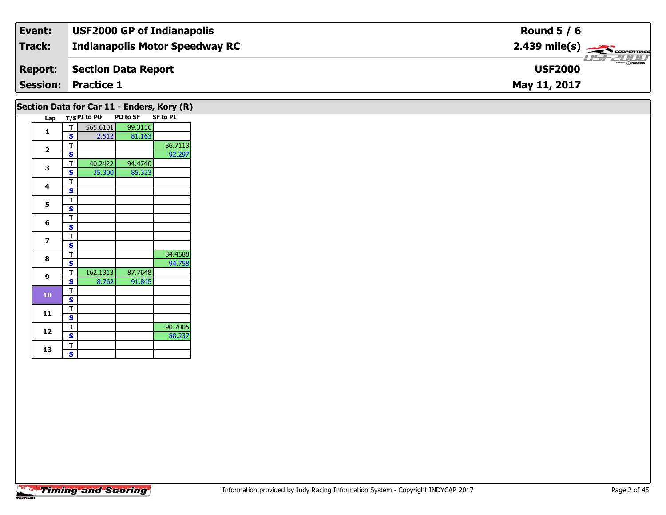| Event:          | <b>USF2000 GP of Indianapolis</b>     | Round $5/6$                                                                                                                                                                                                                                                                                                                                                                                                                                                                                       |
|-----------------|---------------------------------------|---------------------------------------------------------------------------------------------------------------------------------------------------------------------------------------------------------------------------------------------------------------------------------------------------------------------------------------------------------------------------------------------------------------------------------------------------------------------------------------------------|
| Track:          | <b>Indianapolis Motor Speedway RC</b> | $2.439$ mile(s) $\rightarrow$ Coorer These                                                                                                                                                                                                                                                                                                                                                                                                                                                        |
| <b>Report:</b>  | Section Data Report                   | $\overline{\phantom{a}}$ $\overline{\phantom{a}}$ $\overline{\phantom{a}}$ $\overline{\phantom{a}}$ $\overline{\phantom{a}}$ $\overline{\phantom{a}}$ $\overline{\phantom{a}}$ $\overline{\phantom{a}}$ $\overline{\phantom{a}}$ $\overline{\phantom{a}}$ $\overline{\phantom{a}}$ $\overline{\phantom{a}}$ $\overline{\phantom{a}}$ $\overline{\phantom{a}}$ $\overline{\phantom{a}}$ $\overline{\phantom{a}}$ $\overline{\phantom{a}}$ $\overline{\phantom{a}}$ $\overline{\$<br><b>USF2000</b> |
| <b>Session:</b> | <b>Practice 1</b>                     | May 11, 2017                                                                                                                                                                                                                                                                                                                                                                                                                                                                                      |

|                         |        |             |          | Section Data for Car 11 - Enders, Kory (R) |  |
|-------------------------|--------|-------------|----------|--------------------------------------------|--|
| Lap                     |        | T/SPI to PO | PO to SF | <b>SF to PI</b>                            |  |
| 1                       | т      | 565.6101    | 99.3156  |                                            |  |
|                         | S      | 2.512       | 81.163   |                                            |  |
| $\overline{\mathbf{2}}$ | т      |             |          | 86.7113                                    |  |
|                         | S      |             |          | 92.297                                     |  |
| 3                       | т      | 40.2422     | 94.4740  |                                            |  |
|                         | S      | 35.300      | 85.323   |                                            |  |
| 4                       | т      |             |          |                                            |  |
|                         | S      |             |          |                                            |  |
| 5                       | т      |             |          |                                            |  |
|                         | S      |             |          |                                            |  |
| 6                       | т      |             |          |                                            |  |
|                         | S      |             |          |                                            |  |
| 7                       | т      |             |          |                                            |  |
|                         | S      |             |          |                                            |  |
| 8                       | т<br>S |             |          | 84.4588                                    |  |
|                         | т      | 162.1313    | 87.7648  | 94.758                                     |  |
| 9                       | S      | 8.762       | 91.845   |                                            |  |
|                         | T      |             |          |                                            |  |
| 10                      | S      |             |          |                                            |  |
|                         | т      |             |          |                                            |  |
| 11                      | S      |             |          |                                            |  |
|                         | т      |             |          | 90.7005                                    |  |
| 12                      | S      |             |          | 88.237                                     |  |
|                         | т      |             |          |                                            |  |
| 13                      | S      |             |          |                                            |  |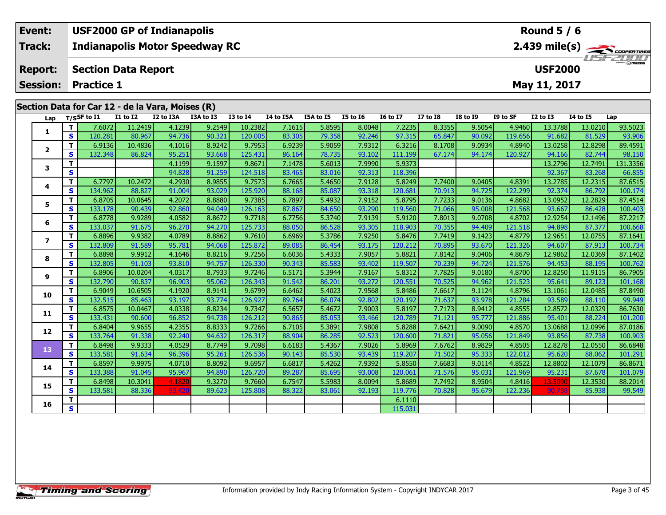| Event:         | <b>USF2000 GP of Indianapolis</b>                | Round $5/6$                                |
|----------------|--------------------------------------------------|--------------------------------------------|
| Track:         | <b>Indianapolis Motor Speedway RC</b>            | $2.439$ mile(s) $\rightarrow$ COOPER TIRES |
| <b>Report:</b> | Section Data Report                              | <b>USF2000</b>                             |
|                | <b>Session: Practice 1</b>                       | May 11, 2017                               |
|                | Section Data for Car 12 - de la Vara, Moises (R) |                                            |

|  | Lap          |              | T/SSF to I1 | <b>I1 to I2</b> | I2 to I3A | I3A to I3 | <b>I3 to I4</b> | I4 to I5A | I5A to I5 | <b>I5 to 16</b> | <b>16 to 17</b> | <b>I7 to I8</b> | <b>I8 to I9</b> | I9 to SF | <b>I2 to I3</b> | 14 to 15 | Lap      |
|--|--------------|--------------|-------------|-----------------|-----------|-----------|-----------------|-----------|-----------|-----------------|-----------------|-----------------|-----------------|----------|-----------------|----------|----------|
|  |              | T.           | 7.6072      | 11.2419         | 4.1239    | 9.2549    | 10.2382         | 7.1615    | 5.8595    | 8.0048          | 7.2235          | 8.3355          | 9.5054          | 4.9460   | 13.3788         | 13.0210  | 93.5023  |
|  | 1            | $\mathbf{s}$ | 120.281     | 80.967          | 94.736    | 90.321    | 120.005         | 83.305    | 79.358    | 92.246          | 97.315          | 65.847          | 90.092          | 119.656  | 91.682          | 81.529   | 93.906   |
|  |              | T.           | 6.9136      | 10.4836         | 4.1016    | 8.9242    | 9.7953          | 6.9239    | 5.9059    | 7.9312          | 6.3216          | 8.1708          | 9.0934          | 4.8940   | 13.0258         | 12.8298  | 89.4591  |
|  | $\mathbf{2}$ | S            | 132.348     | 86.824          | 95.251    | 93.668    | 125.431         | 86.164    | 78.735    | 93.102          | 111.199         | 67.174          | 94.174          | 120.927  | 94.166          | 82.744   | 98.150   |
|  | 3            | т            |             |                 | 4.1199    | 9.1597    | 9.8671          | 7.1478    | 5.6013    | 7.9990          | 5.9373          |                 |                 |          | 13.2796         | 12.7491  | 131.3356 |
|  |              | $\mathbf{s}$ |             |                 | 94.828    | 91.259    | 124.518         | 83.465    | 83.016    | 92.313          | 118.396         |                 |                 |          | 92.367          | 83.268   | 66.855   |
|  | 4            | T.           | 6.7797      | 10.2472         | 4.2930    | 8.9855    | 9.7573          | 6.7665    | 5.4650    | 7.9128          | 5.8249          | 7.7400          | 9.0405          | 4.8391   | 13.2785         | 12.2315  | 87.6515  |
|  |              | <b>S</b>     | 134.962     | 88.827          | 91.004    | 93.029    | 125.920         | 88.168    | 85.087    | 93.318          | 120.681         | 70.913          | 94.725          | 122.299  | 92.374          | 86.792   | 100.174  |
|  | 5            | T.           | 6.8705      | 10.0645         | 4.2072    | 8.8880    | 9.7385          | 6.7897    | 5.4932    | 7.9152          | 5.8795          | 7.7233          | 9.0136          | 4.8682   | 13.0952         | 12.2829  | 87.4514  |
|  |              | S            | 133.178     | 90.439          | 92.860    | 94.049    | 126.163         | 87.867    | 84.650    | 93.290          | 119.560         | 71.066          | 95.008          | 121.568  | 93.667          | 86.428   | 100.403  |
|  | 6            | T.           | 6.8778      | 9.9289          | 4.0582    | 8.8672    | 9.7718          | 6.7756    | 5.3740    | 7.9139          | 5.9120          | 7.8013          | 9.0708          | 4.8702   | 12.9254         | 12.1496  | 87.2217  |
|  |              | S            | 133.037     | 91.675          | 96.270    | 94.270    | 125.733         | 88.050    | 86.528    | 93.305          | 118.903         | 70.355          | 94.409          | 121.518  | 94.898          | 87.377   | 100.668  |
|  | 7            | T.           | 6.8896      | 9.9382          | 4.0789    | 8.8862    | 9.7610          | 6.6969    | 5.3786    | 7.9250          | 5.8476          | 7.7419          | 9.1423          | 4.8779   | 12.9651         | 12.0755  | 87.1641  |
|  |              | $\mathbf{s}$ | 132.809     | 91.589          | 95.781    | 94.068    | 125.872         | 89.085    | 86.454    | 93.175          | 120.212         | 70.895          | 93.670          | 121.326  | 94.607          | 87.913   | 100.734  |
|  | 8            | T.           | 6.8898      | 9.9912          | 4.1646    | 8.8216    | 9.7256          | 6.6036    | 5.4333    | 7.9057          | 5.8821          | 7.8142          | 9.0406          | 4.8679   | 12.9862         | 12.0369  | 87.1402  |
|  |              | $\mathbf{s}$ | 132.805     | 91.103          | 93.810    | 94.757    | 126.330         | 90.343    | 85.583    | 93.402          | 119.507         | 70.239          | 94.724          | 121.576  | 94.453          | 88.195   | 100.762  |
|  | 9            | Т            | 6.8906      | 10.0204         | 4.0317    | 8.7933    | 9.7246          | 6.5171    | 5.3944    | 7.9167          | 5.8312          | 7.7825          | 9.0180          | 4.8700   | 12.8250         | 11.9115  | 86.7905  |
|  |              | $\mathbf{s}$ | 132.790     | 90.837          | 96.903    | 95.062    | 126.343         | 91.542    | 86.201    | 93.272          | 120.551         | 70.525          | 94.962          | 121.523  | 95.641          | 89.123   | 101.168  |
|  | 10           | T.           | 6.9049      | 10.6505         | 4.1920    | 8.9141    | 9.6799          | 6.6462    | 5.4023    | 7.9568          | 5.8486          | 7.6617          | 9.1124          | 4.8796   | 13.1061         | 12.0485  | 87.8490  |
|  |              | $\mathbf{s}$ | 132.515     | 85.463          | 93.197    | 93.774    | 126.927         | 89.764    | 86.074    | 92.802          | 120.192         | 71.637          | 93.978          | 121.284  | 93.589          | 88.110   | 99.949   |
|  | 11           | T.           | 6.8575      | 10.0467         | 4.0338    | 8.8234    | 9.7347          | 6.5657    | 5.4672    | 7.9003          | 5.8197          | 7.7173          | 8.9412          | 4.8555   | 12.8572         | 12.0329  | 86.7630  |
|  |              | S            | 133.431     | 90.600          | 96.852    | 94.738    | 126.212         | 90.865    | 85.053    | 93.466          | 120.789         | 71.121          | 95.777          | 121.886  | 95.401          | 88.224   | 101.200  |
|  | 12           | T.           | 6.8404      | 9.9655          | 4.2355    | 8.8333    | 9.7266          | 6.7105    | 5.3891    | 7.9808          | 5.8288          | 7.6421          | 9.0090          | 4.8570   | 13.0688         | 12.0996  | 87.0186  |
|  |              | S            | 133.764     | 91.338          | 92.240    | 94.632    | 126.317         | 88.904    | 86.285    | 92.523          | 120.600         | 71.821          | 95.056          | 121.849  | 93.856          | 87.738   | 100.903  |
|  | 13           | T.           | 6.8498      | 9.9333          | 4.0529    | 8.7749    | 9.7098          | 6.6183    | 5.4367    | 7.9026          | 5.8969          | 7.6762          | 8.9829          | 4.8505   | 12.8278         | 12.0550  | 86.6848  |
|  |              | S            | 133.581     | 91.634          | 96.396    | 95.261    | 126.536         | 90.143    | 85.530    | 93.439          | 119.207         | 71.502          | 95.333          | 122.012  | 95.620          | 88.062   | 101.291  |
|  | 14           | T.           | 6.8597      | 9.9975          | 4.0710    | 8.8092    | 9.6957          | 6.6817    | 5.4262    | 7.9392          | 5.8550          | 7.6683          | 9.0114          | 4.8522   | 12.8802         | 12.1079  | 86.8671  |
|  |              | S            | 133.388     | 91.045          | 95.967    | 94.890    | 126.720         | 89.287    | 85.695    | 93.008          | 120.061         | 71.576          | 95.031          | 121.969  | 95.231          | 87.678   | 101.079  |
|  | 15           | T.           | 6.8498      | 10.3041         | 4.1820    | 9.3270    | 9.7660          | 6.7547    | 5.5983    | 8.0094          | 5.8689          | 7.7492          | 8.9504          | 4.8416   | 13.5090         | 12.3530  | 88.2014  |
|  |              | $\mathbf{s}$ | 133.581     | 88.336          | 93.420    | 89.623    | 125.808         | 88.322    | 83.061    | 92.193          | 119.776         | 70.828          | 95.679          | 122.236  | 90.79           | 85.938   | 99.549   |
|  | 16           | т            |             |                 |           |           |                 |           |           |                 | 6.1110          |                 |                 |          |                 |          |          |
|  |              | S            |             |                 |           |           |                 |           |           |                 | 115.031         |                 |                 |          |                 |          |          |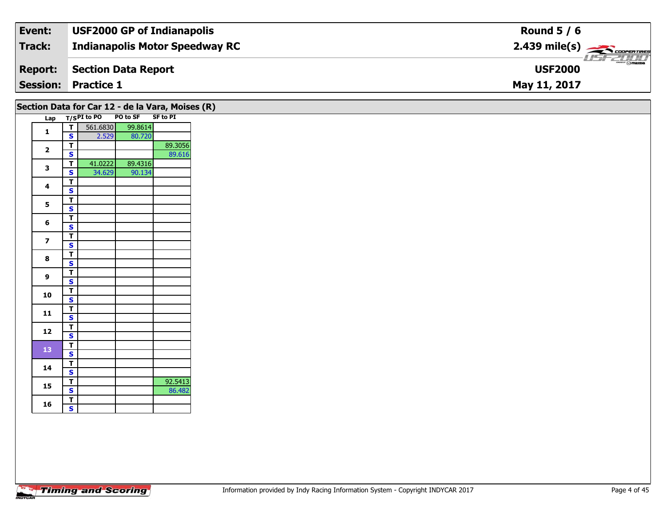| Event:         | <b>USF2000 GP of Indianapolis</b>     | Round $5/6$                                |
|----------------|---------------------------------------|--------------------------------------------|
| Track:         | <b>Indianapolis Motor Speedway RC</b> | $2.439$ mile(s) $\frac{1}{2.5600}$         |
| <b>Report:</b> | Section Data Report                   | $\frac{1}{\Theta}$ mazpa<br><b>USF2000</b> |
|                | <b>Session: Practice 1</b>            | May 11, 2017                               |

| $\overline{\mathsf{r}}$<br>$\mathbf{1}$<br>$\mathbf{s}$<br>$\overline{t}$<br>$\overline{\mathbf{2}}$<br>$\mathbf{s}$<br>$\overline{\mathsf{r}}$<br>$\mathbf{3}$<br>$\overline{\mathbf{s}}$<br>$\overline{\mathsf{T}}$<br>4<br>$\mathbf{s}$<br>$\overline{t}$<br>$\overline{\mathbf{5}}$<br>$\overline{\mathbf{s}}$<br>$rac{1}{s}$<br>6<br>$\overline{\mathsf{r}}$<br>$\overline{\mathbf{z}}$<br>$\overline{\mathbf{s}}$<br>$\overline{r}$<br>8<br>$\overline{\mathbf{s}}$<br>$rac{1}{s}$<br>$\mathbf{9}$<br>$\overline{t}$<br>10<br>$\overline{\mathbf{s}}$<br>$\overline{T}$<br>11<br>$\mathbf{s}$<br>$\overline{\mathbf{r}}$<br>12<br>$\overline{\mathbf{s}}$<br>$\overline{\mathsf{T}}$<br>13<br>$\mathbf{s}$<br>$\overline{\mathsf{r}}$<br>14<br>$\overline{\mathbf{s}}$<br>$\overline{\mathbf{r}}$<br>15<br>$\overline{\mathbf{s}}$ | Lap T/SPI to PO |        | PO to SF | SF to PI |
|------------------------------------------------------------------------------------------------------------------------------------------------------------------------------------------------------------------------------------------------------------------------------------------------------------------------------------------------------------------------------------------------------------------------------------------------------------------------------------------------------------------------------------------------------------------------------------------------------------------------------------------------------------------------------------------------------------------------------------------------------------------------------------------------------------------------------------------|-----------------|--------|----------|----------|
|                                                                                                                                                                                                                                                                                                                                                                                                                                                                                                                                                                                                                                                                                                                                                                                                                                          | 561.6830        |        | 99.8614  |          |
|                                                                                                                                                                                                                                                                                                                                                                                                                                                                                                                                                                                                                                                                                                                                                                                                                                          |                 | 2.529  | 80.720   |          |
|                                                                                                                                                                                                                                                                                                                                                                                                                                                                                                                                                                                                                                                                                                                                                                                                                                          |                 |        |          | 89.3056  |
|                                                                                                                                                                                                                                                                                                                                                                                                                                                                                                                                                                                                                                                                                                                                                                                                                                          |                 |        |          | 89.616   |
|                                                                                                                                                                                                                                                                                                                                                                                                                                                                                                                                                                                                                                                                                                                                                                                                                                          | 41.0222         |        | 89.4316  |          |
|                                                                                                                                                                                                                                                                                                                                                                                                                                                                                                                                                                                                                                                                                                                                                                                                                                          |                 | 34.629 | 90.134   |          |
|                                                                                                                                                                                                                                                                                                                                                                                                                                                                                                                                                                                                                                                                                                                                                                                                                                          |                 |        |          |          |
|                                                                                                                                                                                                                                                                                                                                                                                                                                                                                                                                                                                                                                                                                                                                                                                                                                          |                 |        |          |          |
|                                                                                                                                                                                                                                                                                                                                                                                                                                                                                                                                                                                                                                                                                                                                                                                                                                          |                 |        |          |          |
|                                                                                                                                                                                                                                                                                                                                                                                                                                                                                                                                                                                                                                                                                                                                                                                                                                          |                 |        |          |          |
|                                                                                                                                                                                                                                                                                                                                                                                                                                                                                                                                                                                                                                                                                                                                                                                                                                          |                 |        |          |          |
|                                                                                                                                                                                                                                                                                                                                                                                                                                                                                                                                                                                                                                                                                                                                                                                                                                          |                 |        |          |          |
|                                                                                                                                                                                                                                                                                                                                                                                                                                                                                                                                                                                                                                                                                                                                                                                                                                          |                 |        |          |          |
|                                                                                                                                                                                                                                                                                                                                                                                                                                                                                                                                                                                                                                                                                                                                                                                                                                          |                 |        |          |          |
|                                                                                                                                                                                                                                                                                                                                                                                                                                                                                                                                                                                                                                                                                                                                                                                                                                          |                 |        |          |          |
|                                                                                                                                                                                                                                                                                                                                                                                                                                                                                                                                                                                                                                                                                                                                                                                                                                          |                 |        |          |          |
|                                                                                                                                                                                                                                                                                                                                                                                                                                                                                                                                                                                                                                                                                                                                                                                                                                          |                 |        |          |          |
|                                                                                                                                                                                                                                                                                                                                                                                                                                                                                                                                                                                                                                                                                                                                                                                                                                          |                 |        |          |          |
|                                                                                                                                                                                                                                                                                                                                                                                                                                                                                                                                                                                                                                                                                                                                                                                                                                          |                 |        |          |          |
|                                                                                                                                                                                                                                                                                                                                                                                                                                                                                                                                                                                                                                                                                                                                                                                                                                          |                 |        |          |          |
|                                                                                                                                                                                                                                                                                                                                                                                                                                                                                                                                                                                                                                                                                                                                                                                                                                          |                 |        |          |          |
|                                                                                                                                                                                                                                                                                                                                                                                                                                                                                                                                                                                                                                                                                                                                                                                                                                          |                 |        |          |          |
|                                                                                                                                                                                                                                                                                                                                                                                                                                                                                                                                                                                                                                                                                                                                                                                                                                          |                 |        |          |          |
|                                                                                                                                                                                                                                                                                                                                                                                                                                                                                                                                                                                                                                                                                                                                                                                                                                          |                 |        |          |          |
|                                                                                                                                                                                                                                                                                                                                                                                                                                                                                                                                                                                                                                                                                                                                                                                                                                          |                 |        |          |          |
|                                                                                                                                                                                                                                                                                                                                                                                                                                                                                                                                                                                                                                                                                                                                                                                                                                          |                 |        |          |          |
|                                                                                                                                                                                                                                                                                                                                                                                                                                                                                                                                                                                                                                                                                                                                                                                                                                          |                 |        |          |          |
|                                                                                                                                                                                                                                                                                                                                                                                                                                                                                                                                                                                                                                                                                                                                                                                                                                          |                 |        |          |          |
|                                                                                                                                                                                                                                                                                                                                                                                                                                                                                                                                                                                                                                                                                                                                                                                                                                          |                 |        |          | 92.5413  |
|                                                                                                                                                                                                                                                                                                                                                                                                                                                                                                                                                                                                                                                                                                                                                                                                                                          |                 |        |          | 86.482   |
| $\overline{\mathbf{r}}$                                                                                                                                                                                                                                                                                                                                                                                                                                                                                                                                                                                                                                                                                                                                                                                                                  |                 |        |          |          |
| 16<br>$\overline{\mathbf{s}}$                                                                                                                                                                                                                                                                                                                                                                                                                                                                                                                                                                                                                                                                                                                                                                                                            |                 |        |          |          |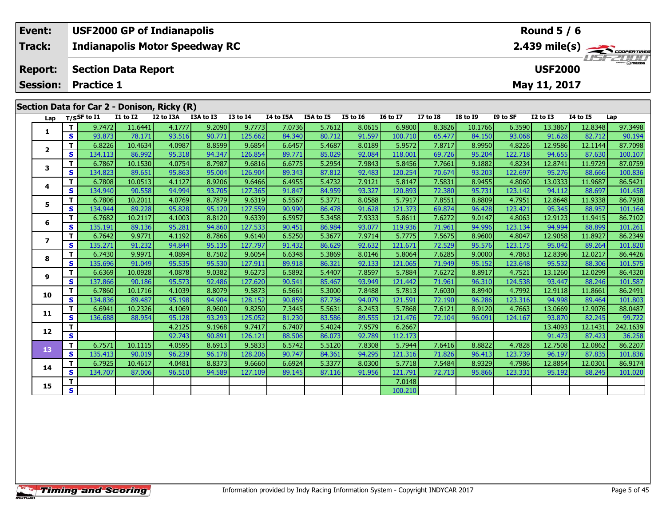|                                             | Event:                  |    |                                   |                 | <b>USF2000 GP of Indianapolis</b>     |           |                 |                |           |                 |                 |                 | Round $5/6$                                                  |          |              |                 |         |  |  |
|---------------------------------------------|-------------------------|----|-----------------------------------|-----------------|---------------------------------------|-----------|-----------------|----------------|-----------|-----------------|-----------------|-----------------|--------------------------------------------------------------|----------|--------------|-----------------|---------|--|--|
|                                             | Track:                  |    |                                   |                 | <b>Indianapolis Motor Speedway RC</b> |           |                 |                |           |                 |                 |                 | $2.439$ mile(s) $\rightarrow$ Cooren Times<br><b>HSFZUID</b> |          |              |                 |         |  |  |
|                                             | <b>Report:</b>          |    | <b>Section Data Report</b>        |                 |                                       |           |                 | <b>USF2000</b> |           |                 |                 |                 |                                                              |          |              |                 |         |  |  |
|                                             | <b>Session:</b>         |    | <b>Practice 1</b><br>May 11, 2017 |                 |                                       |           |                 |                |           |                 |                 |                 |                                                              |          |              |                 |         |  |  |
| Section Data for Car 2 - Donison, Ricky (R) |                         |    |                                   |                 |                                       |           |                 |                |           |                 |                 |                 |                                                              |          |              |                 |         |  |  |
|                                             | Lap                     |    | $T/S$ SF to I1                    | <b>I1 to I2</b> | I2 to I3A                             | I3A to I3 | <b>I3 to I4</b> | I4 to I5A      | I5A to I5 | <b>I5 to 16</b> | <b>I6 to I7</b> | <b>I7 to I8</b> | <b>I8 to I9</b>                                              | I9 to SF | $I2$ to $I3$ | <b>I4 to I5</b> | Lap     |  |  |
|                                             |                         |    | 9.7472                            | 11.6441         | 4.1777                                | 9.2090    | 9.7773          | 7.0736         | 5.7612    | 8.0615          | 6.9800          | 8.3826          | 10.1766                                                      | 6.3590   | 13.3867      | 12.8348         | 97.3498 |  |  |
|                                             |                         | S. | 93.873                            | 78.171          | 93.516                                | 90.771    | 125.662         | 84.340         | 80.712    | 91.597          | 100.710         | 65.477          | 84.150                                                       | 93.068   | 91.628       | 82.712          | 90.194  |  |  |
|                                             | $\overline{\mathbf{2}}$ |    | 6.8226                            | 10.4634         | 4.0987                                | 8.8599    | 9.6854          | 6.6457         | 5.4687    | 8.0189          | 5.9572          | 7.8717          | 8.9950                                                       | 4.8226   | 12.9586      | 12.1144         | 87.7098 |  |  |
|                                             |                         | s  | 134.113                           | 86.992          | 95.318                                | 94.347    | 126.854         | 89.771         | 85.029    | 92.084          | 118.001         | 69.726          | 95.204                                                       | 122.718  | 94.655       | 87.630          | 100.107 |  |  |

3 T | 6.7867 10.1530 4.0754 8.7987 9.6816 6.6775 5.2954 7.9843 5.8456 7.7661 9.1882 4.8234 12.8741 11.9729 87.0759<br>S | S 134.823 89.651 95.863 95.004 126.904 89.343 87.812 92.483 120.254 70.674 93.203 122.697 95.276 88.666

4 | T | 6.7808| 10.0513| 4.1127| 8.9206| 9.6466| 6.4955| 5.4732| 7.9121| 5.8147| 7.5831| 8.9455| 4.8060| 13.0333| 11.9687| 86.5421<br>- S | 134.940| 90.558| 94.994| 93.705| 127.365| 91.847| 84.959| 93.327| 120.893| 72.380| 95

5 | T | 6.7806| 10.2011| 4.0769| 8.7879| 9.6319| 6.5567| 5.3771| 8.0588| 5.7917| 7.8551| 8.8809| 4.7951| 12.8648| 11.9338| 86.7938<br>| S | 134.944| 89.228| 95.828| 95.120| 127.559| 90.990| 86.478| 91.628| 121.373| 69.874| 96

6 | T | 6.7682 10.2117| 4.1003| 8.8120| 9.6339| 6.5957| 5.3458| 7.9333| 5.8611| 7.6272| 9.0147| 4.8063| 12.9123| 11.9415| 86.7102<br>| S | 135.191| 89.136| 95.281| 94.860| 127.533| 90.451| 86.984| 93.077| 119.936| 71.961| 94.

7 | T | 6.7642| 9.9771| 4.1192| 8.7866| 9.6140| 6.5250| 5.3677| 7.9714| 5.7775| 7.5675| 8.9600| 4.8047| 12.9058| 11.8927| 86.2349<br>7 | S | 135.271 | 91.232 | 94.844| 95.135| 127.797| 91.432| 86.629| 92.632| 121.671| 72.529|

8 T | 6.7430 9.9971 4.0894 8.7502 9.6054 6.6348 5.3869 8.0146 5.8064 7.6285 9.0000 4.7863 12.8396 12.0217 86.4426<br>8 S 135.696 91.049 95.535 95.530 127.911 89.918 86.321 92.133 121.065 71.949 95.152 123.648 95.532 88.306 10

1 13.1260| 10.0928| 4.0878| 9.0382| 9.6273| 6.5892| 5.4407| 7.8597| 5.7884| 7.6272| 8.8917| 4.7521| 13.1260| 12.0299| 86.4320<br>S | 137.866| 90.186| 95.573| 92.486| 127.620| 90.541| 85.467| 93.949| 121.442| 71.961| 96.310|

0 T 6.7860 10.1716 4.1039 8.8079 9.5873 6.5661 5.3000 7.8488 5.7813 7.6030 8.8940 4.7992 12.9118 11.8661 86.2491<br>S 134.836 89.487 95.198 94.904 128.152 90.859 87.736 94.079 121.591 72.190 96.286 123.316 94.998 89.464 101.8

1 | T | 6.6941 10.2326 4.1069 8.9600 9.8250 7.3445 5.5631 8.2453 5.7868 7.6121 8.9120 4.7663 13.0669 12.9076 88.0487<br>1 | S 136.688 88.954 95.128 93.293 125.052 81.230 83.586 89.555 121.476 72.104 96.091 124.167 93.870 82.2

**<sup>T</sup>** 4.2125 9.1968 9.7417 6.7407 5.4024 7.9579 6.2667 13.4093 12.1431 242.1639 **<sup>S</sup>** 92.743 90.891 126.121 88.506 86.073 92.789 112.173 91.473 87.423 36.258

3 T 6.7571 10.1115 4.0595 8.6913 9.5833 6.5742 5.5120 7.8308 5.7944 7.6416 8.8822 4.7828 12.7508 12.0862 86.2207<br>S 135.413 90.019 96.239 96.178 128.206 90.747 84.361 94.295 121.316 71.826 96.413 123.739 96.197 87.835 101.8

4 T 6.7925 10.4617 4.0481 8.8373 9.6660 6.6924 5.3377 8.0300 5.7718 7.5484 8.9329 4.7986 12.8854 12.0301 86.9174<br>S 134.707 87.006 96.510 94.589 127.109 89.145 87.116 91.956 121.791 72.713 95.866 123.331 95.192 88.245 101.0

**T** 7.0148 **S** 1

|  |  |  |  | <b>Timing and Scoring</b> |  |
|--|--|--|--|---------------------------|--|
|--|--|--|--|---------------------------|--|

**3**

**4**

**5**

**6**

**7**

**8**

**9**

**10**

**11**

**12**

**13**

**14**

**15**

100.107

101.458

101.820

101.587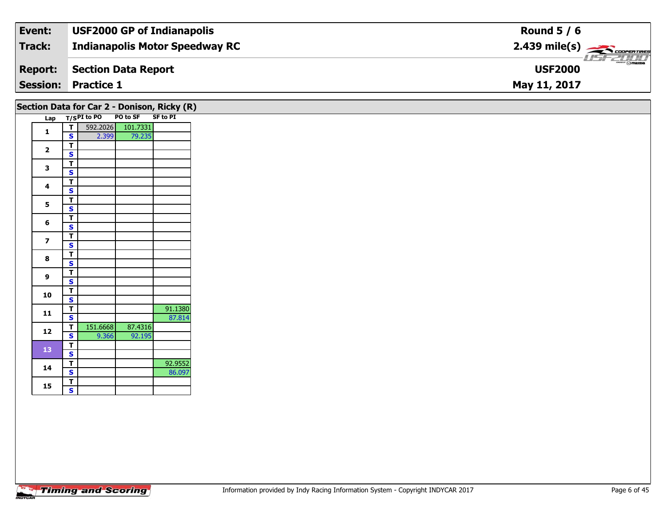| Event:         | <b>USF2000 GP of Indianapolis</b>     | Round $5/6$                                            |
|----------------|---------------------------------------|--------------------------------------------------------|
| Track:         | <b>Indianapolis Motor Speedway RC</b> | $2.439$ mile(s) $\overbrace{\hspace{2cm}}$ coorerrings |
| <b>Report:</b> | Section Data Report                   | $mmm$ $\odot$ mazna<br><b>USF2000</b>                  |
|                | <b>Session: Practice 1</b>            | May 11, 2017                                           |

|                         |                         |                 | Section Data for Car 2 - Donison, Ricky (R) |                 |
|-------------------------|-------------------------|-----------------|---------------------------------------------|-----------------|
|                         |                         | Lap T/SPI to PO | PO to SF                                    | <b>SF to PI</b> |
| $\mathbf{1}$            | $\tau$                  |                 | 592.2026 101.7331                           |                 |
|                         | $\mathbf{s}$            | 2.399           | 79.235                                      |                 |
| $\overline{\mathbf{2}}$ | $\blacksquare$          |                 |                                             |                 |
|                         | $\overline{\mathbf{s}}$ |                 |                                             |                 |
| $\mathbf{3}$            | $\overline{T}$          |                 |                                             |                 |
|                         | $\mathbf{s}$            |                 |                                             |                 |
| 4                       | $\overline{1}$          |                 |                                             |                 |
|                         | $\overline{\mathbf{s}}$ |                 |                                             |                 |
| $5\phantom{.0}$         | $\mathsf{T}$            |                 |                                             |                 |
|                         | $\overline{\mathbf{s}}$ |                 |                                             |                 |
|                         | $\mathbf T$             |                 |                                             |                 |
| 6                       | $\overline{\mathbf{s}}$ |                 |                                             |                 |
|                         | $\overline{1}$          |                 |                                             |                 |
| $\overline{\mathbf{z}}$ | $\overline{\mathbf{s}}$ |                 |                                             |                 |
|                         | $\overline{T}$          |                 |                                             |                 |
| $\bf{8}$                | $\mathbf{s}$            |                 |                                             |                 |
|                         | $\overline{\mathsf{T}}$ |                 |                                             |                 |
| $\mathbf{9}$            | $\mathbf{s}$            |                 |                                             |                 |
|                         | $\overline{\mathsf{T}}$ |                 |                                             |                 |
| 10                      | $\overline{\mathbf{s}}$ |                 |                                             |                 |
|                         | $\blacksquare$          |                 |                                             | 91.1380         |
| $\mathbf{11}$           | $\overline{\mathbf{s}}$ |                 |                                             | 87.814          |
|                         | $\mathbf{T}$            | 151.6668        | 87.4316                                     |                 |
| 12                      | $\mathbf{s}$            | 9.366           | 92.195                                      |                 |
|                         | T                       |                 |                                             |                 |
| 13                      | $\overline{\mathbf{s}}$ |                 |                                             |                 |
|                         | $\overline{I}$          |                 |                                             | 92.9552         |
| 14                      | $\mathbf{s}$            |                 |                                             | 86.097          |
|                         | $\blacksquare$          |                 |                                             |                 |
| 15                      | $\overline{\mathbf{s}}$ |                 |                                             |                 |
|                         |                         |                 |                                             |                 |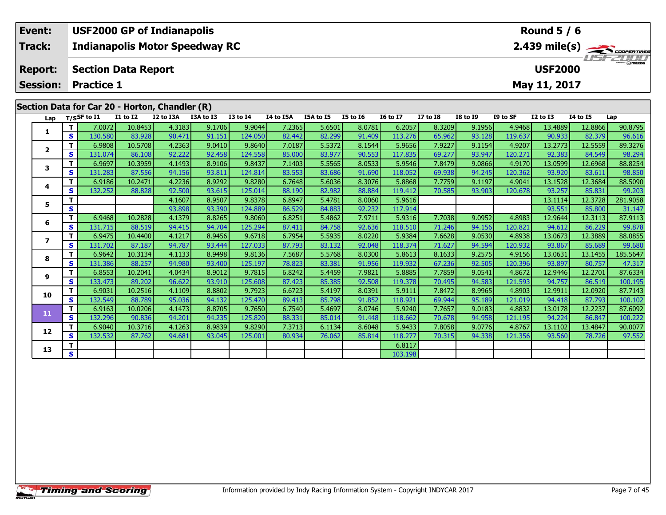|                                                | Event:          |                       | <b>USF2000 GP of Indianapolis</b>     |           |           |                 |                |           |                   |                 |                       | Round $5/6$     |          |                 |                |         |  |  |
|------------------------------------------------|-----------------|-----------------------|---------------------------------------|-----------|-----------|-----------------|----------------|-----------|-------------------|-----------------|-----------------------|-----------------|----------|-----------------|----------------|---------|--|--|
|                                                | <b>Track:</b>   |                       | <b>Indianapolis Motor Speedway RC</b> |           |           |                 |                |           |                   |                 |                       | <b>LISFZOOD</b> |          |                 |                |         |  |  |
|                                                | <b>Report:</b>  |                       | <b>Section Data Report</b>            |           |           |                 | <b>USF2000</b> |           |                   |                 |                       |                 |          |                 |                |         |  |  |
|                                                | <b>Session:</b> | <b>Practice 1</b>     |                                       |           |           |                 |                |           |                   |                 |                       |                 |          | May 11, 2017    |                |         |  |  |
| Section Data for Car 20 - Horton, Chandler (R) |                 |                       |                                       |           |           |                 |                |           |                   |                 |                       |                 |          |                 |                |         |  |  |
|                                                | Lap             | $_{\rm T/SS}$ F to I1 | <b>I1 to I2</b>                       | I2 to I3A | I3A to I3 | <b>I3 to I4</b> | I4 to I5A      | I5A to I5 | <b>I5 to 16</b>   | <b>I6 to I7</b> | $I7$ to $I8$          | <b>I8 to I9</b> | I9 to SF | <b>I2 to I3</b> | 14 to 15       | Lap     |  |  |
|                                                |                 | 7.0072                | 10.8453                               | 4.3183    | 9.1706    | 9.9044          | 7.2365         | 5.6501    | 8.0781            | 6.2057          | 8.3209                | 9.1956          | 4.9468   | 13.4889         | 12.8866        | 90.8795 |  |  |
|                                                |                 | $120$ con             | <u>loo oo co</u>                      | 00.471    | 01151     | 1240E0          | 02AB           | ാ ാവി     | $01 \text{ and }$ | 112.274         | <b><i>CE OCOL</i></b> | 02,120          | 110.627  | nn noo L        | <u>נחדר רס</u> | OCG1C   |  |  |

| 1            |              | 7.0072  | 10.8453 | 4.31831 | 9.1706 | 9.9044  | 7.23651 | 5.6501 | 8.0781 | 6.2057  | 8.32091 | 9.1956 | 4.9468  | 13.48891 | 12.88661 | 90.8795  |
|--------------|--------------|---------|---------|---------|--------|---------|---------|--------|--------|---------|---------|--------|---------|----------|----------|----------|
|              | S            | 130.580 | 83.928  | 90.471  | 91.151 | 124.050 | 82.442  | 82.299 | 91.409 | 113.276 | 65.962  | 93.128 | 119.637 | 90.933   | 82.379   | 96.616   |
| $\mathbf{2}$ |              | 6.9808  | 10.5708 | 4.2363  | 9.0410 | 9.8640  | 7.0187  | 5.5372 | 8.1544 | 5.9656  | 7.9227  | 9.1154 | 4.9207  | 13.2773  | 12.5559  | 89.3276  |
|              | S            | 131.074 | 86.108  | 92.222  | 92.458 | 124.558 | 85.000  | 83.977 | 90.553 | 117.835 | 69.277  | 93.947 | 120.271 | 92.383   | 84.549   | 98.294   |
| 3            | т            | 6.9697  | 10.3959 | 4.1493  | 8.9106 | 9.8437  | 7.1403  | 5.5565 | 8.0533 | 5.9546  | 7.8479  | 9.0866 | 4.9170  | 13.0599  | 12.6968  | 88.8254  |
|              | S            | 131.283 | 87.556  | 94.156  | 93.811 | 124.814 | 83.553  | 83.686 | 91.690 | 118.052 | 69.938  | 94.245 | 120.362 | 93.920   | 83.611   | 98.850   |
| 4            | т            | 6.9186  | 10.2471 | 4.2236  | 8.9292 | 9.8280  | 6.7648  | 5.6036 | 8.3076 | 5.8868  | 7.7759  | 9.1197 | 4.9041  | 13.1528  | 12.3684  | 88.5090  |
|              | S            | 132.252 | 88.828  | 92.500  | 93.615 | 125.014 | 88.190  | 82.982 | 88.884 | 119.412 | 70.585  | 93.903 | 120.678 | 93.257   | 85.831   | 99.203   |
| 5            | т            |         |         | 4.1607  | 8.9507 | 9.8378  | 6.8947  | 5.4781 | 8.0060 | 5.9616  |         |        |         | 13.1114  | 12.3728  | 281.9058 |
|              | S            |         |         | 93.898  | 93.390 | 124.889 | 86.529  | 84.883 | 92.232 | 117.914 |         |        |         | 93.551   | 85.800   | 31.147   |
| 6            | т            | 6.9468  | 10.2828 | 4.1379  | 8.8265 | 9.8060  | 6.8251  | 5.4862 | 7.9711 | 5.9316  | 7.7038  | 9.0952 | 4.8983  | 12.9644  | 12.3113  | 87.9113  |
|              | S            | 131.715 | 88.519  | 94.415  | 94.704 | 125.294 | 87.411  | 84.758 | 92.636 | 118.510 | 71.246  | 94.156 | 120.821 | 94.612   | 86.229   | 99.878   |
| 7            | т            | 6.9475  | 10.4400 | 4.1217  | 8.9456 | 9.6718  | 6.7954  | 5.5935 | 8.0220 | 5.9384  | 7.6628  | 9.0530 | 4.8938  | 13.0673  | 12.3889  | 88.0855  |
|              | S            | 131.702 | 87.187  | 94.787  | 93.444 | 127.033 | 87.793  | 83.132 | 92.048 | 118.374 | 71.627  | 94.594 | 120.932 | 93.867   | 85.689   | 99.680   |
| 8            | т            | 6.9642  | 10.3134 | 4.1133  | 8.9498 | 9.8136  | 7.5687  | 5.5768 | 8.0300 | 5.8613  | 8.1633  | 9.2575 | 4.9156  | 13.0631  | 13.1455  | 185.5647 |
|              | S            | 131.386 | 88.257  | 94.980  | 93.400 | 125.197 | 78.823  | 83.381 | 91.956 | 119.932 | 67.236  | 92.505 | 120.396 | 93.897   | 80.757   | 47.317   |
| 9            | т            | 6.8553  | 10.2041 | 4.0434  | 8.9012 | 9.7815  | 6.8242  | 5.4459 | 7.9821 | 5.8885  | 7.7859  | 9.0541 | 4.8672  | 12.9446  | 12.2701  | 87.6334  |
|              | S            | 133.473 | 89.202  | 96.622  | 93.910 | 125.608 | 87.423  | 85.385 | 92.508 | 119.378 | 70.495  | 94.583 | 121.593 | 94.757   | 86.519   | 100.195  |
| 10           | т            | 6.9031  | 10.2516 | 4.1109  | 8.8802 | 9.7923  | 6.6723  | 5.4197 | 8.0391 | 5.9111  | 7.8472  | 8.9965 | 4.8903  | 12.9911  | 12.0920  | 87.7143  |
|              | S            | 132.549 | 88.789  | 95.036  | 94.132 | 125.470 | 89.413  | 85.798 | 91.852 | 118.921 | 69.944  | 95.189 | 121.019 | 94.418   | 87.793   | 100.102  |
| 11           |              | 6.9163  | 10.0206 | 4.1473  | 8.8705 | 9.7650  | 6.7540  | 5.4697 | 8.0746 | 5.9240  | 7.7657  | 9.0183 | 4.8832  | 13.0178  | 12.2237  | 87.6092  |
|              | S            | 132.296 | 90.836  | 94.201  | 94.235 | 125.820 | 88.331  | 85.014 | 91.448 | 118.662 | 70.678  | 94.958 | 121.195 | 94.224   | 86.847   | 100.222  |
| 12           |              | 6.9040  | 10.3716 | 4.1263  | 8.9839 | 9.8290  | 7.3713  | 6.1134 | 8.6048 | 5.9433  | 7.8058  | 9.0776 | 4.8767  | 13.1102  | 13.4847  | 90.0077  |
|              | S            | 132.532 | 87.762  | 94.681  | 93.045 | 125.001 | 80.934  | 76.062 | 85.814 | 118.277 | 70.315  | 94.338 | 121.356 | 93.560   | 78.726   | 97.552   |
| 13           | т            |         |         |         |        |         |         |        |        | 6.8117  |         |        |         |          |          |          |
|              | $\mathbf{s}$ |         |         |         |        |         |         |        |        | 103.198 |         |        |         |          |          |          |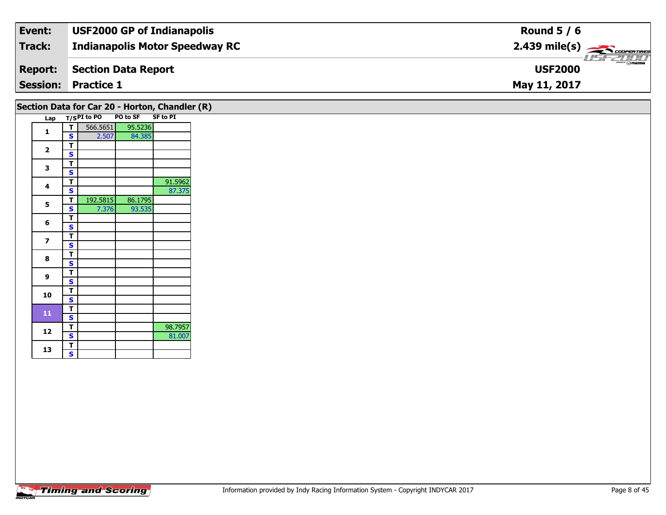| Event:          | <b>USF2000 GP of Indianapolis</b>     | Round $5/6$                                                                                                                                                                                                                                                                                                                                                                                                                                                                                       |
|-----------------|---------------------------------------|---------------------------------------------------------------------------------------------------------------------------------------------------------------------------------------------------------------------------------------------------------------------------------------------------------------------------------------------------------------------------------------------------------------------------------------------------------------------------------------------------|
| Track:          | <b>Indianapolis Motor Speedway RC</b> | $2.439$ mile(s) $\rightarrow$ Coorer These                                                                                                                                                                                                                                                                                                                                                                                                                                                        |
| <b>Report:</b>  | Section Data Report                   | $\overline{\phantom{a}}$ $\overline{\phantom{a}}$ $\overline{\phantom{a}}$ $\overline{\phantom{a}}$ $\overline{\phantom{a}}$ $\overline{\phantom{a}}$ $\overline{\phantom{a}}$ $\overline{\phantom{a}}$ $\overline{\phantom{a}}$ $\overline{\phantom{a}}$ $\overline{\phantom{a}}$ $\overline{\phantom{a}}$ $\overline{\phantom{a}}$ $\overline{\phantom{a}}$ $\overline{\phantom{a}}$ $\overline{\phantom{a}}$ $\overline{\phantom{a}}$ $\overline{\phantom{a}}$ $\overline{\$<br><b>USF2000</b> |
| <b>Session:</b> | <b>Practice 1</b>                     | May 11, 2017                                                                                                                                                                                                                                                                                                                                                                                                                                                                                      |

|                         |        |             |          | Section Data for Car 20 - Horton, Chandler (R) |  |
|-------------------------|--------|-------------|----------|------------------------------------------------|--|
| Lap                     |        | T/SPI to PO | PO to SF | <b>SF to PI</b>                                |  |
| $\mathbf{1}$            | т      | 566.5651    | 95.5236  |                                                |  |
|                         | S      | 2.507       | 84.385   |                                                |  |
| $\overline{\mathbf{2}}$ | т      |             |          |                                                |  |
|                         | S      |             |          |                                                |  |
| 3                       | т      |             |          |                                                |  |
|                         | S      |             |          |                                                |  |
| 4                       | т      |             |          | 91.5962                                        |  |
|                         | S      |             |          | 87.375                                         |  |
| 5                       | т<br>S | 192.5815    | 86.1795  |                                                |  |
|                         | т      | 7.376       | 93.535   |                                                |  |
| 6                       | S      |             |          |                                                |  |
|                         | т      |             |          |                                                |  |
| $\overline{\mathbf{z}}$ | S      |             |          |                                                |  |
| 8                       | т      |             |          |                                                |  |
|                         | s      |             |          |                                                |  |
| 9                       | т      |             |          |                                                |  |
|                         | S      |             |          |                                                |  |
| 10                      | т      |             |          |                                                |  |
|                         | S      |             |          |                                                |  |
| 11                      | т      |             |          |                                                |  |
|                         | S      |             |          |                                                |  |
| 12                      | т      |             |          | 98.7957                                        |  |
|                         | S<br>T |             |          | 81.007                                         |  |
| 13                      | S      |             |          |                                                |  |
|                         |        |             |          |                                                |  |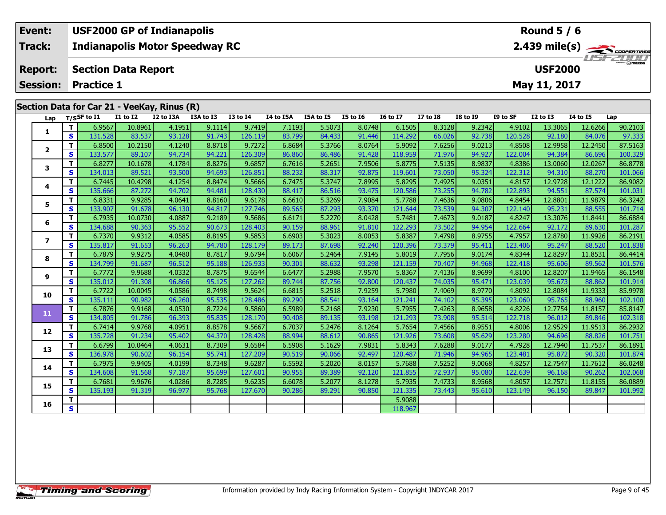| Event:         | <b>USF2000 GP of Indianapolis</b>           | Round $5/6$                                |
|----------------|---------------------------------------------|--------------------------------------------|
| Track:         | <b>Indianapolis Motor Speedway RC</b>       | $2.439$ mile(s) $\rightarrow$ COOPER TIRES |
| <b>Report:</b> | Section Data Report                         | <b>USF2000</b>                             |
|                | <b>Session: Practice 1</b>                  | May 11, 2017                               |
|                | Section Data for Car 21 - VeeKay, Rinus (R) |                                            |

|                          | Lap          | T/SSF to I1                        | <b>I1 to I2</b> | $\sim$ $\sim$ $\sim$ $\sim$ $\sim$ $\sim$ $\sim$<br>I2 to I3A | I3A to I3 | <b>I3 to I4</b> | I4 to I5A | I5A to I5 | <b>I5 to 16</b> | <b>16 to 17</b> | <b>I7 to I8</b> | <b>I8 to I9</b> | I9 to SF | <b>I2 to I3</b> | <b>I4 to I5</b> | Lap     |
|--------------------------|--------------|------------------------------------|-----------------|---------------------------------------------------------------|-----------|-----------------|-----------|-----------|-----------------|-----------------|-----------------|-----------------|----------|-----------------|-----------------|---------|
|                          |              | T.<br>6.9567                       | 10.8961         | 4.1951                                                        | 9.1114    | 9.7419          | 7.1193    | 5.5073    | 8.0748          | 6.1505          | 8.3128          | 9.2342          | 4.9102   | 13.3065         | 12.6266         | 90.2103 |
| 1                        |              | S<br>131.528                       | 83.537          | 93.128                                                        | 91.743    | 126.119         | 83.799    | 84.433    | 91.446          | 114.292         | 66.026          | 92.738          | 120.528  | 92.180          | 84.076          | 97.333  |
|                          |              | T.<br>6.8500                       | 10.2150         | 4.1240                                                        | 8.8718    | 9.7272          | 6.8684    | 5.3766    | 8.0764          | 5.9092          | 7.6256          | 9.0213          | 4.8508   | 12.9958         | 12.2450         | 87.5163 |
| $\overline{2}$           |              | S<br>133.577                       | 89.107          | 94.734                                                        | 94.221    | 126.309         | 86.860    | 86.486    | 91.428          | 118.959         | 71.976          | 94.927          | 122.004  | 94.384          | 86.696          | 100.329 |
| 3                        |              | T.<br>6.8277                       | 10.1678         | 4.1784                                                        | 8.8276    | 9.6857          | 6.7616    | 5.2651    | 7.9506          | 5.8775          | 7.5135          | 8.9837          | 4.8386   | 13.0060         | 12.0267         | 86.8778 |
|                          |              | S.<br>134.013                      | 89.521          | 93.500                                                        | 94.693    | 126.851         | 88.232    | 88.317    | 92.875          | 119.601         | 73.050          | 95.324          | 122.312  | 94.310          | 88.270          | 101.066 |
| 4                        |              | T.<br>6.7445                       | 10.4298         | 4.1254                                                        | 8.8474    | 9.5666          | 6.7475    | 5.3747    | 7.8995          | 5.8295          | 7.4925          | 9.0351          | 4.8157   | 12.9728         | 12.1222         | 86.9082 |
|                          |              | S<br>135.666                       | 87.272          | 94.702                                                        | 94.481    | 128.430         | 88.417    | 86.516    | 93.475          | 120.586         | 73.255          | 94.782          | 122.893  | 94.551          | 87.574          | 101.031 |
| 5                        |              | T.<br>6.8331                       | 9.9285          | 4.0641                                                        | 8.8160    | 9.6178          | 6.6610    | 5.3269    | 7.9084          | 5.7788          | 7.4636          | 9.0806          | 4.8454   | 12.8801         | 11.9879         | 86.3242 |
|                          |              | S.<br>133.907                      | 91.678          | 96.130                                                        | 94.817    | 127.746         | 89.565    | 87.293    | 93.370          | 121.644         | 73.539          | 94.307          | 122.140  | 95.231          | 88.555          | 101.714 |
| 6                        |              | T.<br>6.7935                       | 10.0730         | 4.0887                                                        | 9.2189    | 9.5686          | 6.6171    | 5.2270    | 8.0428          | 5.7481          | 7.4673          | 9.0187          | 4.8247   | 13.3076         | 11.8441         | 86.6884 |
|                          |              | S<br>134.688                       | 90.363          | 95.552                                                        | 90.673    | 128.403         | 90.159    | 88.961    | 91.810          | 122.293         | 73.502          | 94.954          | 122.664  | 92.172          | 89.630          | 101.287 |
| $\overline{\phantom{a}}$ |              | T.<br>6.7370                       | 9.9312          | 4.0585                                                        | 8.8195    | 9.5853          | 6.6903    | 5.3023    | 8.0053          | 5.8387          | 7.4798          | 8.9755          | 4.7957   | 12.8780         | 11.9926         | 86.2191 |
|                          |              | S<br>135.817                       | 91.653          | 96.263                                                        | 94.780    | 128.179         | 89.173    | 87.698    | 92.240          | 120.396         | 73.379          | 95.411          | 123.406  | 95.247          | 88.520          | 101.838 |
| 8                        |              | T.<br>6.7879                       | 9.9275          | 4.0480                                                        | 8.7817    | 9.6794          | 6.6067    | 5.2464    | 7.9145          | 5.8019          | 7.7956          | 9.0174          | 4.8344   | 12.8297         | 11.8531         | 86.4414 |
|                          |              | S<br>134.799                       | 91.687          | 96.512                                                        | 95.188    | 126.933         | 90.301    | 88.632    | 93.298          | 121.159         | 70.407          | 94.968          | 122.418  | 95.606          | 89.562          | 101.576 |
| 9                        |              | T.<br>6.7772                       | 9.9688          | 4.0332                                                        | 8.7875    | 9.6544          | 6.6477    | 5.2988    | 7.9570          | 5.8367          | 7.4136          | 8.9699          | 4.8100   | 12.8207         | 11.9465         | 86.1548 |
|                          |              | S<br>135.012                       | 91.308          | 96.866                                                        | 95.125    | 127.262         | 89.744    | 87.756    | 92.800          | 120.437         | 74.035          | 95.471          | 123.039  | 95.673          | 88.862          | 101.914 |
| 10                       |              | T.<br>6.7722                       | 10.0045         | 4.0586                                                        | 8.7498    | 9.5624          | 6.6815    | 5.2518    | 7.9259          | 5.7980          | 7.4069          | 8.9770          | 4.8092   | 12.8084         | 11.9333         | 85.9978 |
|                          |              | $\overline{\mathbf{s}}$<br>135.111 | 90.982          | 96.260                                                        | 95.535    | 128.486         | 89.290    | 88.541    | 93.164          | 121.241         | 74.102          | 95.395          | 123.060  | 95.765          | 88.960          | 102.100 |
| 11                       |              | T.<br>6.7876                       | 9.9168          | 4.0530                                                        | 8.7224    | 9.5860          | 6.5989    | 5.2168    | 7.9230          | 5.7955          | 7.4263          | 8.9658          | 4.8226   | 12.7754         | 11.8157         | 85.8147 |
|                          | $\mathbf{s}$ | 134.805                            | 91.786          | 96.393                                                        | 95.835    | 128.170         | 90.408    | 89.135    | 93.198          | 121.293         | 73.908          | 95.514          | 122.718  | 96.012          | 89.846          | 102.318 |
| 12                       |              | T.<br>6.7414                       | 9.9768          | 4.0951                                                        | 8.8578    | 9.5667          | 6.7037    | 5.2476    | 8.1264          | 5.7654          | 7.4566          | 8.9551          | 4.8006   | 12.9529         | 11.9513         | 86.2932 |
|                          |              | S<br>135.728                       | 91.234          | 95.402                                                        | 94.370    | 128.428         | 88.994    | 88.612    | 90.865          | 121.926         | 73.608          | 95.629          | 123.280  | 94.696          | 88.826          | 101.751 |
| 13                       |              | T.<br>6.6799                       | 10.0464         | 4.0631                                                        | 8.7309    | 9.6584          | 6.5908    | 5.1629    | 7.9831          | 5.8343          | 7.6288          | 9.0177          | 4.7928   | 12.7940         | 11.7537         | 86.1891 |
|                          |              | S<br>136.978                       | 90.602          | 96.154                                                        | 95.741    | 127.209         | 90.519    | 90.066    | 92.497          | 120.487         | 71.946          | 94.965          | 123.481  | 95.872          | 90.320          | 101.874 |
| 14                       |              | T.<br>6.7975                       | 9.9405          | 4.0199                                                        | 8.7348    | 9.6287          | 6.5592    | 5.2020    | 8.0157          | 5.7688          | 7.5252          | 9.0068          | 4.8257   | 12.7547         | 11.7612         | 86.0248 |
|                          |              | S<br>134.608                       | 91.568          | 97.187                                                        | 95.699    | 127.601         | 90.955    | 89.389    | 92.120          | 121.855         | 72.937          | 95.080          | 122.639  | 96.168          | 90.262          | 102.068 |
| 15                       |              | Τ.<br>6.7681                       | 9.9676          | 4.0286                                                        | 8.7285    | 9.6235          | 6.6078    | 5.2077    | 8.1278          | 5.7935          | 7.4733          | 8.9568          | 4.8057   | 12.7571         | 11.8155         | 86.0889 |
|                          |              | S.<br>135.193                      | 91.319          | 96.977                                                        | 95.768    | 127.670         | 90.286    | 89.291    | 90.850          | 121.335         | 73.443          | 95.610          | 123.149  | 96.150          | 89.847          | 101.992 |
| 16                       |              | т                                  |                 |                                                               |           |                 |           |           |                 | 5.9088          |                 |                 |          |                 |                 |         |
|                          |              | $\overline{\mathbf{s}}$            |                 |                                                               |           |                 |           |           |                 | 118.967         |                 |                 |          |                 |                 |         |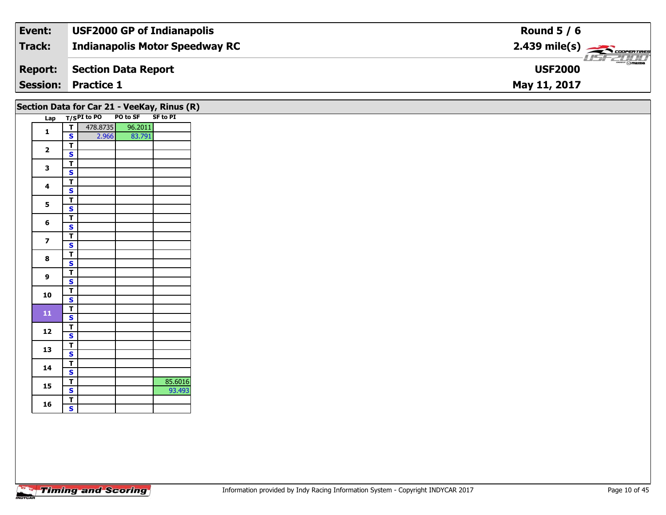| Event:         | <b>USF2000 GP of Indianapolis</b>     | Round $5/6$                               |
|----------------|---------------------------------------|-------------------------------------------|
| Track:         | <b>Indianapolis Motor Speedway RC</b> | $2.439$ mile(s) $\frac{1}{2.5600}$        |
| <b>Report:</b> | Section Data Report                   | $\frac{2\pi}{2}$ omazoa<br><b>USF2000</b> |
|                | <b>Session: Practice 1</b>            | May 11, 2017                              |

|                         |                                         |          | Section Data for Car 21 - VeeKay, Rinus (R)<br>Lap T/SPI to PO PO to SF SF to PI |         |
|-------------------------|-----------------------------------------|----------|----------------------------------------------------------------------------------|---------|
|                         | ⊤⊺                                      | 478.8735 | 96.2011                                                                          |         |
| $\mathbf{1}$            | S                                       | 2.966    | 83.791                                                                           |         |
| $\overline{\mathbf{2}}$ | $\mathbf T$                             |          |                                                                                  |         |
|                         | $\mathbf{s}$                            |          |                                                                                  |         |
| 3                       | $\overline{\mathbf{T}}$                 |          |                                                                                  |         |
|                         | $\overline{\mathbf{s}}$                 |          |                                                                                  |         |
| $\overline{\mathbf{4}}$ | $\overline{\mathsf{r}}$                 |          |                                                                                  |         |
|                         | $\overline{\mathbf{s}}$                 |          |                                                                                  |         |
| 5                       | $\overline{\mathsf{r}}$                 |          |                                                                                  |         |
|                         | $\overline{\mathbf{s}}$                 |          |                                                                                  |         |
| $6\phantom{1}$          | $\overline{\mathbf{r}}$<br>$\mathbf{s}$ |          |                                                                                  |         |
|                         | $\overline{\mathbf{r}}$                 |          |                                                                                  |         |
| $\overline{\mathbf{z}}$ | $\overline{\mathbf{s}}$                 |          |                                                                                  |         |
|                         | $\overline{\mathbf{T}}$                 |          |                                                                                  |         |
| 8                       | $\overline{\mathbf{s}}$                 |          |                                                                                  |         |
|                         | $\overline{\mathsf{T}}$                 |          |                                                                                  |         |
| $\overline{9}$          | $\overline{\mathbf{s}}$                 |          |                                                                                  |         |
|                         | $\overline{\mathsf{T}}$                 |          |                                                                                  |         |
| 10                      | $\overline{\mathbf{s}}$                 |          |                                                                                  |         |
|                         | $\mathbf{T}$                            |          |                                                                                  |         |
| ${\bf 11}$              | $\overline{\mathbf{s}}$                 |          |                                                                                  |         |
|                         | $\overline{\mathsf{r}}$                 |          |                                                                                  |         |
| 12                      | $\overline{\mathbf{s}}$                 |          |                                                                                  |         |
| 13                      | $\overline{\mathbf{T}}$                 |          |                                                                                  |         |
|                         | $\overline{\mathbf{s}}$                 |          |                                                                                  |         |
| 14                      | $\overline{\mathsf{r}}$                 |          |                                                                                  |         |
|                         | $\mathbf{s}$                            |          |                                                                                  |         |
| 15                      | $\overline{1}$                          |          |                                                                                  | 85.6016 |
|                         | $\overline{\mathbf{s}}$                 |          |                                                                                  | 93.493  |
| 16                      | $\overline{\mathbf{r}}$                 |          |                                                                                  |         |
|                         | $\mathbf{s}$                            |          |                                                                                  |         |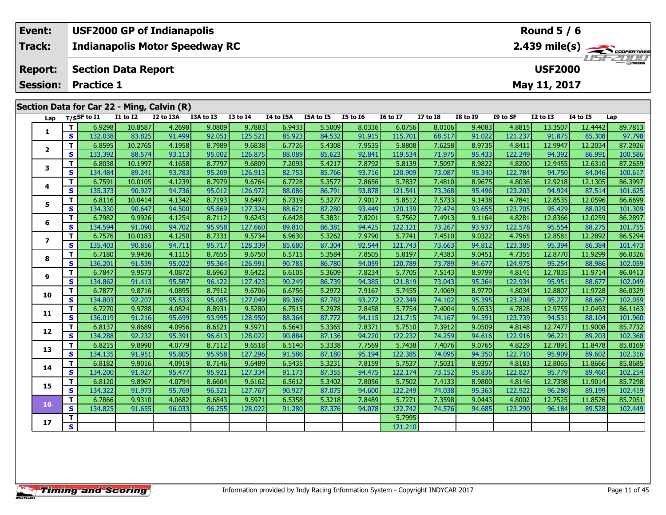| Event:          | <b>USF2000 GP of Indianapolis</b>                                                                                                                    | <b>Round 5 / 6</b>                                                                                   |  |  |  |  |  |  |  |  |  |
|-----------------|------------------------------------------------------------------------------------------------------------------------------------------------------|------------------------------------------------------------------------------------------------------|--|--|--|--|--|--|--|--|--|
| Track:          | <b>Indianapolis Motor Speedway RC</b>                                                                                                                | $2.439$ mile(s) $\overbrace{\hspace{2cm}}$ COOPERTIRE                                                |  |  |  |  |  |  |  |  |  |
| <b>Report:</b>  | <b>Section Data Report</b>                                                                                                                           | USF2000<br><b>USF2000</b>                                                                            |  |  |  |  |  |  |  |  |  |
| <b>Session:</b> | <b>Practice 1</b>                                                                                                                                    | May 11, 2017                                                                                         |  |  |  |  |  |  |  |  |  |
|                 |                                                                                                                                                      |                                                                                                      |  |  |  |  |  |  |  |  |  |
|                 | Section Data for Car 22 - Ming, Calvin (R)                                                                                                           |                                                                                                      |  |  |  |  |  |  |  |  |  |
| Lap             | I5A to I5<br>I2 to I3A<br>I3A to I3<br><b>I3 to I4</b><br><b>I5 to I6</b><br><b>16 to 17</b><br>$I7$ to $I8$<br>T/SSF to I1<br>I1 to I2<br>I4 to I5A | <b>I8 to I9</b><br>I9 to SF<br><b>I4 to I5</b><br>I2 to I3<br>Lap                                    |  |  |  |  |  |  |  |  |  |
|                 | ا وهجه ع<br>10.9597<br>1200I<br>ا 1992 ه<br>60756<br>a nenat<br>6.0132<br><b>E</b> ENNOT<br>່ ຊັດຈາລະ L                                              | 90 7912<br>$\triangle$ 2215<br>$\overline{12}$ $\overline{12}$<br>0.0106<br><b>LERUVO</b><br>12.3507 |  |  |  |  |  |  |  |  |  |

| Lap                     |              | 1755 F to 11 | <b>TT 10 TY</b> | <b>IZ WISA</b> | <b>TOW TO TP</b> | 12 TO 14 | 14 to 15A | 15A to 15 | <b>13 10 10</b> | TO TO TV | <b>TV 10 TO</b> | 10 M 17 | זכ טו עו | TY 10 T2 | <b>14 10 13</b> | ∟ap     |
|-------------------------|--------------|--------------|-----------------|----------------|------------------|----------|-----------|-----------|-----------------|----------|-----------------|---------|----------|----------|-----------------|---------|
|                         | т            | 6.9298       | 10.8587         | 4.2698         | 9.0809           | 9.7883   | 6.9433    | 5.5009    | 8.0336          | 6.0756   | 8.0106          | 9.4083  | 4.8815   | 13.3507  | 12.4442         | 89.7813 |
| 1                       | S            | 132.038      | 83.825          | 91.499         | 92.051           | 125.521  | 85.923    | 84.532    | 91.915          | 115.701  | 68.517          | 91.022  | 121.237  | 91.875   | 85.308          | 97.798  |
|                         | т            | 6.8595       | 10.2765         | 4.1958         | 8.7989           | 9.6838   | 6.7726    | 5.4308    | 7.9535          | 5.8808   | 7.6258          | 8.9735  | 4.8411   | 12.9947  | 12.2034         | 87.2926 |
| $\overline{2}$          | S            | 133.392      | 88.574          | 93.113         | 95.002           | 126.875  | 88.089    | 85.623    | 92.841          | 119.534  | 71.975          | 95.433  | 122.249  | 94.392   | 86.991          | 100.586 |
|                         | т            | 6.8038       | 10.1997         | 4.1658         | 8.7797           | 9.6809   | 7.2093    | 5.4217    | 7.8792          | 5.8139   | 7.5097          | 8.9822  | 4.8200   | 12.9455  | 12.6310         | 87.2659 |
| 3                       | S            | 134.484      | 89.241          | 93.783         | 95.209           | 126.913  | 82.753    | 85.766    | 93.716          | 120.909  | 73.087          | 95.340  | 122.784  | 94.750   | 84.046          | 100.617 |
|                         | т            | 6.7591       | 10.0105         | 4.1239         | 8.7979           | 9.6764   | 6.7728    | 5.3577    | 7.8656          | 5.7837   | 7.4810          | 8.9675  | 4.8036   | 12.9218  | 12.1305         | 86.3997 |
| 4                       | S            | 135.373      | 90.927          | 94.736         | 95.012           | 126.972  | 88.086    | 86.791    | 93.878          | 121.541  | 73.368          | 95.496  | 123.203  | 94.924   | 87.514          | 101.625 |
| 5                       | т            | 6.8116       | 10.0414         | 4.1342         | 8.7193           | 9.6497   | 6.7319    | 5.3277    | 7.9017          | 5.8512   | 7.5733          | 9.1438  | 4.7841   | 12.8535  | 12.0596         | 86.6699 |
|                         | S            | 134.330      | 90.647          | 94.500         | 95.869           | 127.324  | 88.621    | 87.280    | 93.449          | 120.139  | 72.474          | 93.655  | 123.705  | 95.429   | 88.029          | 101.309 |
| 6                       | т            | 6.7982       | 9.9926          | 4.1254         | 8.7112           | 9.6243   | 6.6428    | 5.3831    | 7.8201          | 5.7562   | 7.4913          | 9.1164  | 4.8281   | 12.8366  | 12.0259         | 86.2897 |
|                         | S            | 134.594      | 91.090          | 94.702         | 95.958           | 127.660  | 89.810    | 86.381    | 94.425          | 122.121  | 73.267          | 93.937  | 122.578  | 95.554   | 88.275          | 101.755 |
| $\overline{\mathbf{z}}$ | т            | 6.7576       | 10.0183         | 4.1250         | 8.7331           | 9.5734   | 6.9630    | 5.3262    | 7.9790          | 5.7741   | 7.4510          | 9.0322  | 4.7965   | 12.8581  | 12.2892         | 86.5294 |
|                         | S            | 135.403      | 90.856          | 94.711         | 95.717           | 128.339  | 85.680    | 87.304    | 92.544          | 121.743  | 73.663          | 94.812  | 123.385  | 95.394   | 86.384          | 101.473 |
| 8                       | т            | 6.7180       | 9.9436          | 4.1115         | 8.7655           | 9.6750   | 6.5715    | 5.3584    | 7.8505          | 5.8197   | 7.4383          | 9.0451  | 4.7355   | 12.8770  | 11.9299         | 86.0326 |
|                         | S            | 136.201      | 91.539          | 95.022         | 95.364           | 126.991  | 90.785    | 86.780    | 94.059          | 120.789  | 73.789          | 94.677  | 124.975  | 95.254   | 88.986          | 102.059 |
| 9                       | Т            | 6.7847       | 9.9573          | 4.0872         | 8.6963           | 9.6422   | 6.6105    | 5.3609    | 7.8234          | 5.7705   | 7.5143          | 8.9799  | 4.8141   | 12.7835  | 11.9714         | 86.0413 |
|                         | S            | 134.862      | 91.413          | 95.587         | 96.122           | 127.423  | 90.249    | 86.739    | 94.385          | 121.819  | 73.043          | 95.364  | 122.934  | 95.951   | 88.677          | 102.049 |
| 10                      | т            | 6.7877       | 9.8716          | 4.0895         | 8.7912           | 9.6706   | 6.6756    | 5.2972    | 7.9167          | 5.7455   | 7.4069          | 8.9770  | 4.8034   | 12.8807  | 11.9728         | 86.0329 |
|                         | S            | 134.803      | 92.207          | 95.533         | 95.085           | 127.049  | 89.369    | 87.782    | 93.272          | 122.349  | 74.102          | 95.395  | 123.208  | 95.227   | 88.667          | 102.059 |
| 11                      | т            | 6.7270       | 9.9788          | 4.0824         | 8.8931           | 9.5280   | 6.7515    | 5.2978    | 7.8458          | 5.7754   | 7.4004          | 9.0533  | 4.7828   | 12.9755  | 12.0493         | 86.1163 |
|                         | S            | 136.019      | 91.216          | 95.699         | 93.995           | 128.950  | 88.364    | 87.772    | 94.115          | 121.715  | 74.167          | 94.591  | 123.739  | 94.531   | 88.104          | 101.960 |
| 12                      | т            | 6.8137       | 9.8689          | 4.0956         | 8.6521           | 9.5971   | 6.5643    | 5.3365    | 7.8371          | 5.7510   | 7.3912          | 9.0509  | 4.8148   | 12.7477  | 11.9008         | 85.7732 |
|                         | S            | 134.288      | 92.232          | 95.391         | 96.613           | 128.022  | 90.884    | 87.136    | 94.220          | 122.232  | 74.259          | 94.616  | 122.916  | 96.221   | 89.203          | 102.368 |
| 13                      | т            | 6.8215       | 9.8990          | 4.0779         | 8.7112           | 9.6518   | 6.5140    | 5.3338    | 7.7569          | 5.7438   | 7.4076          | 9.0765  | 4.8229   | 12.7891  | 11.8478         | 85.8169 |
|                         | S            | 134.135      | 91.951          | 95.805         | 95.958           | 127.296  | 91.586    | 87.180    | 95.194          | 122.385  | 74.095          | 94.350  | 122.710  | 95.909   | 89.602          | 102.316 |
| 14                      | т            | 6.8182       | 9.9016          | 4.0919         | 8.7146           | 9.6489   | 6.5435    | 5.3231    | 7.8159          | 5.7537   | 7.5031          | 8.9357  | 4.8183   | 12.8065  | 11.8666         | 85.8685 |
|                         | $\mathbf{s}$ | 134.200      | 91.927          | 95.477         | 95.921           | 127.334  | 91.173    | 87.355    | 94.475          | 122.174  | 73.152          | 95.836  | 122,827  | 95.779   | 89.460          | 102.254 |
| 15                      | т            | 6.8120       | 9.8967          | 4.0794         | 8.6604           | 9.6162   | 6.5612    | 5.3402    | 7.8056          | 5.7502   | 7.4133          | 8.9800  | 4.8146   | 12.7398  | 11.9014         | 85.7298 |
|                         | S            | 134.322      | 91.973          | 95.769         | 96.521           | 127.767  | 90.927    | 87.075    | 94.600          | 122.249  | 74.038          | 95.363  | 122.922  | 96.280   | 89.199          | 102.419 |
| 16                      | т            | 6.7866       | 9.9310          | 4.0682         | 8.6843           | 9.5971   | 6.5358    | 5.3218    | 7.8489          | 5.7271   | 7.3598          | 9.0443  | 4.8002   | 12.7525  | 11.8576         | 85.7051 |
|                         | S            | 134.825      | 91.655          | 96.033         | 96.255           | 128.022  | 91.280    | 87.376    | 94.078          | 122.742  | 74.576          | 94.685  | 123.290  | 96.184   | 89.528          | 102.449 |
| 17                      | т            |              |                 |                |                  |          |           |           |                 | 5.7995   |                 |         |          |          |                 |         |
|                         | S            |              |                 |                |                  |          |           |           |                 | 121.210  |                 |         |          |          |                 |         |
|                         |              |              |                 |                |                  |          |           |           |                 |          |                 |         |          |          |                 |         |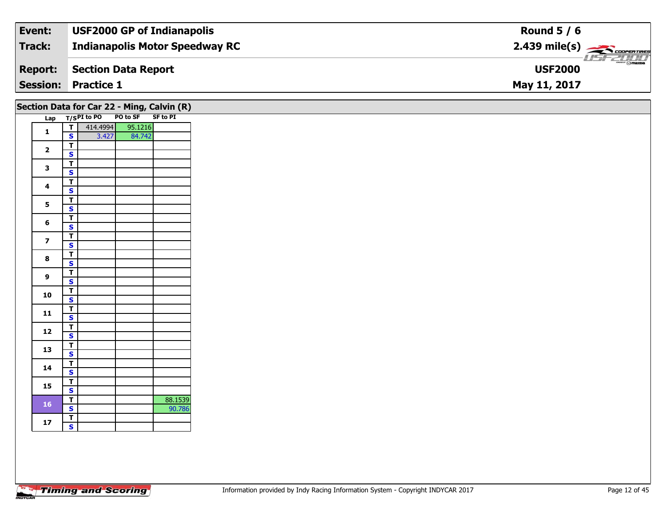| Event:         | <b>USF2000 GP of Indianapolis</b>     | Round $5/6$                                            |
|----------------|---------------------------------------|--------------------------------------------------------|
| Track:         | <b>Indianapolis Motor Speedway RC</b> | $2.439$ mile(s) $\overbrace{\hspace{2cm}}$ coorerrings |
| <b>Report:</b> | Section Data Report                   | $mmm$ $\odot$ mazna<br><b>USF2000</b>                  |
|                | <b>Session: Practice 1</b>            | May 11, 2017                                           |

|                         |                                                    | Section Data for Car 22 - Ming, Calvin (R) |                   |         |
|-------------------------|----------------------------------------------------|--------------------------------------------|-------------------|---------|
|                         |                                                    | Lap T/SPI to PO                            | PO to SF SF to PI |         |
| $\mathbf{1}$            | ᄀ<br>$\mathbf{s}$                                  | 414.4994                                   | 95.1216           |         |
|                         |                                                    | 3.427                                      | 84.742            |         |
| $\mathbf{2}$            | $\mathbf T$<br>$\mathsf{s}$                        |                                            |                   |         |
|                         |                                                    |                                            |                   |         |
| 3                       | $\overline{\mathbf{T}}$<br>$\overline{\mathbf{s}}$ |                                            |                   |         |
|                         | $\overline{\mathbf{T}}$                            |                                            |                   |         |
| $\overline{\mathbf{4}}$ | $\mathbf{s}$                                       |                                            |                   |         |
|                         | $\overline{I}$                                     |                                            |                   |         |
| 5                       | $\overline{\mathbf{s}}$                            |                                            |                   |         |
|                         | $\overline{I}$                                     |                                            |                   |         |
| 6                       | $\overline{\mathbf{s}}$                            |                                            |                   |         |
|                         | $\overline{t}$                                     |                                            |                   |         |
| $\overline{\mathbf{z}}$ | $\mathbf{s}$                                       |                                            |                   |         |
|                         | $\overline{T}$                                     |                                            |                   |         |
| 8                       | $\overline{\mathbf{s}}$                            |                                            |                   |         |
|                         | $\overline{\mathsf{r}}$                            |                                            |                   |         |
| 9                       | $\mathbf{s}$                                       |                                            |                   |         |
|                         | $\overline{t}$                                     |                                            |                   |         |
| 10                      | $\overline{\mathbf{s}}$                            |                                            |                   |         |
|                         | $\mathsf T$                                        |                                            |                   |         |
| 11                      | $\mathsf{s}$                                       |                                            |                   |         |
|                         | $\overline{t}$                                     |                                            |                   |         |
| 12                      | $\mathbf{s}$                                       |                                            |                   |         |
|                         | $\overline{T}$                                     |                                            |                   |         |
| 13                      | $\overline{\mathbf{s}}$                            |                                            |                   |         |
|                         | $\overline{t}$                                     |                                            |                   |         |
| 14                      | $\mathbf{s}$                                       |                                            |                   |         |
|                         | $\overline{t}$                                     |                                            |                   |         |
| 15                      | $\overline{\mathbf{s}}$                            |                                            |                   |         |
|                         | $\mathbf{T}$                                       |                                            |                   | 88.1539 |
| <b>16</b>               | $\overline{\mathbf{s}}$                            |                                            |                   | 90.786  |
|                         | $\overline{\mathsf{r}}$                            |                                            |                   |         |
| 17                      | $\overline{\mathbf{s}}$                            |                                            |                   |         |
|                         |                                                    |                                            |                   |         |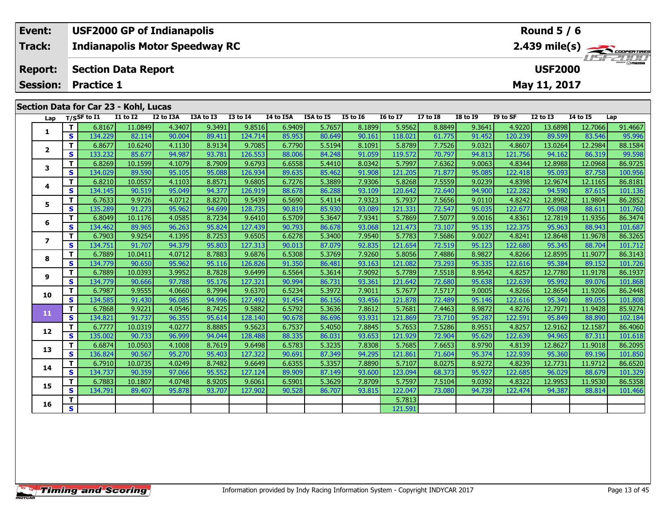| Event:          | <b>USF2000 GP of Indianapolis</b>     |                                              |           |           |          |           |           |                 |                 |                 |                 |          |                 | Round $5/6$ |                                                         |
|-----------------|---------------------------------------|----------------------------------------------|-----------|-----------|----------|-----------|-----------|-----------------|-----------------|-----------------|-----------------|----------|-----------------|-------------|---------------------------------------------------------|
| Track:          | <b>Indianapolis Motor Speedway RC</b> |                                              |           |           |          |           |           |                 |                 |                 |                 |          |                 |             | $2.439$ mile(s) $\overbrace{\hspace{2cm}}$ coorer TIRES |
| <b>Report:</b>  |                                       | <b>USF2000</b><br><b>Section Data Report</b> |           |           |          |           |           |                 |                 |                 |                 |          |                 |             | <b>USF 2000</b>                                         |
| <b>Session:</b> | <b>Practice 1</b>                     |                                              |           |           |          |           |           |                 |                 |                 |                 |          | May 11, 2017    |             |                                                         |
|                 |                                       |                                              |           |           |          |           |           |                 |                 |                 |                 |          |                 |             |                                                         |
|                 | Section Data for Car 23 - Kohl, Lucas |                                              |           |           |          |           |           |                 |                 |                 |                 |          |                 |             |                                                         |
| Lap             | $_{\rm T/SS}$ F to I1                 | I1 to I2                                     | I2 to I3A | I3A to I3 | I3 to I4 | I4 to I5A | I5A to I5 | <b>I5 to 16</b> | <b>I6 to I7</b> | <b>I7 to I8</b> | <b>I8 to I9</b> | I9 to SF | <b>I2 to I3</b> | 14 to 15    | Lap                                                     |

| Т<br>6.8167<br>11.0849<br>9.3491<br>9.8516<br>6.9409<br>8.1899<br>5.9562<br>8.8849<br>9.3641<br>4.9220<br>13.6898<br>12.7066<br>91.4667<br>4.3407<br>5.7657<br>1<br>S<br>85.953<br>90.161<br>120.239<br>95.996<br>134.229<br>82.114<br>90.004<br>89.411<br>124.714<br>80.649<br>118.021<br>91.452<br>89.599<br>83.546<br>61.775<br>6.8677<br>8.9134<br>9.7085<br>8.1091<br>9.0321<br>4.8607<br>т<br>10.6240<br>4.1130<br>5.5194<br>5.8789<br>13.0264<br>12.2984<br>88.1584<br>6.7790<br>7.7526<br>$\overline{2}$<br>93.781<br>S<br>133.232<br>85.677<br>94.987<br>126.553<br>88.006<br>84.248<br>91.059<br>70.797<br>94.813<br>121.756<br>99.598<br>119.572<br>94.162<br>86.319<br>86.9725<br>т<br>6.8269<br>10.1599<br>8.7909<br>9.6793<br>8.0342<br>5.7997<br>7.6362<br>9.0063<br>4.8344<br>12.8988<br>12.0968<br>4.1079<br>6.6558<br>5.4410<br>3<br>S<br>134.029<br>95.088<br>91.908<br>95.085<br>100.956<br>89.590<br>95.105<br>126.934<br>89.635<br>85.462<br>121.205<br>71.877<br>122.418<br>95.093<br>87.758<br>9.0239<br>8.8571<br>7.9306<br>т<br>6.8210<br>10.0557<br>4.1103<br>9.6805<br>5.3889<br>5.8268<br>7.5559<br>4.8398<br>12.9674<br>12.1165<br>86.8181<br>6.7276<br>4<br>S<br>94.377<br>93.109<br>94.900<br>122.282<br>101.136<br>134.145<br>90.519<br>95.049<br>126.919<br>88.678<br>86.288<br>120.642<br>72.640<br>94.590<br>87.615<br>т<br>7.9323<br>9.0110<br>86.2852<br>6.7633<br>9.9726<br>4.0712<br>8.8270<br>9.5439<br>6.5690<br>5.4114<br>5.7937<br>7.5656<br>4.8242<br>12.8982<br>11.9804<br>5<br>S<br>135.289<br>91.273<br>95.962<br>94.699<br>128.735<br>90.819<br>85.930<br>93.089<br>72.547<br>95.035<br>122.677<br>101.760<br>121.331<br>95.098<br>88.611<br>т<br>6.8049<br>4.0585<br>8.7234<br>9.6410<br>5.3647<br>7.9341<br>9.0016<br>4.8361<br>11.9356<br>86.3474<br>10.1176<br>6.5709<br>5.7869<br>7.5077<br>12.7819<br>6<br>95.824<br>127.439<br>93.068<br>95.135<br>122.375<br>101.687<br>S<br>134.462<br>89.965<br>96.263<br>90.793<br>86.678<br>121.473<br>73.107<br>95.963<br>88.943<br>т<br>6.7903<br>9.9254<br>8.7253<br>9.6505<br>5.3400<br>7.9540<br>5.7783<br>7.5686<br>9.0027<br>4.8241<br>11.9678<br>86.3265<br>4.1395<br>6.6278<br>12.8648<br>$\overline{\mathbf{z}}$<br>95.803<br>92.835<br>95.123<br>S<br>134.751<br>91.707<br>94.379<br>127.313<br>87.079<br>121.654<br>72.519<br>122.680<br>95.345<br>88.704<br>101.712<br>90.013<br>8.7883<br>8.9827<br>т<br>6.7889<br>10.0411<br>4.0712<br>9.6876<br>6.5308<br>5.3769<br>7.9260<br>7.4886<br>4.8266<br>12.8595<br>11.9077<br>86.3143<br>5.8056<br>8<br>95.335<br>S<br>90.650<br>95.962<br>95.116<br>126.826<br>91.350<br>86.481<br>93.163<br>121.082<br>73.293<br>122.616<br>95.384<br>89.152<br>101.726<br>134.779<br>т<br>6.7889<br>8.7828<br>7.9092<br>8.9542<br>4.8257<br>10.0393<br>3.9952<br>9.6499<br>5.7789<br>7.5518<br>11.9178<br>6.5564<br>5.3614<br>12.7780<br>9<br>90.666<br>127.321<br>95.638<br>S<br>134.779<br>95.176<br>90.994<br>86.731<br>93.361<br>72.680<br>122.639<br>95.992<br>89.076<br>97.788<br>121.642<br>т<br>6.7987<br>9.9555<br>4.0660<br>8.7994<br>9.6370<br>6.5234<br>5.3972<br>7.9011<br>5.7677<br>7.5717<br>9.0005<br>4.8266<br>12.8654<br>11.9206<br>10<br>S<br>94.996<br>127.492<br>95.146<br>122.616<br>95.340<br>134.585<br>91.430<br>96.085<br>91.454<br>86.156<br>93.456<br>121.878<br>72.489<br>89.055<br>T<br>6.7868<br>8.7425<br>9.5882<br>5.3636<br>7.8612<br>7.4463<br>8.9872<br>4.8276<br>11.9428<br>85.9274<br>9.9221<br>4.0546<br>6.5792<br>5.7681<br>12.7971<br>11<br>s<br>95.287<br>134.821<br>91.737<br>96.355<br>95.614<br>128.140<br>90.678<br>86.696<br>93.931<br>121.869<br>122.591<br>95.849<br>88.890<br>73.710<br>8.9551<br>Т<br>8.8885<br>9.5623<br>7.8845<br>7.5286<br>4.8257<br>12.1587<br>6.7777<br>10.0319<br>4.0277<br>6.7537<br>5.4050<br>5.7653<br>12.9162<br>12<br>S<br>95.629<br>94.044<br>93.653<br>122.639<br>94.965<br>135.002<br>90.733<br>96.999<br>128.488<br>88.335<br>86.031<br>121.929<br>72.904<br>87.311<br>8.7619<br>7.8308<br>8.9790<br>т<br>6.6874<br>10.0503<br>4.1008<br>9.6498<br>6.5783<br>5.3235<br>5.7685<br>7.6653<br>4.8139<br>12.8627<br>11.9018<br>86.2095<br>13<br>S<br>95.374<br>136.824<br>90.567<br>95.270<br>95.403<br>127.322<br>90.691<br>87.349<br>94.295<br>121.861<br>71.604<br>122.939<br>89.196<br>95.360<br>8.9272<br>т<br>6.7910<br>8.7482<br>9.6649<br>7.8890<br>10.0735<br>4.0249<br>6.6355<br>5.3357<br>5.7107<br>8.0275<br>4.8239<br>12.7731<br>11.9712<br>14<br>S<br>95.927<br>134.737<br>90.359<br>95.552<br>127.124<br>89.909<br>93.600<br>123.094<br>68.373<br>122.685<br>96.029<br>101.329<br>97.066<br>87.149<br>88.679<br>6.7883<br>8.9205<br>9.6061<br>5.3629<br>7.8709<br>5.7597<br>9.0392<br>4.8322<br>11.9530<br>т<br>10.1807<br>4.0748<br>6.5901<br>7.5104<br>12.9953<br>15<br>S<br>134.791<br>95.878<br>93.707<br>127.902<br>90.528<br>86.707<br>93.815<br>122.047<br>94.739<br>122.474<br>94.387<br>89.407<br>73.080<br>88.814<br>т<br>5.7813<br>16<br>S<br>121.591 | Lap | T/SSF to I1 | 11 to 12 | I2 to I3A | I3A to I3 | 13 to 14 | 14 to 15A | 15A to 15 | <b>I5 to 16</b> | 16 to 17 | 17 to 18 | <b>I8 to 19</b> | I9 to SF | 12 to 13 | 14 to 15 | Lap |
|---------------------------------------------------------------------------------------------------------------------------------------------------------------------------------------------------------------------------------------------------------------------------------------------------------------------------------------------------------------------------------------------------------------------------------------------------------------------------------------------------------------------------------------------------------------------------------------------------------------------------------------------------------------------------------------------------------------------------------------------------------------------------------------------------------------------------------------------------------------------------------------------------------------------------------------------------------------------------------------------------------------------------------------------------------------------------------------------------------------------------------------------------------------------------------------------------------------------------------------------------------------------------------------------------------------------------------------------------------------------------------------------------------------------------------------------------------------------------------------------------------------------------------------------------------------------------------------------------------------------------------------------------------------------------------------------------------------------------------------------------------------------------------------------------------------------------------------------------------------------------------------------------------------------------------------------------------------------------------------------------------------------------------------------------------------------------------------------------------------------------------------------------------------------------------------------------------------------------------------------------------------------------------------------------------------------------------------------------------------------------------------------------------------------------------------------------------------------------------------------------------------------------------------------------------------------------------------------------------------------------------------------------------------------------------------------------------------------------------------------------------------------------------------------------------------------------------------------------------------------------------------------------------------------------------------------------------------------------------------------------------------------------------------------------------------------------------------------------------------------------------------------------------------------------------------------------------------------------------------------------------------------------------------------------------------------------------------------------------------------------------------------------------------------------------------------------------------------------------------------------------------------------------------------------------------------------------------------------------------------------------------------------------------------------------------------------------------------------------------------------------------------------------------------------------------------------------------------------------------------------------------------------------------------------------------------------------------------------------------------------------------------------------------------------------------------------------------------------------------------------------------------------------------------------------------------------------------------------------------------------------------------------------------------------------------------------------------------------------------------------------------------------------------------------------------------------------------------------------------------------------------------------------------------------------------------------------------------------------------------------------------------------------------------------------------------------------------------------------------------------------------------------------------------------------------------------------------------------------------------------------------------------------------------------------------------------------------------------------------------------------|-----|-------------|----------|-----------|-----------|----------|-----------|-----------|-----------------|----------|----------|-----------------|----------|----------|----------|-----|
|                                                                                                                                                                                                                                                                                                                                                                                                                                                                                                                                                                                                                                                                                                                                                                                                                                                                                                                                                                                                                                                                                                                                                                                                                                                                                                                                                                                                                                                                                                                                                                                                                                                                                                                                                                                                                                                                                                                                                                                                                                                                                                                                                                                                                                                                                                                                                                                                                                                                                                                                                                                                                                                                                                                                                                                                                                                                                                                                                                                                                                                                                                                                                                                                                                                                                                                                                                                                                                                                                                                                                                                                                                                                                                                                                                                                                                                                                                                                                                                                                                                                                                                                                                                                                                                                                                                                                                                                                                                                                                                                                                                                                                                                                                                                                                                                                                                                                                                                                                                                         |     |             |          |           |           |          |           |           |                 |          |          |                 |          |          |          |     |
|                                                                                                                                                                                                                                                                                                                                                                                                                                                                                                                                                                                                                                                                                                                                                                                                                                                                                                                                                                                                                                                                                                                                                                                                                                                                                                                                                                                                                                                                                                                                                                                                                                                                                                                                                                                                                                                                                                                                                                                                                                                                                                                                                                                                                                                                                                                                                                                                                                                                                                                                                                                                                                                                                                                                                                                                                                                                                                                                                                                                                                                                                                                                                                                                                                                                                                                                                                                                                                                                                                                                                                                                                                                                                                                                                                                                                                                                                                                                                                                                                                                                                                                                                                                                                                                                                                                                                                                                                                                                                                                                                                                                                                                                                                                                                                                                                                                                                                                                                                                                         |     |             |          |           |           |          |           |           |                 |          |          |                 |          |          |          |     |
|                                                                                                                                                                                                                                                                                                                                                                                                                                                                                                                                                                                                                                                                                                                                                                                                                                                                                                                                                                                                                                                                                                                                                                                                                                                                                                                                                                                                                                                                                                                                                                                                                                                                                                                                                                                                                                                                                                                                                                                                                                                                                                                                                                                                                                                                                                                                                                                                                                                                                                                                                                                                                                                                                                                                                                                                                                                                                                                                                                                                                                                                                                                                                                                                                                                                                                                                                                                                                                                                                                                                                                                                                                                                                                                                                                                                                                                                                                                                                                                                                                                                                                                                                                                                                                                                                                                                                                                                                                                                                                                                                                                                                                                                                                                                                                                                                                                                                                                                                                                                         |     |             |          |           |           |          |           |           |                 |          |          |                 |          |          |          |     |
|                                                                                                                                                                                                                                                                                                                                                                                                                                                                                                                                                                                                                                                                                                                                                                                                                                                                                                                                                                                                                                                                                                                                                                                                                                                                                                                                                                                                                                                                                                                                                                                                                                                                                                                                                                                                                                                                                                                                                                                                                                                                                                                                                                                                                                                                                                                                                                                                                                                                                                                                                                                                                                                                                                                                                                                                                                                                                                                                                                                                                                                                                                                                                                                                                                                                                                                                                                                                                                                                                                                                                                                                                                                                                                                                                                                                                                                                                                                                                                                                                                                                                                                                                                                                                                                                                                                                                                                                                                                                                                                                                                                                                                                                                                                                                                                                                                                                                                                                                                                                         |     |             |          |           |           |          |           |           |                 |          |          |                 |          |          |          |     |
|                                                                                                                                                                                                                                                                                                                                                                                                                                                                                                                                                                                                                                                                                                                                                                                                                                                                                                                                                                                                                                                                                                                                                                                                                                                                                                                                                                                                                                                                                                                                                                                                                                                                                                                                                                                                                                                                                                                                                                                                                                                                                                                                                                                                                                                                                                                                                                                                                                                                                                                                                                                                                                                                                                                                                                                                                                                                                                                                                                                                                                                                                                                                                                                                                                                                                                                                                                                                                                                                                                                                                                                                                                                                                                                                                                                                                                                                                                                                                                                                                                                                                                                                                                                                                                                                                                                                                                                                                                                                                                                                                                                                                                                                                                                                                                                                                                                                                                                                                                                                         |     |             |          |           |           |          |           |           |                 |          |          |                 |          |          |          |     |
|                                                                                                                                                                                                                                                                                                                                                                                                                                                                                                                                                                                                                                                                                                                                                                                                                                                                                                                                                                                                                                                                                                                                                                                                                                                                                                                                                                                                                                                                                                                                                                                                                                                                                                                                                                                                                                                                                                                                                                                                                                                                                                                                                                                                                                                                                                                                                                                                                                                                                                                                                                                                                                                                                                                                                                                                                                                                                                                                                                                                                                                                                                                                                                                                                                                                                                                                                                                                                                                                                                                                                                                                                                                                                                                                                                                                                                                                                                                                                                                                                                                                                                                                                                                                                                                                                                                                                                                                                                                                                                                                                                                                                                                                                                                                                                                                                                                                                                                                                                                                         |     |             |          |           |           |          |           |           |                 |          |          |                 |          |          |          |     |
|                                                                                                                                                                                                                                                                                                                                                                                                                                                                                                                                                                                                                                                                                                                                                                                                                                                                                                                                                                                                                                                                                                                                                                                                                                                                                                                                                                                                                                                                                                                                                                                                                                                                                                                                                                                                                                                                                                                                                                                                                                                                                                                                                                                                                                                                                                                                                                                                                                                                                                                                                                                                                                                                                                                                                                                                                                                                                                                                                                                                                                                                                                                                                                                                                                                                                                                                                                                                                                                                                                                                                                                                                                                                                                                                                                                                                                                                                                                                                                                                                                                                                                                                                                                                                                                                                                                                                                                                                                                                                                                                                                                                                                                                                                                                                                                                                                                                                                                                                                                                         |     |             |          |           |           |          |           |           |                 |          |          |                 |          |          |          |     |
|                                                                                                                                                                                                                                                                                                                                                                                                                                                                                                                                                                                                                                                                                                                                                                                                                                                                                                                                                                                                                                                                                                                                                                                                                                                                                                                                                                                                                                                                                                                                                                                                                                                                                                                                                                                                                                                                                                                                                                                                                                                                                                                                                                                                                                                                                                                                                                                                                                                                                                                                                                                                                                                                                                                                                                                                                                                                                                                                                                                                                                                                                                                                                                                                                                                                                                                                                                                                                                                                                                                                                                                                                                                                                                                                                                                                                                                                                                                                                                                                                                                                                                                                                                                                                                                                                                                                                                                                                                                                                                                                                                                                                                                                                                                                                                                                                                                                                                                                                                                                         |     |             |          |           |           |          |           |           |                 |          |          |                 |          |          |          |     |
|                                                                                                                                                                                                                                                                                                                                                                                                                                                                                                                                                                                                                                                                                                                                                                                                                                                                                                                                                                                                                                                                                                                                                                                                                                                                                                                                                                                                                                                                                                                                                                                                                                                                                                                                                                                                                                                                                                                                                                                                                                                                                                                                                                                                                                                                                                                                                                                                                                                                                                                                                                                                                                                                                                                                                                                                                                                                                                                                                                                                                                                                                                                                                                                                                                                                                                                                                                                                                                                                                                                                                                                                                                                                                                                                                                                                                                                                                                                                                                                                                                                                                                                                                                                                                                                                                                                                                                                                                                                                                                                                                                                                                                                                                                                                                                                                                                                                                                                                                                                                         |     |             |          |           |           |          |           |           |                 |          |          |                 |          |          |          |     |
|                                                                                                                                                                                                                                                                                                                                                                                                                                                                                                                                                                                                                                                                                                                                                                                                                                                                                                                                                                                                                                                                                                                                                                                                                                                                                                                                                                                                                                                                                                                                                                                                                                                                                                                                                                                                                                                                                                                                                                                                                                                                                                                                                                                                                                                                                                                                                                                                                                                                                                                                                                                                                                                                                                                                                                                                                                                                                                                                                                                                                                                                                                                                                                                                                                                                                                                                                                                                                                                                                                                                                                                                                                                                                                                                                                                                                                                                                                                                                                                                                                                                                                                                                                                                                                                                                                                                                                                                                                                                                                                                                                                                                                                                                                                                                                                                                                                                                                                                                                                                         |     |             |          |           |           |          |           |           |                 |          |          |                 |          |          |          |     |
|                                                                                                                                                                                                                                                                                                                                                                                                                                                                                                                                                                                                                                                                                                                                                                                                                                                                                                                                                                                                                                                                                                                                                                                                                                                                                                                                                                                                                                                                                                                                                                                                                                                                                                                                                                                                                                                                                                                                                                                                                                                                                                                                                                                                                                                                                                                                                                                                                                                                                                                                                                                                                                                                                                                                                                                                                                                                                                                                                                                                                                                                                                                                                                                                                                                                                                                                                                                                                                                                                                                                                                                                                                                                                                                                                                                                                                                                                                                                                                                                                                                                                                                                                                                                                                                                                                                                                                                                                                                                                                                                                                                                                                                                                                                                                                                                                                                                                                                                                                                                         |     |             |          |           |           |          |           |           |                 |          |          |                 |          |          |          |     |
|                                                                                                                                                                                                                                                                                                                                                                                                                                                                                                                                                                                                                                                                                                                                                                                                                                                                                                                                                                                                                                                                                                                                                                                                                                                                                                                                                                                                                                                                                                                                                                                                                                                                                                                                                                                                                                                                                                                                                                                                                                                                                                                                                                                                                                                                                                                                                                                                                                                                                                                                                                                                                                                                                                                                                                                                                                                                                                                                                                                                                                                                                                                                                                                                                                                                                                                                                                                                                                                                                                                                                                                                                                                                                                                                                                                                                                                                                                                                                                                                                                                                                                                                                                                                                                                                                                                                                                                                                                                                                                                                                                                                                                                                                                                                                                                                                                                                                                                                                                                                         |     |             |          |           |           |          |           |           |                 |          |          |                 |          |          |          |     |
|                                                                                                                                                                                                                                                                                                                                                                                                                                                                                                                                                                                                                                                                                                                                                                                                                                                                                                                                                                                                                                                                                                                                                                                                                                                                                                                                                                                                                                                                                                                                                                                                                                                                                                                                                                                                                                                                                                                                                                                                                                                                                                                                                                                                                                                                                                                                                                                                                                                                                                                                                                                                                                                                                                                                                                                                                                                                                                                                                                                                                                                                                                                                                                                                                                                                                                                                                                                                                                                                                                                                                                                                                                                                                                                                                                                                                                                                                                                                                                                                                                                                                                                                                                                                                                                                                                                                                                                                                                                                                                                                                                                                                                                                                                                                                                                                                                                                                                                                                                                                         |     |             |          |           |           |          |           |           |                 |          |          |                 |          |          |          |     |
|                                                                                                                                                                                                                                                                                                                                                                                                                                                                                                                                                                                                                                                                                                                                                                                                                                                                                                                                                                                                                                                                                                                                                                                                                                                                                                                                                                                                                                                                                                                                                                                                                                                                                                                                                                                                                                                                                                                                                                                                                                                                                                                                                                                                                                                                                                                                                                                                                                                                                                                                                                                                                                                                                                                                                                                                                                                                                                                                                                                                                                                                                                                                                                                                                                                                                                                                                                                                                                                                                                                                                                                                                                                                                                                                                                                                                                                                                                                                                                                                                                                                                                                                                                                                                                                                                                                                                                                                                                                                                                                                                                                                                                                                                                                                                                                                                                                                                                                                                                                                         |     |             |          |           |           |          |           |           |                 |          |          |                 |          |          |          |     |
|                                                                                                                                                                                                                                                                                                                                                                                                                                                                                                                                                                                                                                                                                                                                                                                                                                                                                                                                                                                                                                                                                                                                                                                                                                                                                                                                                                                                                                                                                                                                                                                                                                                                                                                                                                                                                                                                                                                                                                                                                                                                                                                                                                                                                                                                                                                                                                                                                                                                                                                                                                                                                                                                                                                                                                                                                                                                                                                                                                                                                                                                                                                                                                                                                                                                                                                                                                                                                                                                                                                                                                                                                                                                                                                                                                                                                                                                                                                                                                                                                                                                                                                                                                                                                                                                                                                                                                                                                                                                                                                                                                                                                                                                                                                                                                                                                                                                                                                                                                                                         |     |             |          |           |           |          |           |           |                 |          |          |                 |          |          |          |     |
| 86.1937<br>101.868<br>86.2448<br>101.808<br>102.184<br>86.4060<br>101.618<br>101.850<br>86.6520<br>86.5358<br>101.466                                                                                                                                                                                                                                                                                                                                                                                                                                                                                                                                                                                                                                                                                                                                                                                                                                                                                                                                                                                                                                                                                                                                                                                                                                                                                                                                                                                                                                                                                                                                                                                                                                                                                                                                                                                                                                                                                                                                                                                                                                                                                                                                                                                                                                                                                                                                                                                                                                                                                                                                                                                                                                                                                                                                                                                                                                                                                                                                                                                                                                                                                                                                                                                                                                                                                                                                                                                                                                                                                                                                                                                                                                                                                                                                                                                                                                                                                                                                                                                                                                                                                                                                                                                                                                                                                                                                                                                                                                                                                                                                                                                                                                                                                                                                                                                                                                                                                   |     |             |          |           |           |          |           |           |                 |          |          |                 |          |          |          |     |
|                                                                                                                                                                                                                                                                                                                                                                                                                                                                                                                                                                                                                                                                                                                                                                                                                                                                                                                                                                                                                                                                                                                                                                                                                                                                                                                                                                                                                                                                                                                                                                                                                                                                                                                                                                                                                                                                                                                                                                                                                                                                                                                                                                                                                                                                                                                                                                                                                                                                                                                                                                                                                                                                                                                                                                                                                                                                                                                                                                                                                                                                                                                                                                                                                                                                                                                                                                                                                                                                                                                                                                                                                                                                                                                                                                                                                                                                                                                                                                                                                                                                                                                                                                                                                                                                                                                                                                                                                                                                                                                                                                                                                                                                                                                                                                                                                                                                                                                                                                                                         |     |             |          |           |           |          |           |           |                 |          |          |                 |          |          |          |     |
|                                                                                                                                                                                                                                                                                                                                                                                                                                                                                                                                                                                                                                                                                                                                                                                                                                                                                                                                                                                                                                                                                                                                                                                                                                                                                                                                                                                                                                                                                                                                                                                                                                                                                                                                                                                                                                                                                                                                                                                                                                                                                                                                                                                                                                                                                                                                                                                                                                                                                                                                                                                                                                                                                                                                                                                                                                                                                                                                                                                                                                                                                                                                                                                                                                                                                                                                                                                                                                                                                                                                                                                                                                                                                                                                                                                                                                                                                                                                                                                                                                                                                                                                                                                                                                                                                                                                                                                                                                                                                                                                                                                                                                                                                                                                                                                                                                                                                                                                                                                                         |     |             |          |           |           |          |           |           |                 |          |          |                 |          |          |          |     |
|                                                                                                                                                                                                                                                                                                                                                                                                                                                                                                                                                                                                                                                                                                                                                                                                                                                                                                                                                                                                                                                                                                                                                                                                                                                                                                                                                                                                                                                                                                                                                                                                                                                                                                                                                                                                                                                                                                                                                                                                                                                                                                                                                                                                                                                                                                                                                                                                                                                                                                                                                                                                                                                                                                                                                                                                                                                                                                                                                                                                                                                                                                                                                                                                                                                                                                                                                                                                                                                                                                                                                                                                                                                                                                                                                                                                                                                                                                                                                                                                                                                                                                                                                                                                                                                                                                                                                                                                                                                                                                                                                                                                                                                                                                                                                                                                                                                                                                                                                                                                         |     |             |          |           |           |          |           |           |                 |          |          |                 |          |          |          |     |
|                                                                                                                                                                                                                                                                                                                                                                                                                                                                                                                                                                                                                                                                                                                                                                                                                                                                                                                                                                                                                                                                                                                                                                                                                                                                                                                                                                                                                                                                                                                                                                                                                                                                                                                                                                                                                                                                                                                                                                                                                                                                                                                                                                                                                                                                                                                                                                                                                                                                                                                                                                                                                                                                                                                                                                                                                                                                                                                                                                                                                                                                                                                                                                                                                                                                                                                                                                                                                                                                                                                                                                                                                                                                                                                                                                                                                                                                                                                                                                                                                                                                                                                                                                                                                                                                                                                                                                                                                                                                                                                                                                                                                                                                                                                                                                                                                                                                                                                                                                                                         |     |             |          |           |           |          |           |           |                 |          |          |                 |          |          |          |     |
|                                                                                                                                                                                                                                                                                                                                                                                                                                                                                                                                                                                                                                                                                                                                                                                                                                                                                                                                                                                                                                                                                                                                                                                                                                                                                                                                                                                                                                                                                                                                                                                                                                                                                                                                                                                                                                                                                                                                                                                                                                                                                                                                                                                                                                                                                                                                                                                                                                                                                                                                                                                                                                                                                                                                                                                                                                                                                                                                                                                                                                                                                                                                                                                                                                                                                                                                                                                                                                                                                                                                                                                                                                                                                                                                                                                                                                                                                                                                                                                                                                                                                                                                                                                                                                                                                                                                                                                                                                                                                                                                                                                                                                                                                                                                                                                                                                                                                                                                                                                                         |     |             |          |           |           |          |           |           |                 |          |          |                 |          |          |          |     |
|                                                                                                                                                                                                                                                                                                                                                                                                                                                                                                                                                                                                                                                                                                                                                                                                                                                                                                                                                                                                                                                                                                                                                                                                                                                                                                                                                                                                                                                                                                                                                                                                                                                                                                                                                                                                                                                                                                                                                                                                                                                                                                                                                                                                                                                                                                                                                                                                                                                                                                                                                                                                                                                                                                                                                                                                                                                                                                                                                                                                                                                                                                                                                                                                                                                                                                                                                                                                                                                                                                                                                                                                                                                                                                                                                                                                                                                                                                                                                                                                                                                                                                                                                                                                                                                                                                                                                                                                                                                                                                                                                                                                                                                                                                                                                                                                                                                                                                                                                                                                         |     |             |          |           |           |          |           |           |                 |          |          |                 |          |          |          |     |
|                                                                                                                                                                                                                                                                                                                                                                                                                                                                                                                                                                                                                                                                                                                                                                                                                                                                                                                                                                                                                                                                                                                                                                                                                                                                                                                                                                                                                                                                                                                                                                                                                                                                                                                                                                                                                                                                                                                                                                                                                                                                                                                                                                                                                                                                                                                                                                                                                                                                                                                                                                                                                                                                                                                                                                                                                                                                                                                                                                                                                                                                                                                                                                                                                                                                                                                                                                                                                                                                                                                                                                                                                                                                                                                                                                                                                                                                                                                                                                                                                                                                                                                                                                                                                                                                                                                                                                                                                                                                                                                                                                                                                                                                                                                                                                                                                                                                                                                                                                                                         |     |             |          |           |           |          |           |           |                 |          |          |                 |          |          |          |     |
|                                                                                                                                                                                                                                                                                                                                                                                                                                                                                                                                                                                                                                                                                                                                                                                                                                                                                                                                                                                                                                                                                                                                                                                                                                                                                                                                                                                                                                                                                                                                                                                                                                                                                                                                                                                                                                                                                                                                                                                                                                                                                                                                                                                                                                                                                                                                                                                                                                                                                                                                                                                                                                                                                                                                                                                                                                                                                                                                                                                                                                                                                                                                                                                                                                                                                                                                                                                                                                                                                                                                                                                                                                                                                                                                                                                                                                                                                                                                                                                                                                                                                                                                                                                                                                                                                                                                                                                                                                                                                                                                                                                                                                                                                                                                                                                                                                                                                                                                                                                                         |     |             |          |           |           |          |           |           |                 |          |          |                 |          |          |          |     |
|                                                                                                                                                                                                                                                                                                                                                                                                                                                                                                                                                                                                                                                                                                                                                                                                                                                                                                                                                                                                                                                                                                                                                                                                                                                                                                                                                                                                                                                                                                                                                                                                                                                                                                                                                                                                                                                                                                                                                                                                                                                                                                                                                                                                                                                                                                                                                                                                                                                                                                                                                                                                                                                                                                                                                                                                                                                                                                                                                                                                                                                                                                                                                                                                                                                                                                                                                                                                                                                                                                                                                                                                                                                                                                                                                                                                                                                                                                                                                                                                                                                                                                                                                                                                                                                                                                                                                                                                                                                                                                                                                                                                                                                                                                                                                                                                                                                                                                                                                                                                         |     |             |          |           |           |          |           |           |                 |          |          |                 |          |          |          |     |
|                                                                                                                                                                                                                                                                                                                                                                                                                                                                                                                                                                                                                                                                                                                                                                                                                                                                                                                                                                                                                                                                                                                                                                                                                                                                                                                                                                                                                                                                                                                                                                                                                                                                                                                                                                                                                                                                                                                                                                                                                                                                                                                                                                                                                                                                                                                                                                                                                                                                                                                                                                                                                                                                                                                                                                                                                                                                                                                                                                                                                                                                                                                                                                                                                                                                                                                                                                                                                                                                                                                                                                                                                                                                                                                                                                                                                                                                                                                                                                                                                                                                                                                                                                                                                                                                                                                                                                                                                                                                                                                                                                                                                                                                                                                                                                                                                                                                                                                                                                                                         |     |             |          |           |           |          |           |           |                 |          |          |                 |          |          |          |     |
|                                                                                                                                                                                                                                                                                                                                                                                                                                                                                                                                                                                                                                                                                                                                                                                                                                                                                                                                                                                                                                                                                                                                                                                                                                                                                                                                                                                                                                                                                                                                                                                                                                                                                                                                                                                                                                                                                                                                                                                                                                                                                                                                                                                                                                                                                                                                                                                                                                                                                                                                                                                                                                                                                                                                                                                                                                                                                                                                                                                                                                                                                                                                                                                                                                                                                                                                                                                                                                                                                                                                                                                                                                                                                                                                                                                                                                                                                                                                                                                                                                                                                                                                                                                                                                                                                                                                                                                                                                                                                                                                                                                                                                                                                                                                                                                                                                                                                                                                                                                                         |     |             |          |           |           |          |           |           |                 |          |          |                 |          |          |          |     |
|                                                                                                                                                                                                                                                                                                                                                                                                                                                                                                                                                                                                                                                                                                                                                                                                                                                                                                                                                                                                                                                                                                                                                                                                                                                                                                                                                                                                                                                                                                                                                                                                                                                                                                                                                                                                                                                                                                                                                                                                                                                                                                                                                                                                                                                                                                                                                                                                                                                                                                                                                                                                                                                                                                                                                                                                                                                                                                                                                                                                                                                                                                                                                                                                                                                                                                                                                                                                                                                                                                                                                                                                                                                                                                                                                                                                                                                                                                                                                                                                                                                                                                                                                                                                                                                                                                                                                                                                                                                                                                                                                                                                                                                                                                                                                                                                                                                                                                                                                                                                         |     |             |          |           |           |          |           |           |                 |          |          |                 |          |          |          |     |
|                                                                                                                                                                                                                                                                                                                                                                                                                                                                                                                                                                                                                                                                                                                                                                                                                                                                                                                                                                                                                                                                                                                                                                                                                                                                                                                                                                                                                                                                                                                                                                                                                                                                                                                                                                                                                                                                                                                                                                                                                                                                                                                                                                                                                                                                                                                                                                                                                                                                                                                                                                                                                                                                                                                                                                                                                                                                                                                                                                                                                                                                                                                                                                                                                                                                                                                                                                                                                                                                                                                                                                                                                                                                                                                                                                                                                                                                                                                                                                                                                                                                                                                                                                                                                                                                                                                                                                                                                                                                                                                                                                                                                                                                                                                                                                                                                                                                                                                                                                                                         |     |             |          |           |           |          |           |           |                 |          |          |                 |          |          |          |     |
|                                                                                                                                                                                                                                                                                                                                                                                                                                                                                                                                                                                                                                                                                                                                                                                                                                                                                                                                                                                                                                                                                                                                                                                                                                                                                                                                                                                                                                                                                                                                                                                                                                                                                                                                                                                                                                                                                                                                                                                                                                                                                                                                                                                                                                                                                                                                                                                                                                                                                                                                                                                                                                                                                                                                                                                                                                                                                                                                                                                                                                                                                                                                                                                                                                                                                                                                                                                                                                                                                                                                                                                                                                                                                                                                                                                                                                                                                                                                                                                                                                                                                                                                                                                                                                                                                                                                                                                                                                                                                                                                                                                                                                                                                                                                                                                                                                                                                                                                                                                                         |     |             |          |           |           |          |           |           |                 |          |          |                 |          |          |          |     |
|                                                                                                                                                                                                                                                                                                                                                                                                                                                                                                                                                                                                                                                                                                                                                                                                                                                                                                                                                                                                                                                                                                                                                                                                                                                                                                                                                                                                                                                                                                                                                                                                                                                                                                                                                                                                                                                                                                                                                                                                                                                                                                                                                                                                                                                                                                                                                                                                                                                                                                                                                                                                                                                                                                                                                                                                                                                                                                                                                                                                                                                                                                                                                                                                                                                                                                                                                                                                                                                                                                                                                                                                                                                                                                                                                                                                                                                                                                                                                                                                                                                                                                                                                                                                                                                                                                                                                                                                                                                                                                                                                                                                                                                                                                                                                                                                                                                                                                                                                                                                         |     |             |          |           |           |          |           |           |                 |          |          |                 |          |          |          |     |
|                                                                                                                                                                                                                                                                                                                                                                                                                                                                                                                                                                                                                                                                                                                                                                                                                                                                                                                                                                                                                                                                                                                                                                                                                                                                                                                                                                                                                                                                                                                                                                                                                                                                                                                                                                                                                                                                                                                                                                                                                                                                                                                                                                                                                                                                                                                                                                                                                                                                                                                                                                                                                                                                                                                                                                                                                                                                                                                                                                                                                                                                                                                                                                                                                                                                                                                                                                                                                                                                                                                                                                                                                                                                                                                                                                                                                                                                                                                                                                                                                                                                                                                                                                                                                                                                                                                                                                                                                                                                                                                                                                                                                                                                                                                                                                                                                                                                                                                                                                                                         |     |             |          |           |           |          |           |           |                 |          |          |                 |          |          |          |     |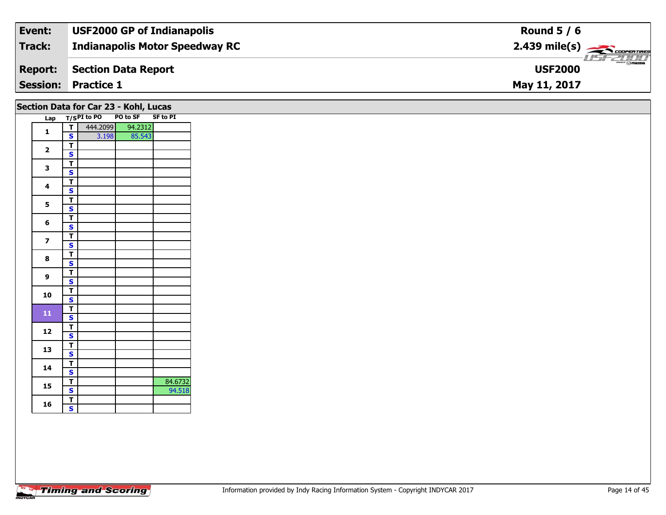| Event:          | <b>USF2000 GP of Indianapolis</b>     | Round $5/6$                                                                                                                                                                                                                                                                                                                                                                                                                                                                                       |
|-----------------|---------------------------------------|---------------------------------------------------------------------------------------------------------------------------------------------------------------------------------------------------------------------------------------------------------------------------------------------------------------------------------------------------------------------------------------------------------------------------------------------------------------------------------------------------|
| Track:          | <b>Indianapolis Motor Speedway RC</b> | $2.439$ mile(s) $\rightarrow$ Coorer These                                                                                                                                                                                                                                                                                                                                                                                                                                                        |
| <b>Report:</b>  | Section Data Report                   | $\overline{\phantom{a}}$ $\overline{\phantom{a}}$ $\overline{\phantom{a}}$ $\overline{\phantom{a}}$ $\overline{\phantom{a}}$ $\overline{\phantom{a}}$ $\overline{\phantom{a}}$ $\overline{\phantom{a}}$ $\overline{\phantom{a}}$ $\overline{\phantom{a}}$ $\overline{\phantom{a}}$ $\overline{\phantom{a}}$ $\overline{\phantom{a}}$ $\overline{\phantom{a}}$ $\overline{\phantom{a}}$ $\overline{\phantom{a}}$ $\overline{\phantom{a}}$ $\overline{\phantom{a}}$ $\overline{\$<br><b>USF2000</b> |
| <b>Session:</b> | <b>Practice 1</b>                     | May 11, 2017                                                                                                                                                                                                                                                                                                                                                                                                                                                                                      |

### **Section Data for Car 23 - Kohl, Lucas**

| Lap |   | T/SPI to PO | PO to SF | <b>SF to PI</b> |
|-----|---|-------------|----------|-----------------|
| 1   | т | 444.2099    | 94.2312  |                 |
|     | S | 3.198       | 85.543   |                 |
| 2   | т |             |          |                 |
|     | S |             |          |                 |
| 3   | T |             |          |                 |
|     | S |             |          |                 |
| 4   | т |             |          |                 |
|     | S |             |          |                 |
| 5   | T |             |          |                 |
|     | S |             |          |                 |
|     | T |             |          |                 |
| 6   | S |             |          |                 |
| 7   | T |             |          |                 |
|     | S |             |          |                 |
| 8   | Т |             |          |                 |
|     | S |             |          |                 |
| 9   | т |             |          |                 |
|     | S |             |          |                 |
| 10  | Т |             |          |                 |
|     | S |             |          |                 |
| 11  | T |             |          |                 |
|     | S |             |          |                 |
| 12  | T |             |          |                 |
|     | S |             |          |                 |
| 13  | T |             |          |                 |
|     | S |             |          |                 |
| 14  | Т |             |          |                 |
|     | S |             |          |                 |
| 15  | т |             |          | 84.6732         |
|     | S |             |          | 94.518          |
| 16  | Т |             |          |                 |
|     | S |             |          |                 |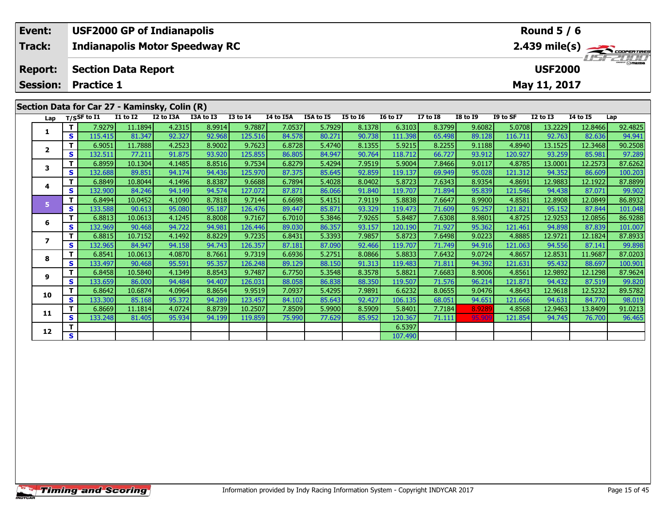| Event:          |                   |        |                            | <b>USF2000 GP of Indianapolis</b>             |           |                 |                  |           |                 |                 |              |                 |          | Round $5/6$    |                 |                                                       |
|-----------------|-------------------|--------|----------------------------|-----------------------------------------------|-----------|-----------------|------------------|-----------|-----------------|-----------------|--------------|-----------------|----------|----------------|-----------------|-------------------------------------------------------|
| Track:          |                   |        |                            | <b>Indianapolis Motor Speedway RC</b>         |           |                 |                  |           |                 |                 |              |                 |          |                |                 | $2.439$ mile(s) $\overbrace{\hspace{2cm}}$ codenaires |
| <b>Report:</b>  |                   |        | <b>Section Data Report</b> |                                               |           |                 |                  |           |                 |                 |              |                 |          | <b>USF2000</b> |                 | <b>LISF 2000</b>                                      |
| <b>Session:</b> | <b>Practice 1</b> |        |                            |                                               |           |                 |                  |           |                 |                 |              |                 |          | May 11, 2017   |                 |                                                       |
|                 |                   |        |                            | Section Data for Car 27 - Kaminsky, Colin (R) |           |                 |                  |           |                 |                 |              |                 |          |                |                 |                                                       |
| Lap             | T/SSF to I1       |        | <b>I1 to I2</b>            | I2 to I3A                                     | I3A to I3 | <b>I3 to I4</b> | <b>I4 to I5A</b> | I5A to I5 | <b>I5 to 16</b> | <b>16 to 17</b> | $I7$ to $I8$ | <b>I8 to I9</b> | I9 to SF | $I2$ to $I3$   | <b>I4 to I5</b> | Lap                                                   |
|                 |                   | 7.9279 | 11.1894                    | 4.2315                                        | 8.9914    | 9.7887          | 7.0537           | 5.7929    | 8.1378          | 6.3103          | 8.3799       | 9.6082          | 5.0708   | 13.2229        | 12.8466         | 92.4825                                               |

|    |   | 7.9279  | 11.1894 | 4.2315 | 8.9914 | 9.7887  | 7.0537 | 5.7929 | 8.1378 | 6.3103  | 8.3799 | 9.6082 | 5.0708  | 13.2229 | 12.8466 | 92.4825 |
|----|---|---------|---------|--------|--------|---------|--------|--------|--------|---------|--------|--------|---------|---------|---------|---------|
|    | s | 115.415 | 81.347  | 92.327 | 92.968 | 125.516 | 84.578 | 80.271 | 90.738 | 111.398 | 65.498 | 89.128 | 116.711 | 92.763  | 82.636  | 94.941  |
| 2  |   | 6.9051  | 11.7888 | 4.2523 | 8.9002 | 9.7623  | 6.8728 | 5.4740 | 8.1355 | 5.9215  | 8.2255 | 9.1188 | 4.8940  | 13.1525 | 12.3468 | 90.2508 |
|    | s | 132.511 | 77.211  | 91.875 | 93.920 | 125.855 | 86.805 | 84.947 | 90.764 | 118.712 | 66.727 | 93.912 | 120.927 | 93.259  | 85.981  | 97.289  |
| 3  |   | 6.8959  | 10.1304 | 4.1485 | 8.8516 | 9.7534  | 6.8279 | 5.4294 | 7.9519 | 5.9004  | 7.8466 | 9.0117 | 4.8785  | 13.0001 | 12.2573 | 87.6262 |
|    | S | 132.688 | 89.851  | 94.174 | 94.436 | 125.970 | 87.375 | 85.645 | 92.859 | 119.137 | 69.949 | 95.028 | 121.312 | 94.352  | 86.609  | 100.203 |
| 4  |   | 6.8849  | 10.8044 | 4.1496 | 8.8387 | 9.6688  | 6.7894 | 5.4028 | 8.0402 | 5.8723  | 7.6343 | 8.9354 | 4.8691  | 12.9883 | 12.1922 | 87.8899 |
|    | S | 132.900 | 84.246  | 94.149 | 94.574 | 127.072 | 87.871 | 86.066 | 91.840 | 119.707 | 71.894 | 95.839 | 121.546 | 94.438  | 87.071  | 99.902  |
| 5. | т | 6.8494  | 10.0452 | 4.1090 | 8.7818 | 9.7144  | 6.6698 | 5.4151 | 7.9119 | 5.8838  | 7.6647 | 8.9900 | 4.8581  | 12.8908 | 12.0849 | 86.8932 |
|    | S | 133.588 | 90.613  | 95.080 | 95.187 | 126.476 | 89.447 | 85.871 | 93.329 | 119.473 | 71.609 | 95.257 | 121.821 | 95.152  | 87.844  | 101.048 |
| -6 |   | 6.8813  | 10.0613 | 4.1245 | 8.8008 | 9.7167  | 6.7010 | 5.3846 | 7.9265 | 5.8487  | 7.6308 | 8.9801 | 4.8725  | 12.9253 | 12.0856 | 86.9288 |
|    | S | 132.969 | 90.468  | 94.722 | 94.981 | 126.446 | 89.030 | 86.357 | 93.157 | 120.190 | 71.927 | 95.362 | 121.461 | 94.898  | 87.839  | 101.007 |
|    |   | 6.8815  | 10.7152 | 4.1492 | 8.8229 | 9.7235  | 6.8431 | 5.3393 | 7.9857 | 5.8723  | 7.6498 | 9.0223 | 4.8885  | 12.9721 | 12.1824 | 87.8933 |
|    | S | 132.965 | 84.947  | 94.158 | 94.743 | 126.357 | 87.181 | 87.090 | 92.466 | 119.707 | 71.749 | 94.916 | 121.063 | 94.556  | 87.141  | 99.898  |
| 8  |   | 6.8541  | 10.0613 | 4.0870 | 8.7661 | 9.7319  | 6.6936 | 5.2751 | 8.0866 | 5.8833  | 7.6432 | 9.0724 | 4.8657  | 12.8531 | 11.9687 | 87.0203 |
|    | s | 133.497 | 90.468  | 95.591 | 95.357 | 126.248 | 89.129 | 88.150 | 91.313 | 119.483 | 71.811 | 94.392 | 121.631 | 95.432  | 88.697  | 100.901 |
| 9  |   | 6.8458  | 10.5840 | 4.1349 | 8.8543 | 9.7487  | 6.7750 | 5.3548 | 8.3578 | 5.8821  | 7.6683 | 8.9006 | 4.8561  | 12.9892 | 12.1298 | 87.9624 |
|    | s | 133.659 | 86.000  | 94.484 | 94.407 | 126.031 | 88.058 | 86.838 | 88.350 | 119.507 | 71.576 | 96.214 | 121.871 | 94.432  | 87.519  | 99.820  |
| 10 |   | 6.8642  | 10.6874 | 4.0964 | 8.8654 | 9.9519  | 7.0937 | 5.4295 | 7.9891 | 6.6232  | 8.0655 | 9.0476 | 4.8643  | 12.9618 | 12.5232 | 89.5782 |
|    | S | 133.300 | 85.168  | 95.372 | 94.289 | 123.457 | 84.102 | 85.643 | 92.427 | 106.135 | 68.051 | 94.651 | 121.666 | 94.631  | 84.770  | 98.019  |
| 11 |   | 6.8669  | 11.1814 | 4.0724 | 8.8739 | 10.2507 | 7.8509 | 5.9900 | 8.5909 | 5.8401  | 7.7184 | 8.9289 | 4.8568  | 12.9463 | 13.8409 | 91.0213 |
|    | S | 133.248 | 81.405  | 95.934 | 94.199 | 119.859 | 75.990 | 77.629 | 85.952 | 120.367 | 71.111 | 95.909 | 121.854 | 94.745  | 76.700  | 96.465  |
|    |   |         |         |        |        |         |        |        |        | 6.5397  |        |        |         |         |         |         |
| 12 | S |         |         |        |        |         |        |        |        | 107.490 |        |        |         |         |         |         |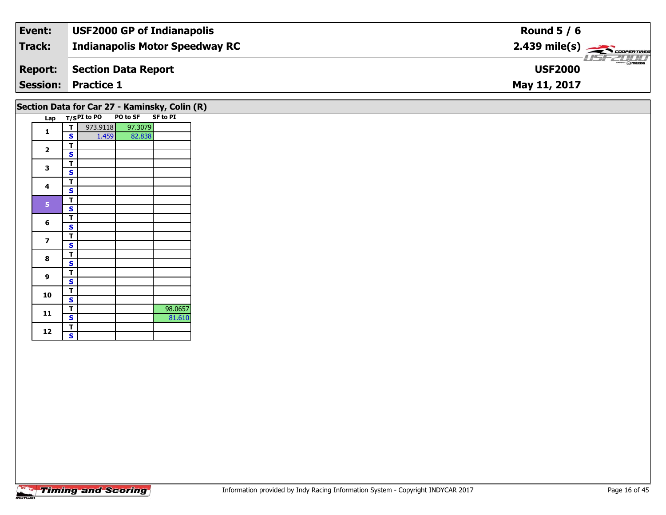| Event:         | <b>USF2000 GP of Indianapolis</b>     | Round $5/6$                                           |
|----------------|---------------------------------------|-------------------------------------------------------|
| Track:         | <b>Indianapolis Motor Speedway RC</b> | $2.439$ mile(s) $\overbrace{\hspace{2cm}}$ coorganged |
| <b>Report:</b> | Section Data Report                   | $\frac{2\pi}{2}$ omazoa<br><b>USF2000</b>             |
|                | <b>Session: Practice 1</b>            | May 11, 2017                                          |

## **Section Data for Car 27 - Kaminsky, Colin (R)**

| Lap |   | $T/SPI$ to PO | PO to SF SF to PI |         |
|-----|---|---------------|-------------------|---------|
|     | Т | 973.9118      | 97.3079           |         |
| 1   | S | 1.459         | 82.838            |         |
|     | T |               |                   |         |
| 2   | S |               |                   |         |
|     | т |               |                   |         |
| 3   | S |               |                   |         |
| 4   | Т |               |                   |         |
|     | S |               |                   |         |
| 5   | т |               |                   |         |
|     | S |               |                   |         |
|     | Т |               |                   |         |
| 6   | S |               |                   |         |
|     | Т |               |                   |         |
| 7   | S |               |                   |         |
| 8   | Т |               |                   |         |
|     | S |               |                   |         |
| 9   | Т |               |                   |         |
|     | S |               |                   |         |
| 10  | Т |               |                   |         |
|     | S |               |                   |         |
| 11  | Т |               |                   | 98.0657 |
|     | S |               |                   | 81.610  |
| 12  | T |               |                   |         |
|     | S |               |                   |         |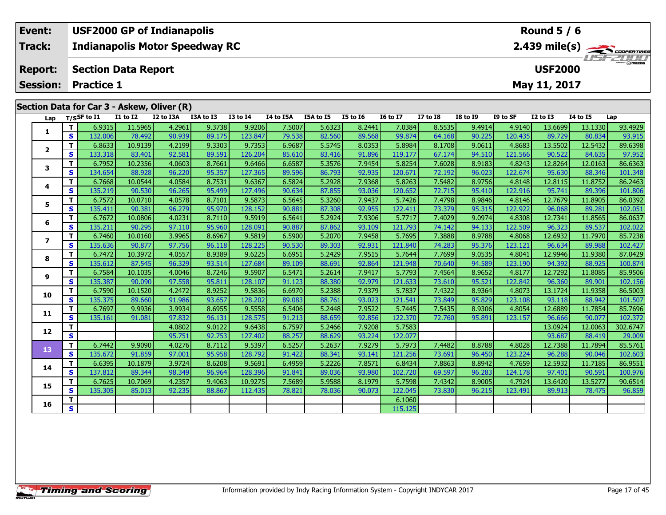| Event:          |          |                                                                                                  |                            | <b>USF2000 GP of Indianapolis</b>          |           | Round $5/6$     |           |           |                 |                 |                |                 |          |              |                 |             |
|-----------------|----------|--------------------------------------------------------------------------------------------------|----------------------------|--------------------------------------------|-----------|-----------------|-----------|-----------|-----------------|-----------------|----------------|-----------------|----------|--------------|-----------------|-------------|
| <b>Track:</b>   |          | $2.439$ mile(s) $\overbrace{\hspace{2cm}}$ code ratings<br><b>Indianapolis Motor Speedway RC</b> |                            |                                            |           |                 |           |           |                 |                 |                |                 |          |              |                 |             |
| <b>Report:</b>  |          |                                                                                                  | <b>Section Data Report</b> |                                            |           |                 |           |           |                 |                 | <b>USF2000</b> |                 |          |              |                 | LISFZU I II |
| <b>Session:</b> |          | <b>Practice 1</b>                                                                                |                            |                                            |           |                 |           |           |                 |                 | May 11, 2017   |                 |          |              |                 |             |
|                 |          |                                                                                                  |                            | Section Data for Car 3 - Askew, Oliver (R) |           |                 |           |           |                 |                 |                |                 |          |              |                 |             |
| Lap             |          | T/SSF to I1                                                                                      | <b>I1 to I2</b>            | I2 to I3A                                  | I3A to I3 | <b>I3 to I4</b> | I4 to I5A | I5A to I5 | <b>I5 to 16</b> | <b>I6 to I7</b> | $I7$ to $I8$   | <b>I8 to I9</b> | I9 to SF | $I2$ to $I3$ | <b>I4 to I5</b> | Lap         |
|                 |          | 6.9315                                                                                           | 11.5965                    | 4.2961                                     | 9.3738    | 9.9206          | 7.5007    | 5.6323    | 8.2441          | 7.0384          | 8.5535         | 9.4914          | 4.9140   | 13.6699      | 13.1330         | 93.4929     |
|                 | <b>S</b> | 132.006                                                                                          | 78.492                     | 90.939                                     | 89.175    | 123.847         | 79.538    | 82.560    | 89.568          | 99.874          | 64.168         | 90.225          | 120.435  | 89.729       | 80.834          | 93.915      |

2 | T | 6.8633 10.9139 4.2199 9.3303 9.7353 6.9687 5.5745 8.0353 5.8984 8.1708 9.0611 4.8683 13.5502 12.5432 89.6398<br>2 | S | 133.318 83.401 92.581 89.591 126.204 85.610 83.416 91.896 119.177 67.174 94.510 121.566 90.522 84

3 T | 6.7952 10.2356 4.0603 8.7661 9.6466 6.6587 5.3576 7.9454 5.8254 7.6028 8.9183 4.8243 12.8264 12.0163 86.6363<br>3 S 134.654 88.928 96.220 95.357 127.365 89.596 86.793 92.935 120.671 72.192 96.023 122.674 95.630 88.346 1

4 | T | 6.7668| 10.0544| 4.0584| 8.7531| 9.6367| 6.5824| 5.2928| 7.9368| 5.8263| 7.5482| 8.9756| 4.8148| 12.8115| 11.8752| 86.2463<br>- S | 135.219| 90.530| 96.265| 95.499| 127.496| 90.634| 87.855| 93.036| 120.652| 72.715| 95

5 | T | 6.7572| 10.0710| 4.0578| 8.7101| 9.5873| 6.5645| 5.3260| 7.9437| 5.7426| 7.4798| 8.9846| 4.8146| 12.7679| 11.8905| 86.0392<br>| S | 135.411| 90.381| 96.279| 95.970| 128.152| 90.881| 87.308| 92.955| 122.411| 73.379| 95

6 | T | 6.7672| 10.0806| 4.0231| 8.7110| 9.5919| 6.5641| 5.2924| 7.9306| 5.7717| 7.4029| 9.0974| 4.8308| 12.7341| 11.8565| 86.0637<br>| S | 135.211| 90.295| 97.110| 95.960| 128.091| 90.887| 87.862| 93.109| 121.793| 74.142| 94

7 | T | 6.7460| 10.0160| 3.9965| 8.6967| 9.5819| 6.5900| 5.2070| 7.9458| 5.7695| 7.3888| 8.9788| 4.8068| 12.6932| 11.7970| 85.7238<br>7 | S | 135.636| 90.877| 97.756| 96.118| 128.225| 90.530| 89.303| 92.931| 121.840| 74.283|

8 T | 6.7472 10.3972 4.0557 8.9389 9.6225 6.6951 5.2429 7.9515 5.7644 7.7699 9.0535 4.8041 12.9946 11.9380 87.0429<br>8 S 135.612 87.545 96.329 93.514 127.684 89.109 88.691 92.864 121.948 70.640 94.589 123.190 94.392 88.925 1

85.9506 11 12.7292 11.8085 11.8085 11.8085 11.8085 11.8085 11.8085 1.9506 1.81.7292 1.8085 1.8085 1.8085 1.808<br>S 135.387 90.090 97.558 95.811 128.107 91.123 88.380 92.979 121.633 73.610 95.521 122.842 96.360 89.901 102.15

0 | **T** | 6.7590| 10.1520| 4.2472| 8.9252| 9.5836| 6.6970| 5.2388| 7.9379| 5.7837| 7.4322| 8.9364| 4.8073| 13.1724| 11.9358| 86.5003<br>| S | 135.375| 89.660| 91.986| 93.657| 128.202| 89.083| 88.761| 93.023| 121.541| 73.849|

1 | T | 6.7697 | 9.9936 | 3.9934 | 8.6955 | 9.5558 | 6.5406 | 5.2448 | 7.9522 | 5.7445 | 7.5435 | 8.9306 | 4.8054 | 12.6889 | 11.7854 | 85.7696<br>1 | S | 135.161 | 91.081 | 97.832 | 96.131 | 128.575 | 91.213 | 88.659 | 92.85

**<sup>T</sup>** 4.0802 9.0122 9.6438 6.7597 5.2466 7.9208 5.7583 13.0924 12.0063 302.6747 **<sup>S</sup>** 95.751 92.753 127.402 88.257 88.629 93.224 122.077 93.687 88.419 29.009

3 T 6.7442 9.9090 4.0276 8.7112 9.5397 6.5257 5.2637 7.9279 5.7973 7.4482 8.8788 4.8028 12.7388 11.7894 85.5761<br>S 135.672 91.859 97.001 95.958 128.792 91.422 88.341 93.141 121.256 73.691 96.450 123.224 96.288 90.046 102.60

4 T 6.6395 10.1879 3.9724 8.6208 9.5691 6.4959 5.2226 7.8571 6.8434 7.8863 8.8942 4.7659 12.5932 11.7185 86.9551<br>- S 137.812 89.344 98.349 96.964 128.396 91.841 89.036 93.980 102.720 69.597 96.283 124.178 97.401 90.591 100

5 T 6.7625 10.7069 4.2357 9.4063 10.9275 7.5689 5.9588 8.1979 5.7598 7.4342 8.9005 4.7924 13.6420 13.5277 90.6514<br>5 S 135.305 85.013 92.235 88.867 112.435 78.821 78.036 90.073 122.045 73.830 96.215 123.491 89.913 78.475 96

**6 T** 6.1060 **S** 115.125

|                | <b>Timing and Scoring</b> |  |  |
|----------------|---------------------------|--|--|
| <b>INDVCAR</b> |                           |  |  |

**2**

**3**

**4**

**5**

**6**

**7**

**8**

**9**

**10**

**11**

**12**

**13**

**14**

**15**

**16**

101.80

102.427

102.156

102.603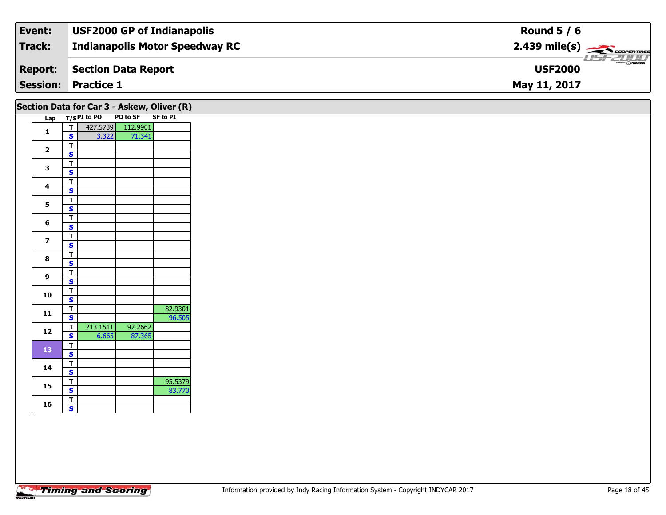| Event:         | <b>USF2000 GP of Indianapolis</b>     | Round $5/6$                                            |
|----------------|---------------------------------------|--------------------------------------------------------|
| Track:         | <b>Indianapolis Motor Speedway RC</b> | $2.439$ mile(s) $\overbrace{\hspace{2cm}}$ coorerrings |
| <b>Report:</b> | Section Data Report                   | $mmm$ $\odot$ mazna<br><b>USF2000</b>                  |
|                | <b>Session: Practice 1</b>            | May 11, 2017                                           |

|                         |                                                    | Lap T/SPI to PO | PO to SF SF to PI |         |
|-------------------------|----------------------------------------------------|-----------------|-------------------|---------|
| $\mathbf{1}$            | $\overline{\mathsf{T}}$                            |                 | 427.5739 112.9901 |         |
|                         | $\mathbf{s}$                                       | $3.322$         | 71.341            |         |
| $\overline{\mathbf{2}}$ | $\overline{I}$                                     |                 |                   |         |
|                         | $\overline{\mathbf{s}}$                            |                 |                   |         |
| $\mathbf{3}$            | $\overline{\mathsf{r}}$                            |                 |                   |         |
|                         | $\overline{\mathbf{s}}$                            |                 |                   |         |
| $\overline{\mathbf{4}}$ | $\overline{\mathsf{T}}$                            |                 |                   |         |
|                         | $\overline{\mathbf{s}}$                            |                 |                   |         |
| $5\phantom{a}$          | $rac{1}{s}$                                        |                 |                   |         |
|                         |                                                    |                 |                   |         |
| 6                       | $\overline{\mathbf{T}}$                            |                 |                   |         |
|                         | $\mathbf{s}$                                       |                 |                   |         |
| $\overline{\mathbf{z}}$ | $\overline{\mathsf{T}}$                            |                 |                   |         |
| 8                       | $\mathbf{s}$                                       |                 |                   |         |
|                         | $rac{1}{s}$                                        |                 |                   |         |
|                         |                                                    |                 |                   |         |
| 9                       | $rac{1}{s}$                                        |                 |                   |         |
|                         |                                                    |                 |                   |         |
| 10                      | $\overline{\mathsf{T}}$                            |                 |                   |         |
|                         | $\overline{\mathbf{s}}$                            |                 |                   |         |
| ${\bf 11}$              | $\overline{\mathbf{T}}$                            |                 |                   | 82.9301 |
|                         | $\mathbf{s}$                                       |                 |                   | 96.505  |
| 12                      | $\mathbf T$                                        | 213.1511        | 92.2662           |         |
|                         | $\overline{\mathbf{s}}$                            | 6.665           | 87.365            |         |
| 13                      | $\overline{1}$                                     |                 |                   |         |
|                         | $\overline{\mathbf{s}}$                            |                 |                   |         |
| 14                      | $\overline{\mathsf{T}}$                            |                 |                   |         |
|                         | $\mathbf{s}$                                       |                 |                   |         |
| 15                      | $\overline{\mathsf{T}}$<br>$\overline{\mathbf{s}}$ |                 |                   | 95.5379 |
|                         |                                                    |                 |                   | 83.770  |
| 16                      | $\overline{\mathbf{T}}$<br>$\overline{\mathbf{s}}$ |                 |                   |         |
|                         |                                                    |                 |                   |         |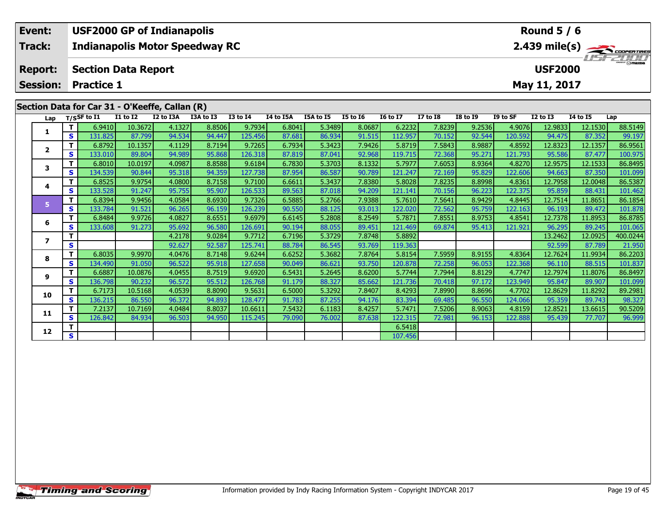| Event:         |                       |                                              |                 | <b>USF2000 GP of Indianapolis</b>              |           |                 |                  | Round $5/6$ |                 |                 |              |                 |          |              |          |                                                       |
|----------------|-----------------------|----------------------------------------------|-----------------|------------------------------------------------|-----------|-----------------|------------------|-------------|-----------------|-----------------|--------------|-----------------|----------|--------------|----------|-------------------------------------------------------|
| Track:         |                       | <b>Indianapolis Motor Speedway RC</b>        |                 |                                                |           |                 |                  |             |                 |                 |              |                 |          |              |          | $2.439$ mile(s) $\overbrace{\hspace{2cm}}$ codenaires |
| <b>Report:</b> |                       | <b>Section Data Report</b><br><b>USF2000</b> |                 |                                                |           |                 |                  |             |                 |                 |              |                 |          |              |          | <b>LISF 2000</b>                                      |
| Session:       |                       | <b>Practice 1</b>                            |                 |                                                |           |                 |                  |             |                 |                 |              |                 |          | May 11, 2017 |          |                                                       |
|                |                       |                                              |                 |                                                |           |                 |                  |             |                 |                 |              |                 |          |              |          |                                                       |
|                |                       |                                              |                 | Section Data for Car 31 - O'Keeffe, Callan (R) |           |                 |                  |             |                 |                 |              |                 |          |              |          |                                                       |
| Lap            | $_{\rm T/SS}$ F to I1 |                                              | <b>I1 to I2</b> | I2 to I3A                                      | I3A to I3 | <b>I3 to I4</b> | <b>I4 to I5A</b> | I5A to I5   | <b>I5 to I6</b> | <b>16 to 17</b> | $I7$ to $I8$ | <b>I8 to I9</b> | I9 to SF | $I2$ to $I3$ | 14 to 15 | Lap                                                   |
|                |                       | 6.9410                                       | 10.3672         | 4.1327                                         | 8.8506    | 9.7934          | 6.8041           | 5.3489      | 8.0687          | 6.2232          | 7.8239       | 9.2536          | 4.9076   | 12.9833      | 12.1530  | 88.5149                                               |

|                | т | 6.9410  | 10.3672 | 4.1327 | 8.8506 | 9.7934  | 6.8041 | 5.3489 | 8.0687 | 6.2232  | 7.8239 | 9.2536 | 4.9076  | 12.9833 | 12.1530 | 88.5149  |
|----------------|---|---------|---------|--------|--------|---------|--------|--------|--------|---------|--------|--------|---------|---------|---------|----------|
|                | s | 131.825 | 87.799  | 94.534 | 94.447 | 125.456 | 87.681 | 86.934 | 91.515 | 112.957 | 70.152 | 92.544 | 120.592 | 94.475  | 87.352  | 99.197   |
| $\overline{2}$ | т | 6.8792  | 10.1357 | 4.1129 | 8.7194 | 9.7265  | 6.7934 | 5.3423 | 7.9426 | 5.8719  | 7.5843 | 8.9887 | 4.8592  | 12.8323 | 12.1357 | 86.9561  |
|                | s | 133.010 | 89.804  | 94.989 | 95.868 | 126.318 | 87.819 | 87.041 | 92.968 | 119.715 | 72.368 | 95.271 | 121.793 | 95.586  | 87.477  | 100.975  |
| 3              | т | 6.8010  | 10.0197 | 4.0987 | 8.8588 | 9.6184  | 6.7830 | 5.3703 | 8.1332 | 5.7977  | 7.6053 | 8.9364 | 4.8270  | 12.9575 | 12.1533 | 86.8495  |
|                | S | 134.539 | 90.844  | 95.318 | 94.359 | 127.738 | 87.954 | 86.587 | 90.789 | 121.247 | 72.169 | 95.829 | 122.606 | 94.663  | 87.350  | 101.099  |
|                | т | 6.8525  | 9.9754  | 4.0800 | 8.7158 | 9.7100  | 6.6611 | 5.3437 | 7.8380 | 5.8028  | 7.8235 | 8.8998 | 4.8361  | 12.7958 | 12.0048 | 86.5387  |
| 4              | S | 133.528 | 91.247  | 95.755 | 95.907 | 126.533 | 89.563 | 87.018 | 94.209 | 121.141 | 70.156 | 96.223 | 122.375 | 95.859  | 88.431  | 101.462  |
| 5              | п | 6.8394  | 9.9456  | 4.0584 | 8.6930 | 9.7326  | 6.5885 | 5.2766 | 7.9388 | 5.7610  | 7.5641 | 8.9429 | 4.8445  | 12.7514 | 11.8651 | 86.1854  |
|                | S | 133.784 | 91.521  | 96.265 | 96.159 | 126.239 | 90.550 | 88.125 | 93.013 | 122.020 | 72.562 | 95.759 | 122.163 | 96.193  | 89.472  | 101.878  |
| 6              | т | 6.8484  | 9.9726  | 4.0827 | 8.6551 | 9.6979  | 6.6145 | 5.2808 | 8.2549 | 5.7871  | 7.8551 | 8.9753 | 4.8541  | 12.7378 | 11.8953 | 86.8785  |
|                | S | 133.608 | 91.273  | 95.692 | 96.580 | 126.691 | 90.194 | 88.055 | 89.451 | 121.469 | 69.874 | 95.413 | 121.921 | 96.295  | 89.245  | 101.065  |
| 7              | т |         |         | 4.2178 | 9.0284 | 9.7712  | 6.7196 | 5.3729 | 7.8748 | 5.8892  |        |        |         | 13.2462 | 12.0925 | 400.0244 |
|                | s |         |         | 92.627 | 92.587 | 125.741 | 88.784 | 86.545 | 93.769 | 119.363 |        |        |         | 92.599  | 87.789  | 21.950   |
| 8              | т | 6.8035  | 9.9970  | 4.0476 | 8.7148 | 9.6244  | 6.6252 | 5.3682 | 7.8764 | 5.8154  | 7.5959 | 8.9155 | 4.8364  | 12.7624 | 11.9934 | 86.2203  |
|                | S | 134.490 | 91.050  | 96.522 | 95.918 | 127.658 | 90.049 | 86.621 | 93.750 | 120.878 | 72.258 | 96.053 | 122.368 | 96.110  | 88.515  | 101.837  |
| 9              |   | 6.6887  | 10.0876 | 4.0455 | 8.7519 | 9.6920  | 6.5431 | 5.2645 | 8.6200 | 5.7744  | 7.7944 | 8.8129 | 4.7747  | 12.7974 | 11.8076 | 86.8497  |
|                | S | 136.798 | 90.232  | 96.572 | 95.512 | 126.768 | 91.179 | 88.327 | 85.662 | 121.736 | 70.418 | 97.172 | 123.949 | 95.847  | 89.907  | 101.099  |
| 10             | т | 6.7173  | 10.5168 | 4.0539 | 8.8090 | 9.5631  | 6.5000 | 5.3292 | 7.8407 | 8.4293  | 7.8990 | 8.8696 | 4.7702  | 12.8629 | 11.8292 | 89.2981  |
|                | S | 136.215 | 86.550  | 96.372 | 94.893 | 128.477 | 91.783 | 87.255 | 94.176 | 83.394  | 69.485 | 96.550 | 124.066 | 95.359  | 89.743  | 98.327   |
| 11             | т | 7.2137  | 10.7169 | 4.0484 | 8.8037 | 10.6611 | 7.5432 | 6.1183 | 8.4257 | 5.7471  | 7.5206 | 8.9063 | 4.8159  | 12.8521 | 13.6615 | 90.5209  |
|                | S | 126.842 | 84.934  | 96.503 | 94.950 | 115.245 | 79.090 | 76.002 | 87.638 | 122.315 | 72.981 | 96.153 | 122.888 | 95.439  | 77.707  | 96.999   |
| 12             | т |         |         |        |        |         |        |        |        | 6.5418  |        |        |         |         |         |          |
|                | S |         |         |        |        |         |        |        |        | 107.456 |        |        |         |         |         |          |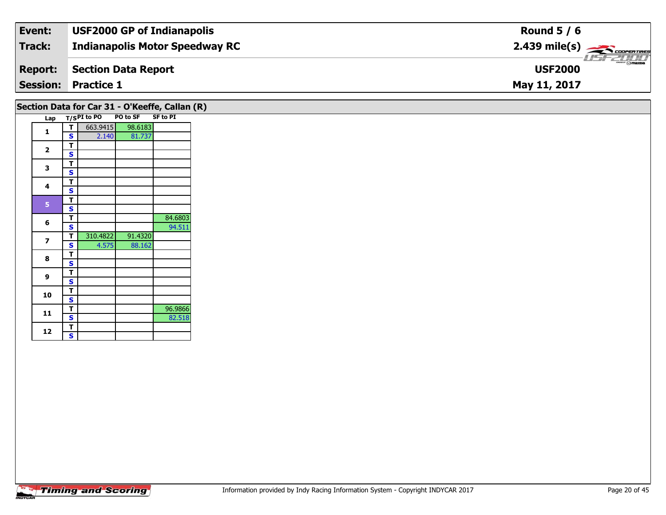| Event:          | <b>USF2000 GP of Indianapolis</b>     | Round $5/6$                                                                                                                                                                                                                                                                                                                                                                                                                                                                                       |
|-----------------|---------------------------------------|---------------------------------------------------------------------------------------------------------------------------------------------------------------------------------------------------------------------------------------------------------------------------------------------------------------------------------------------------------------------------------------------------------------------------------------------------------------------------------------------------|
| Track:          | <b>Indianapolis Motor Speedway RC</b> | $2.439$ mile(s) $\frac{1}{\sqrt{2.600 \text{ cm} \cdot \text{m}}$                                                                                                                                                                                                                                                                                                                                                                                                                                 |
| <b>Report:</b>  | Section Data Report                   | $\overline{\phantom{a}}$ $\overline{\phantom{a}}$ $\overline{\phantom{a}}$ $\overline{\phantom{a}}$ $\overline{\phantom{a}}$ $\overline{\phantom{a}}$ $\overline{\phantom{a}}$ $\overline{\phantom{a}}$ $\overline{\phantom{a}}$ $\overline{\phantom{a}}$ $\overline{\phantom{a}}$ $\overline{\phantom{a}}$ $\overline{\phantom{a}}$ $\overline{\phantom{a}}$ $\overline{\phantom{a}}$ $\overline{\phantom{a}}$ $\overline{\phantom{a}}$ $\overline{\phantom{a}}$ $\overline{\$<br><b>USF2000</b> |
| <b>Session:</b> | <b>Practice 1</b>                     | May 11, 2017                                                                                                                                                                                                                                                                                                                                                                                                                                                                                      |

## **Section Data for Car 31 - O'Keeffe, Callan (R)**

| Lap |   | $T/SPI$ to PO | <b>PO to SF</b> | <b>SF to PI</b> |
|-----|---|---------------|-----------------|-----------------|
|     | т | 663.9415      | 98.6183         |                 |
| 1   | S | 2.140         | 81.737          |                 |
| 2   | T |               |                 |                 |
|     | S |               |                 |                 |
| 3   | T |               |                 |                 |
|     | S |               |                 |                 |
| 4   | т |               |                 |                 |
|     | S |               |                 |                 |
| 5   | т |               |                 |                 |
|     | S |               |                 |                 |
| 6   | T |               |                 | 84.6803         |
|     | S |               |                 | 94.511          |
| 7   | Т | 310.4822      | 91.4320         |                 |
|     | S | 4.575         | 88.162          |                 |
| 8   | т |               |                 |                 |
|     | S |               |                 |                 |
| 9   | T |               |                 |                 |
|     | S |               |                 |                 |
| 10  | T |               |                 |                 |
|     | S |               |                 |                 |
| 11  | T |               |                 | 96.9866         |
|     | S |               |                 | 82.518          |
| 12  | T |               |                 |                 |
|     | S |               |                 |                 |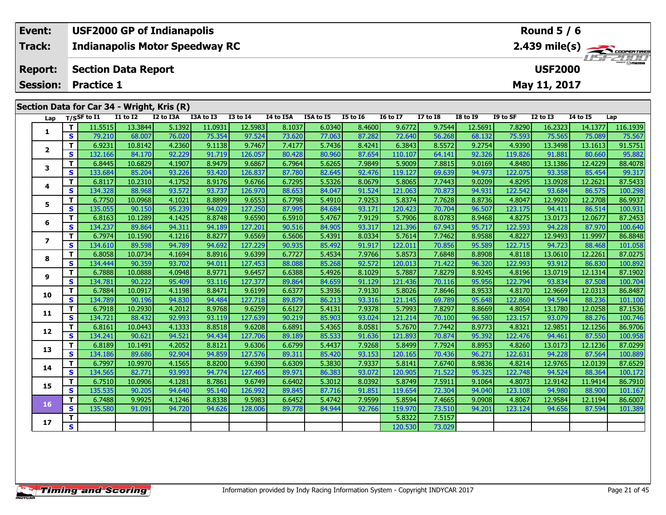| Event:          |                                              | <b>USF2000 GP of Indianapolis</b>     |           |           |                 |           | Round $5/6$ |          |                 |            |                                                                            |          |                 |          |                  |  |
|-----------------|----------------------------------------------|---------------------------------------|-----------|-----------|-----------------|-----------|-------------|----------|-----------------|------------|----------------------------------------------------------------------------|----------|-----------------|----------|------------------|--|
| Track:          |                                              | <b>Indianapolis Motor Speedway RC</b> |           |           |                 |           |             |          |                 |            | $2.439$ mile(s) $\overbrace{\hspace{2cm}}$ coderatings<br><b>LISF 2000</b> |          |                 |          |                  |  |
| <b>Report:</b>  | <b>USF2000</b><br><b>Section Data Report</b> |                                       |           |           |                 |           |             |          |                 |            |                                                                            |          |                 |          |                  |  |
| <b>Session:</b> | <b>Practice 1</b>                            |                                       |           |           |                 |           |             |          |                 |            |                                                                            |          | May 11, 2017    |          |                  |  |
|                 |                                              |                                       |           |           |                 |           |             |          |                 |            |                                                                            |          |                 |          |                  |  |
|                 | Section Data for Car 34 - Wright, Kris (R)   |                                       |           |           |                 |           |             |          |                 |            |                                                                            |          |                 |          |                  |  |
| Lap             | T/SSF to I1                                  | I1 to I2                              | I2 to I3A | I3A to I3 | <b>I3 to I4</b> | I4 to I5A | I5A to I5   | I5 to I6 | <b>I6 to I7</b> | I7 to $I8$ | I8 to I9                                                                   | I9 to SF | <b>I2 to I3</b> | 14 to 15 | Lap              |  |
|                 | 11.5515                                      | 13.3844                               | 5.1392    | 11.0931   | 12.5983         | 8.10371   | 6.0340      | 8.4600   | 9.6772          | 9.7544     | 12.56911                                                                   | 7.8290   | 16.23231        |          | 14.1377 116.1939 |  |

| Lαμ            | ,,,,,              | $\sim$  | w       | w      |         | $\sim$  | ິ      |        | --     |         |        |         |         |         |         | -up      |
|----------------|--------------------|---------|---------|--------|---------|---------|--------|--------|--------|---------|--------|---------|---------|---------|---------|----------|
|                | т                  | 11.5515 | 13.3844 | 5.1392 | 11.0931 | 12.5983 | 8.1037 | 6.0340 | 8.4600 | 9.6772  | 9.7544 | 12.5691 | 7.8290  | 16.2323 | 14.1377 | 116.1939 |
| 1              | S                  | 79.210  | 68.007  | 76.020 | 75.354  | 97.524  | 73.620 | 77.063 | 87.282 | 72.640  | 56.268 | 68.132  | 75.593  | 75.565  | 75.089  | 75.567   |
| $\mathbf{2}$   | т                  | 6.9231  | 10.8142 | 4.2360 | 9.1138  | 9.7467  | 7.4177 | 5.7436 | 8.4241 | 6.3843  | 8.5572 | 9.2754  | 4.9390  | 13.3498 | 13.1613 | 91.5751  |
|                | S                  | 132.166 | 84.170  | 92.229 | 91.719  | 126.057 | 80.428 | 80.960 | 87.654 | 110.107 | 64.141 | 92.326  | 119.826 | 91.881  | 80.660  | 95.882   |
| 3              | т                  | 6.8445  | 10.6829 | 4.1907 | 8.9479  | 9.6867  | 6.7964 | 5.6265 | 7.9849 | 5.9009  | 7.8815 | 9.0169  | 4.8480  | 13.1386 | 12.4229 | 88.4078  |
|                | S                  | 133.684 | 85.204  | 93.226 | 93.420  | 126.837 | 87.780 | 82.645 | 92.476 | 119.127 | 69.639 | 94.973  | 122.075 | 93.358  | 85.454  | 99.317   |
| 4              | т                  | 6.8117  | 10.2310 | 4.1752 | 8.9176  | 9.6766  | 6.7295 | 5.5326 | 8.0679 | 5.8065  | 7.7443 | 9.0209  | 4.8295  | 13.0928 | 12.2621 | 87.5433  |
|                | S                  | 134.328 | 88.968  | 93.572 | 93.737  | 126.970 | 88.653 | 84.047 | 91.524 | 121.063 | 70.873 | 94.931  | 122.542 | 93.684  | 86.575  | 100.298  |
| 5              | т                  | 6.7750  | 10.0968 | 4.1021 | 8.8899  | 9.6553  | 6.7798 | 5.4910 | 7.9253 | 5.8374  | 7.7628 | 8.8736  | 4.8047  | 12.9920 | 12.2708 | 86.9937  |
|                | S                  | 135.055 | 90.150  | 95.239 | 94.029  | 127.250 | 87.995 | 84.684 | 93.171 | 120.423 | 70.704 | 96.507  | 123.175 | 94.411  | 86.514  | 100.931  |
| 6              | т                  | 6.8163  | 10.1289 | 4.1425 | 8.8748  | 9.6590  | 6.5910 | 5.4767 | 7.9129 | 5.7906  | 8.0783 | 8.9468  | 4.8275  | 13.0173 | 12.0677 | 87.2453  |
|                | S                  | 134.237 | 89.864  | 94.311 | 94.189  | 127.201 | 90.516 | 84.905 | 93.317 | 121.396 | 67.943 | 95.717  | 122.593 | 94.228  | 87.970  | 100.640  |
| $\overline{ }$ | т                  | 6.7974  | 10.1590 | 4.1216 | 8.8277  | 9.6569  | 6.5606 | 5.4391 | 8.0334 | 5.7614  | 7.7462 | 8.9588  | 4.8227  | 12.9493 | 11.9997 | 86.8848  |
|                | S                  | 134.610 | 89.598  | 94.789 | 94.692  | 127.229 | 90.935 | 85.492 | 91.917 | 122.011 | 70.856 | 95.589  | 122.715 | 94.723  | 88.468  | 101.058  |
| 8              | т                  | 6.8058  | 10.0734 | 4.1694 | 8.8916  | 9.6399  | 6.7727 | 5.4534 | 7.9766 | 5.8573  | 7.6848 | 8.8908  | 4.8118  | 13.0610 | 12.2261 | 87.0275  |
|                | S                  | 134.444 | 90.359  | 93.702 | 94.011  | 127.453 | 88.088 | 85.268 | 92.572 | 120.013 | 71.422 | 96.320  | 122.993 | 93.912  | 86.830  | 100.892  |
| 9              | т                  | 6.7888  | 10.0888 | 4.0948 | 8.9771  | 9.6457  | 6.6388 | 5.4926 | 8.1029 | 5.7887  | 7.8279 | 8.9245  | 4.8196  | 13.0719 | 12.1314 | 87.1902  |
|                | S                  | 134.781 | 90.222  | 95.409 | 93.116  | 127.377 | 89.864 | 84.659 | 91.129 | 121.436 | 70.116 | 95.956  | 122.794 | 93.834  | 87.508  | 100.704  |
| 10             | Т                  | 6.7884  | 10.0917 | 4.1198 | 8.8471  | 9.6199  | 6.6377 | 5.3936 | 7.9130 | 5.8026  | 7.8646 | 8.9533  | 4.8170  | 12.9669 | 12.0313 | 86.8487  |
|                | S                  | 134.789 | 90.196  | 94.830 | 94.484  | 127.718 | 89.879 | 86.213 | 93.316 | 121.145 | 69.789 | 95.648  | 122.860 | 94.594  | 88.236  | 101.100  |
| 11             | $\mathbf{T}$       | 6.7918  | 10.2930 | 4.2012 | 8.9768  | 9.6259  | 6.6127 | 5.4131 | 7.9378 | 5.7993  | 7.8297 | 8.8669  | 4.8054  | 13.1780 | 12.0258 | 87.1536  |
|                | S                  | 134.721 | 88.432  | 92.993 | 93.119  | 127.639 | 90.219 | 85.903 | 93.024 | 121.214 | 70.100 | 96.580  | 123.157 | 93.079  | 88.276  | 100.746  |
| 12             | т                  | 6.8161  | 10.0443 | 4.1333 | 8.8518  | 9.6208  | 6.6891 | 5.4365 | 8.0581 | 5.7670  | 7.7442 | 8.9773  | 4.8321  | 12.9851 | 12.1256 | 86.9706  |
|                | S                  | 134.241 | 90.621  | 94.521 | 94.434  | 127.706 | 89.189 | 85.533 | 91.636 | 121.893 | 70.874 | 95.392  | 122.476 | 94.461  | 87.550  | 100.958  |
| 13             | т                  | 6.8189  | 10.1491 | 4.2052 | 8.8121  | 9.6306  | 6.6799 | 5.4437 | 7.9268 | 5.8499  | 7.7924 | 8.8953  | 4.8260  | 13.0173 | 12.1236 | 87.0299  |
|                | S                  | 134.186 | 89.686  | 92.904 | 94.859  | 127.576 | 89.311 | 85.420 | 93.153 | 120.165 | 70.436 | 96.271  | 122.631 | 94.228  | 87.564  | 100.889  |
| 14             | т                  | 6.7997  | 10.9970 | 4.1565 | 8.8200  | 9.6390  | 6.6309 | 5.3830 | 7.9337 | 5.8141  | 7.6740 | 8.9836  | 4.8214  | 12.9765 | 12.0139 | 87.6529  |
|                | $\mathbf{s}$       | 134.565 | 82.771  | 93.993 | 94.774  | 127.465 | 89.971 | 86.383 | 93.072 | 120.905 | 71.522 | 95.325  | 122.748 | 94.524  | 88.364  | 100.172  |
| 15             | т                  | 6.7510  | 10.0906 | 4.1281 | 8.7861  | 9.6749  | 6.6402 | 5.3012 | 8.0392 | 5.8749  | 7.5911 | 9.1064  | 4.8073  | 12.9142 | 11.9414 | 86.7910  |
|                | S                  | 135.535 | 90.205  | 94.640 | 95.140  | 126.992 | 89.845 | 87.716 | 91.851 | 119.654 | 72.304 | 94.040  | 123.108 | 94.980  | 88.900  | 101.167  |
| 16             | т                  | 6.7488  | 9.9925  | 4.1246 | 8.8338  | 9.5983  | 6.6452 | 5.4742 | 7.9599 | 5.8594  | 7.4665 | 9.0908  | 4.8067  | 12.9584 | 12.1194 | 86.6007  |
|                | S                  | 135.580 | 91.091  | 94.720 | 94.626  | 128.006 | 89.778 | 84.944 | 92.766 | 119.970 | 73.510 | 94.201  | 123.124 | 94.656  | 87.594  | 101.389  |
|                |                    |         |         |        |         |         |        |        |        | 5.8322  | 7.5157 |         |         |         |         |          |
| 17             | T.<br>$\mathbf{s}$ |         |         |        |         |         |        |        |        | 120.530 | 73.029 |         |         |         |         |          |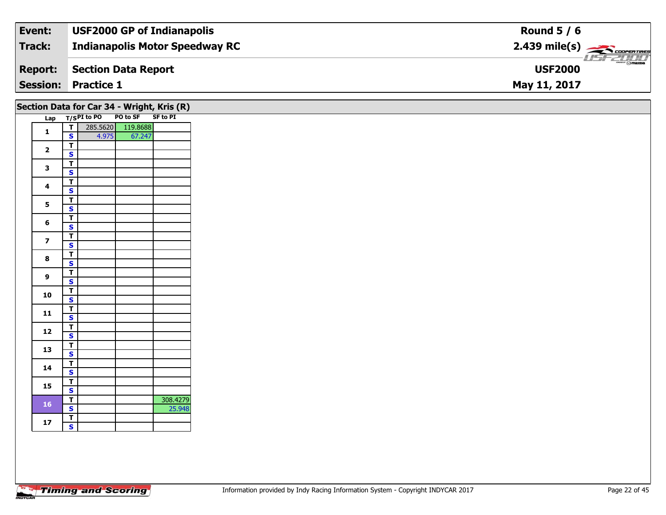| Event:                     | <b>USF2000 GP of Indianapolis</b>     | Round $5/6$                                                         |
|----------------------------|---------------------------------------|---------------------------------------------------------------------|
| Track:                     | <b>Indianapolis Motor Speedway RC</b> | $2.439$ mile(s) $\frac{1}{\sqrt{2.600 \text{ cm} \cdot \text{m}}}}$ |
| <b>Report:</b>             | Section Data Report                   | $\theta$ mazpa<br><b>USF2000</b>                                    |
| <b>Session: Practice 1</b> |                                       | May 11, 2017                                                        |

# **Section Data for Car 34 - Wright, Kris (R)**

|     |                         |                               |          | $\overline{\phantom{a}}$<br>$\overline{\phantom{a}}$ |
|-----|-------------------------|-------------------------------|----------|------------------------------------------------------|
| Lap |                         | T/SPI to PO PO to SF SF to PI |          |                                                      |
|     | т                       | 285.5620                      | 119.8688 |                                                      |
| 1   | S                       | 4.975                         | 67.247   |                                                      |
|     | T                       |                               |          |                                                      |
| 2   | S                       |                               |          |                                                      |
| 3   | T                       |                               |          |                                                      |
|     | S                       |                               |          |                                                      |
| 4   | T                       |                               |          |                                                      |
|     | S                       |                               |          |                                                      |
| 5   | Т                       |                               |          |                                                      |
|     | $\overline{\mathbf{s}}$ |                               |          |                                                      |
| 6   | T                       |                               |          |                                                      |
|     | S                       |                               |          |                                                      |
| 7   | T                       |                               |          |                                                      |
|     | S                       |                               |          |                                                      |
| 8   | T                       |                               |          |                                                      |
|     | S                       |                               |          |                                                      |
| 9   | T                       |                               |          |                                                      |
|     | $\overline{\mathbf{s}}$ |                               |          |                                                      |
| 10  | T                       |                               |          |                                                      |
|     | S                       |                               |          |                                                      |
| 11  | Т                       |                               |          |                                                      |
|     | S                       |                               |          |                                                      |
| 12  | т                       |                               |          |                                                      |
|     | S                       |                               |          |                                                      |
| 13  | T                       |                               |          |                                                      |
|     | S                       |                               |          |                                                      |
| 14  | T                       |                               |          |                                                      |
|     | S                       |                               |          |                                                      |
| 15  | T                       |                               |          |                                                      |
|     | S                       |                               |          |                                                      |
| 16  | T                       |                               |          | 308.4279                                             |
|     | S                       |                               |          | 25.948                                               |
| 17  | T                       |                               |          |                                                      |
|     | S                       |                               |          |                                                      |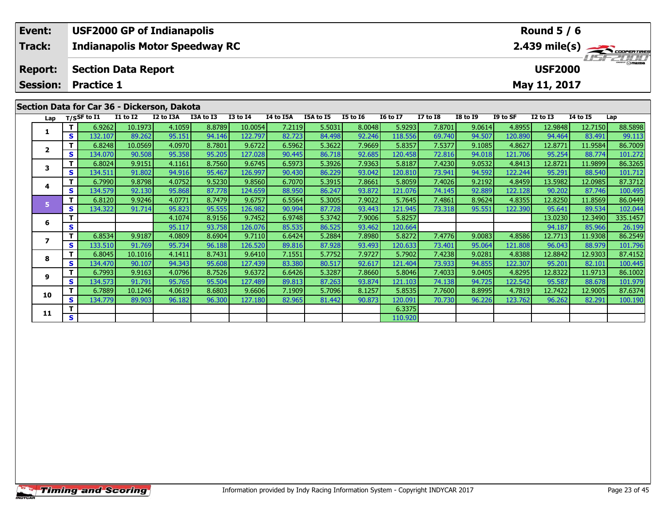| Event:         | <b>USF2000 GP of Indianapolis</b>           | Round $5/6$                                            |
|----------------|---------------------------------------------|--------------------------------------------------------|
| <b>Track:</b>  | <b>Indianapolis Motor Speedway RC</b>       | $2.439$ mile(s) $\overbrace{\hspace{2cm}}$ coderatings |
| <b>Report:</b> | <b>Section Data Report</b>                  | <b>LISF 2000</b><br><b>USF2000</b>                     |
|                | <b>Session: Practice 1</b>                  | May 11, 2017                                           |
|                | Section Data for Car 36 - Dickerson, Dakota |                                                        |

| Lap          |          | $T/S$ SF to $I1$ | <b>I1 to I2</b> | I2 to I3A | I3A to I3 | $I3$ to $I4$ | <b>I4 to I5A</b> | <b>I5A to I5</b> | <b>I5 to 16</b> | <b>16 to 17</b> | <b>I7 to I8</b> | <b>I8 to 19</b> | I9 to SF | <b>I2 to I3</b> | <b>I4 to I5</b> | Lap      |
|--------------|----------|------------------|-----------------|-----------|-----------|--------------|------------------|------------------|-----------------|-----------------|-----------------|-----------------|----------|-----------------|-----------------|----------|
|              | тI       | 6.9262           | 10.1973         | 4.1059    | 8.8789    | 10.0054      | 7.2119           | 5.5031           | 8.0048          | 5.9293          | 7.8701          | 9.0614          | 4.8955   | 12.9848         | 12.7150         | 88.5898  |
|              | s l      | 132.107          | 89.262          | 95.151    | 94.146    | 122.797      | 82.723           | 84.498           | 92.246          | 118.556         | 69.740          | 94.507          | 120.890  | 94.464          | 83.491          | 99.113   |
| $\mathbf{2}$ | Τ.       | 6.8248           | 10.0569         | 4.0970    | 8.7801    | 9.6722       | 6.5962           | 5.3622           | 7.9669          | 5.8357          | 7.5377          | 9.1085          | 4.8627   | 12.8771         | 11.9584         | 86.7009  |
|              | S I      | 134.070          | 90.508          | 95.358    | 95.205    | 127.028      | 90.445           | 86.718           | 92.685          | 120.458         | 72.816          | 94.018          | 121.706  | 95.254          | 88.774          | 101.272  |
|              | T I      | 6.8024           | 9.9151          | 4.1161    | 8.7560    | 9.6745       | 6.5973           | 5.3926           | 7.9363          | 5.8187          | 7.4230          | 9.0532          | 4.8413   | 12.8721         | 11.9899         | 86.3265  |
|              | s l      | 134.511          | 91.802          | 94.916    | 95.467    | 126.997      | 90.430           | 86.229           | 93.042          | 120.810         | 73.941          | 94.592          | 122.244  | 95.291          | 88.540          | 101.712  |
| 4            | T.       | 6.7990           | 9.8798          | 4.0752    | 9.5230    | 9.8560       | 6.7070           | 5.3915           | 7.8661          | 5.8059          | 7.4026          | 9.2192          | 4.8459   | 13.5982         | 12.0985         | 87.3712  |
|              | S        | 134.579          | 92.130          | 95.868    | 87.778    | 124.659      | 88.950           | 86.247           | 93.872          | 121.076         | 74.145          | 92.889          | 122.128  | 90.202          | 87.746          | 100.495  |
|              | т        | 6.8120           | 9.9246          | 4.0771    | 8.7479    | 9.6757       | 6.5564           | 5.3005           | 7.9022          | 5.7645          | 7.4861          | 8.9624          | 4.8355   | 12.8250         | 11.8569         | 86.0449  |
|              | s l      | 134.322          | 91.714          | 95.823    | 95.555    | 126.982      | 90.994           | 87.728           | 93.443          | 121.945         | 73.318          | 95.551          | 122.390  | 95.641          | 89.534          | 102.044  |
| 6            | т        |                  |                 | 4.1074    | 8.9156    | 9.7452       | 6.9748           | 5.3742           | 7.9006          | 5.8257          |                 |                 |          | 13.0230         | 12.3490         | 335.1457 |
|              | S        |                  |                 | 95.117    | 93.758    | 126.076      | 85.535           | 86.525           | 93.462          | 120.664         |                 |                 |          | 94.187          | 85.966          | 26.199   |
|              | Τ.       | 6.8534           | 9.9187          | 4.0809    | 8.6904    | 9.7110       | 6.6424           | 5.2884           | 7.8980          | 5.8272          | 7.4776          | 9.0083          | 4.8586   | 12.7713         | 11.9308         | 86.2549  |
|              | S I      | 133.510          | 91.769          | 95.734    | 96.188    | 126.520      | 89.816           | 87.928           | 93.493          | 120.633         | 73.401          | 95.064          | 121.808  | 96.043          | 88.979          | 101.796  |
| 8            | T I      | 6.8045           | 10.1016         | 4.1411    | 8.7431    | 9.6410       | 7.1551           | 5.7752           | 7.9727          | 5.7902          | 7.4238          | 9.0281          | 4.8388   | 12.8842         | 12.9303         | 87.4152  |
|              | s l      | 134.470          | 90.107          | 94.343    | 95.608    | 127.439      | 83.380           | 80.517           | 92.617          | 121.404         | 73.933          | 94.855          | 122.307  | 95.201          | 82.101          | 100.445  |
| 9            | Τ.       | 6.7993           | 9.9163          | 4.0796    | 8.7526    | 9.6372       | 6.6426           | 5.3287           | 7.8660          | 5.8046          | 7.4033          | 9.0405          | 4.8295   | 12.8322         | 11.9713         | 86.1002  |
|              | <b>S</b> | 134.573          | 91.791          | 95.765    | 95.504    | 127.489      | 89.813           | 87.263           | 93.874          | 121.103         | 74.138          | 94.725          | 122.542  | 95.587          | 88.678          | 101.979  |
| 10           | T.       | 6.7889           | 10.1246         | 4.0619    | 8.6803    | 9.6606       | 7.1909           | 5.7096           | 8.1257          | 5.8535          | 7.7600          | 8.8995          | 4.7819   | 12.7422         | 12.9005         | 87.6374  |
|              | s l      | 134.779          | 89.903          | 96.182    | 96.300    | 127.180      | 82.965           | 81.442           | 90.873          | 120.091         | 70.730          | 96.226          | 123.762  | 96.262          | 82.291          | 100.190  |
| 11           |          |                  |                 |           |           |              |                  |                  |                 | 6.3375          |                 |                 |          |                 |                 |          |
|              | S.       |                  |                 |           |           |              |                  |                  |                 | 110.920         |                 |                 |          |                 |                 |          |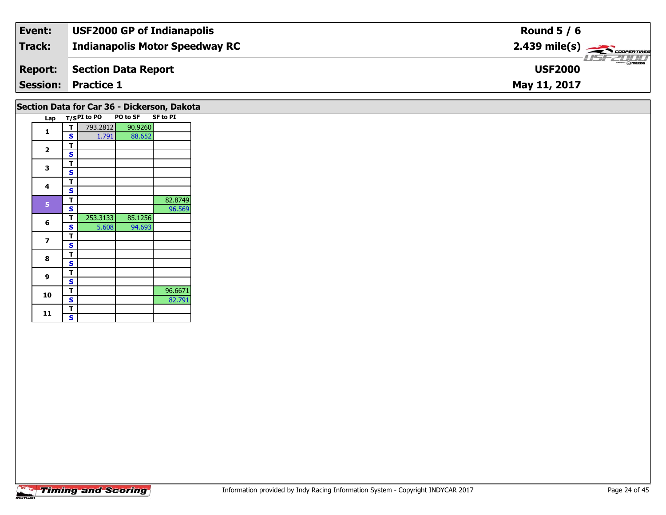| Event:         | <b>USF2000 GP of Indianapolis</b>     | Round $5/6$                                           |
|----------------|---------------------------------------|-------------------------------------------------------|
| Track:         | <b>Indianapolis Motor Speedway RC</b> | $2.439$ mile(s) $\overbrace{\hspace{2cm}}$ coorganged |
| <b>Report:</b> | Section Data Report                   | $\frac{2\pi}{2}$ omazoa<br><b>USF2000</b>             |
|                | <b>Session: Practice 1</b>            | May 11, 2017                                          |

#### **Section Data for Car 36 - Dickerson, Dakota**

| Lap          |   | T/SPI to PO | PO to SF | <b>SF to PI</b> |
|--------------|---|-------------|----------|-----------------|
| 1            | т | 793.2812    | 90.9260  |                 |
|              | S | 1.791       | 88.652   |                 |
| $\mathbf{2}$ | т |             |          |                 |
|              | S |             |          |                 |
| 3            | Т |             |          |                 |
|              | s |             |          |                 |
| 4            | т |             |          |                 |
|              | S |             |          |                 |
| 5            | т |             |          | 82.8749         |
|              | S |             |          | 96.569          |
| 6            | Т | 253.3133    | 85.1256  |                 |
|              | S | 5.608       | 94.693   |                 |
| 7            | т |             |          |                 |
|              | S |             |          |                 |
| 8            | т |             |          |                 |
|              | S |             |          |                 |
| 9            | т |             |          |                 |
|              | S |             |          |                 |
| 10           | T |             |          | 96.6671         |
|              | S |             |          | 82.791          |
| 11           | Т |             |          |                 |
|              | S |             |          |                 |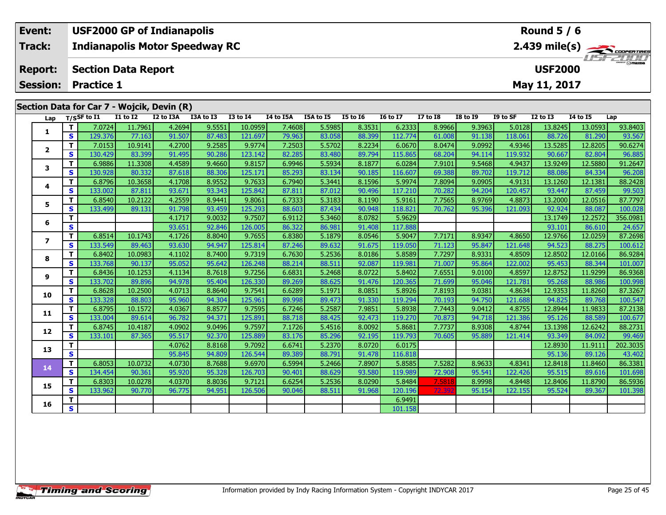| Event:                                     | <b>USF2000 GP of Indianapolis</b>     |          |           |           |                 | Round $5/6$                                              |                |              |                  |                 |                 |          |                 |          |     |  |
|--------------------------------------------|---------------------------------------|----------|-----------|-----------|-----------------|----------------------------------------------------------|----------------|--------------|------------------|-----------------|-----------------|----------|-----------------|----------|-----|--|
| <b>Track:</b>                              | <b>Indianapolis Motor Speedway RC</b> |          |           |           |                 | $2.439$ mile(s) $\overbrace{\phantom{1.556}2.007677769}$ |                |              |                  |                 |                 |          |                 |          |     |  |
| <b>Report:</b>                             | <b>Section Data Report</b>            |          |           |           |                 |                                                          | <b>USF2000</b> |              | <b>LISF 2000</b> |                 |                 |          |                 |          |     |  |
| <b>Session: Practice 1</b>                 |                                       |          |           |           |                 |                                                          |                | May 11, 2017 |                  |                 |                 |          |                 |          |     |  |
| Section Data for Car 7 - Wojcik, Devin (R) |                                       |          |           |           |                 |                                                          |                |              |                  |                 |                 |          |                 |          |     |  |
|                                            | Lap $T/S$ SF to I1                    | I1 to I2 | I2 to I3A | I3A to I3 | <b>I3 to I4</b> | I4 to I5A                                                | I5A to I5      | I5 to I6     | <b>I6 to I7</b>  | <b>I7 to I8</b> | <b>I8 to I9</b> | I9 to SF | <b>I2 to I3</b> | 14 to 15 | Lap |  |

| Lap            |                         | T/SSF to I1 | <b>I1 to I2</b> | I2 to I3A | I3A to I3 | <b>I3 to I4</b> | I4 to I5A | I5A to I5 | <b>I5 to 16</b> | <b>16 to 17</b> | I7 to I8 | <b>I8 to 19</b> | I9 to SF | I2 to I3 | <b>I4 to I5</b> | Lap      |
|----------------|-------------------------|-------------|-----------------|-----------|-----------|-----------------|-----------|-----------|-----------------|-----------------|----------|-----------------|----------|----------|-----------------|----------|
| 1              | т                       | 7.0724      | 11.7961         | 4.2694    | 9.5551    | 10.0959         | 7.4608    | 5.5985    | 8.3531          | 6.2333          | 8.9966   | 9.3963          | 5.0128   | 13.8245  | 13.0593         | 93.8403  |
|                | S                       | 129.376     | 77.163          | 91.507    | 87.483    | 121.697         | 79.963    | 83.058    | 88.399          | 112.774         | 61.008   | 91.138          | 118.061  | 88.726   | 81.290          | 93.567   |
| $\overline{2}$ | T.                      | 7.0153      | 10.9141         | 4.2700    | 9.2585    | 9.9774          | 7.2503    | 5.5702    | 8.2234          | 6.0670          | 8.0474   | 9.0992          | 4.9346   | 13.5285  | 12.8205         | 90.6274  |
|                | S.                      | 130.429     | 83.399          | 91.495    | 90.286    | 123.142         | 82.285    | 83.480    | 89.794          | 115.865         | 68.204   | 94.114          | 119.932  | 90.667   | 82.804          | 96.885   |
| 3              | T.                      | 6.9886      | 11.3308         | 4.4589    | 9.4660    | 9.8157          | 6.9946    | 5.5934    | 8.1877          | 6.0284          | 7.9101   | 9.5468          | 4.9437   | 13.9249  | 12.5880         | 91.2647  |
|                | S.                      | 130.928     | 80.332          | 87.618    | 88.306    | 125.171         | 85.293    | 83.134    | 90.185          | 116.607         | 69.388   | 89.702          | 119.712  | 88.086   | 84.334          | 96.208   |
| 4              | T.                      | 6.8796      | 10.3658         | 4.1708    | 8.9552    | 9.7633          | 6.7940    | 5.3441    | 8.1596          | 5.9974          | 7.8094   | 9.0905          | 4.9131   | 13.1260  | 12.1381         | 88.2428  |
|                | S.                      | 133.002     | 87.811          | 93.671    | 93.343    | 125.842         | 87.811    | 87.012    | 90.496          | 117.210         | 70.282   | 94.204          | 120.457  | 93.447   | 87.459          | 99.503   |
| 5              | T.                      | 6.8540      | 10.2122         | 4.2559    | 8.9441    | 9.8061          | 6.7333    | 5.3183    | 8.1190          | 5.9161          | 7.7565   | 8.9769          | 4.8873   | 13.2000  | 12.0516         | 87.7797  |
|                | S.                      | 133.499     | 89.131          | 91.798    | 93.459    | 125.293         | 88.603    | 87.434    | 90.948          | 118.821         | 70.762   | 95.396          | 121.093  | 92.924   | 88.087          | 100.028  |
| 6              | T                       |             |                 | 4.1717    | 9.0032    | 9.7507          | 6.9112    | 5.3460    | 8.0782          | 5.9629          |          |                 |          | 13.1749  | 12.2572         | 356.0981 |
|                | S                       |             |                 | 93.651    | 92.846    | 126.005         | 86.322    | 86.981    | 91.408          | 117.888         |          |                 |          | 93.101   | 86.610          | 24.657   |
| $\overline{ }$ | T.                      | 6.8514      | 10.1743         | 4.1726    | 8.8040    | 9.7655          | 6.8380    | 5.1879    | 8.0546          | 5.9047          | 7.7171   | 8.9347          | 4.8650   | 12.9766  | 12.0259         | 87.2698  |
|                | S.                      | 133.549     | 89.463          | 93.630    | 94.947    | 125.814         | 87.246    | 89.632    | 91.675          | 119.050         | 71.123   | 95.847          | 121.648  | 94.523   | 88.275          | 100.612  |
| 8              | T.                      | 6.8402      | 10.0983         | 4.1102    | 8.7400    | 9.7319          | 6.7630    | 5.2536    | 8.0186          | 5.8589          | 7.7297   | 8.9331          | 4.8509   | 12.8502  | 12.0166         | 86.9284  |
|                | S.                      | 133.768     | 90.137          | 95.052    | 95.642    | 126.248         | 88.214    | 88.511    | 92.087          | 119.981         | 71.007   | 95.864          | 122.002  | 95.453   | 88.344          | 101.007  |
| 9              | $\mathbf{T}$            | 6.8436      | 10.1253         | 4.1134    | 8.7618    | 9.7256          | 6.6831    | 5.2468    | 8.0722          | 5.8402          | 7.6551   | 9.0100          | 4.8597   | 12.8752  | 11.9299         | 86.9368  |
|                | S.                      | 133.702     | 89.896          | 94.978    | 95.404    | 126.330         | 89.269    | 88.625    | 91.476          | 120.365         | 71.699   | 95.046          | 121.781  | 95.268   | 88.986          | 100.998  |
| 10             | T.                      | 6.8628      | 10.2500         | 4.0713    | 8.8640    | 9.7541          | 6.6289    | 5.1971    | 8.0851          | 5.8926          | 7.8193   | 9.0381          | 4.8634   | 12.9353  | 11.8260         | 87.3267  |
|                | <b>S</b>                | 133.328     | 88.803          | 95.960    | 94.304    | 125.961         | 89.998    | 89.473    | 91.330          | 119.294         | 70.193   | 94.750          | 121.688  | 94.825   | 89.768          | 100.547  |
| 11             | T.                      | 6.8795      | 10.1572         | 4.0367    | 8.8577    | 9.7595          | 6.7246    | 5.2587    | 7.9851          | 5.8938          | 7.7443   | 9.0412          | 4.8755   | 12.8944  | 11.9833         | 87.2138  |
|                | S.                      | 133.004     | 89.614          | 96.782    | 94.371    | 125.891         | 88.718    | 88.425    | 92.473          | 119.270         | 70.873   | 94.718          | 121.386  | 95.126   | 88.589          | 100.677  |
| 12             | T.                      | 6.8745      | 10.4187         | 4.0902    | 9.0496    | 9.7597          | 7.1726    | 5.4516    | 8.0092          | 5.8681          | 7.7737   | 8.9308          | 4.8744   | 13.1398  | 12.6242         | 88.2731  |
|                | <b>S</b>                | 133.101     | 87.365          | 95.517    | 92.370    | 125.889         | 83.176    | 85.296    | 92.195          | 119.793         | 70.605   | 95.889          | 121.414  | 93.349   | 84.092          | 99.469   |
| 13             | т                       |             |                 | 4.0762    | 8.8168    | 9.7092          | 6.6741    | 5.2370    | 8.0720          | 6.0175          |          |                 |          | 12.8930  | 11.9111         | 202.3035 |
|                | $\overline{\mathbf{s}}$ |             |                 | 95.845    | 94.809    | 126.544         | 89.389    | 88.791    | 91.478          | 116.818         |          |                 |          | 95.136   | 89.126          | 43.402   |
| 14             | T.                      | 6.8053      | 10.0732         | 4.0730    | 8.7688    | 9.6970          | 6.5994    | 5.2466    | 7.8907          | 5.8585          | 7.5282   | 8.9633          | 4.8341   | 12.8418  | 11.8460         | 86.3381  |
|                | S                       | 134.454     | 90.361          | 95.920    | 95.328    | 126.703         | 90.401    | 88.629    | 93.580          | 119.989         | 72.908   | 95.541          | 122.426  | 95.515   | 89.616          | 101.698  |
| 15             | T.                      | 6.8303      | 10.0278         | 4.0370    | 8.8036    | 9.7121          | 6.6254    | 5.2536    | 8.0290          | 5.8484          | 7.5818   | 8.9998          | 4.8448   | 12.8406  | 11.8790         | 86.5936  |
|                | S.                      | 133.962     | 90.770          | 96.775    | 94.951    | 126.506         | 90.046    | 88.511    | 91.968          | 120.196         | 72.392   | 95.154          | 122.155  | 95.524   | 89.367          | 101.398  |
| 16             | T.                      |             |                 |           |           |                 |           |           |                 | 6.9491          |          |                 |          |          |                 |          |
|                | $\overline{\mathbf{s}}$ |             |                 |           |           |                 |           |           |                 | 101.158         |          |                 |          |          |                 |          |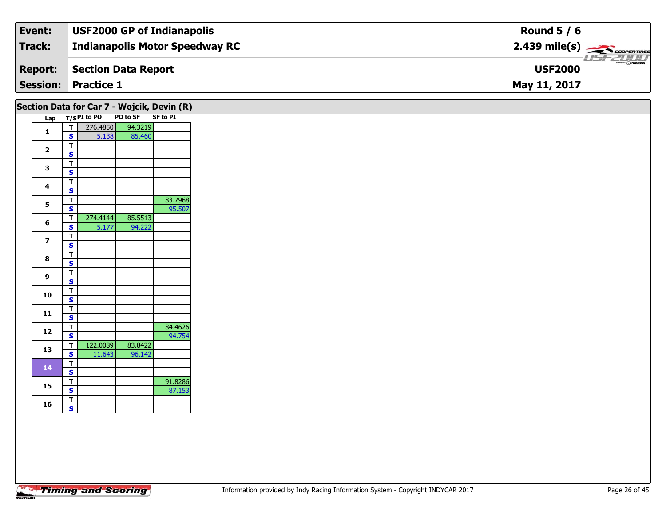| Event:         | <b>USF2000 GP of Indianapolis</b>     | Round $5/6$                                              |
|----------------|---------------------------------------|----------------------------------------------------------|
| Track:         | <b>Indianapolis Motor Speedway RC</b> | $2.439$ mile(s) $\rightarrow$ COOPERTIRES                |
| <b>Report:</b> | Section Data Report                   | $\overline{\phantom{m}}$ $\odot$ mazna<br><b>USF2000</b> |
|                | <b>Session: Practice 1</b>            | May 11, 2017                                             |

| PO to SF SF to PI<br>Lap T/SPI to PO<br>94.3219<br>न।<br>276.4850<br>$\mathbf{1}$<br>85.460<br>$\mathbf{s}$<br>5.138<br>$\blacksquare$<br>$\overline{\mathbf{2}}$<br>$\overline{\mathbf{s}}$<br>$\vert$<br>$\mathbf{3}$<br>$\overline{\mathbf{s}}$<br>$\blacksquare$<br>4<br>$\overline{\mathbf{s}}$<br>$rac{1}{s}$<br>5<br>274.4144<br>85.5513<br>τI<br>6<br>94.222<br>5.177<br>S<br>$\blacksquare$<br>$\overline{\mathbf{z}}$<br>$\overline{\mathbf{s}}$<br>$\overline{1}$<br>8<br>$\overline{\mathbf{s}}$<br>$\overline{r}$<br>9<br>$\mathbf{s}$<br>$\overline{1}$<br>10<br>$\overline{\mathbf{s}}$<br>$\mathbf{T}$<br>11<br>$\mathbf{s}$<br>$\mathsf{T}$<br>12<br>$\overline{\mathbf{s}}$<br>122.0089<br>83.8422<br>T<br>13<br>$\overline{\mathbf{s}}$<br>11.643<br>96.142<br>$\blacksquare$<br>14<br>$\mathbf{s}$<br>$\overline{r}$<br>15<br>$\overline{\mathbf{s}}$<br>T<br>16<br>$\mathsf{s}$ |  | Section Data for Car 7 - Wojcik, Devin (R) |         |
|------------------------------------------------------------------------------------------------------------------------------------------------------------------------------------------------------------------------------------------------------------------------------------------------------------------------------------------------------------------------------------------------------------------------------------------------------------------------------------------------------------------------------------------------------------------------------------------------------------------------------------------------------------------------------------------------------------------------------------------------------------------------------------------------------------------------------------------------------------------------------------------------------|--|--------------------------------------------|---------|
|                                                                                                                                                                                                                                                                                                                                                                                                                                                                                                                                                                                                                                                                                                                                                                                                                                                                                                      |  |                                            |         |
|                                                                                                                                                                                                                                                                                                                                                                                                                                                                                                                                                                                                                                                                                                                                                                                                                                                                                                      |  |                                            |         |
|                                                                                                                                                                                                                                                                                                                                                                                                                                                                                                                                                                                                                                                                                                                                                                                                                                                                                                      |  |                                            |         |
|                                                                                                                                                                                                                                                                                                                                                                                                                                                                                                                                                                                                                                                                                                                                                                                                                                                                                                      |  |                                            |         |
|                                                                                                                                                                                                                                                                                                                                                                                                                                                                                                                                                                                                                                                                                                                                                                                                                                                                                                      |  |                                            |         |
|                                                                                                                                                                                                                                                                                                                                                                                                                                                                                                                                                                                                                                                                                                                                                                                                                                                                                                      |  |                                            |         |
|                                                                                                                                                                                                                                                                                                                                                                                                                                                                                                                                                                                                                                                                                                                                                                                                                                                                                                      |  |                                            |         |
|                                                                                                                                                                                                                                                                                                                                                                                                                                                                                                                                                                                                                                                                                                                                                                                                                                                                                                      |  |                                            |         |
|                                                                                                                                                                                                                                                                                                                                                                                                                                                                                                                                                                                                                                                                                                                                                                                                                                                                                                      |  |                                            |         |
|                                                                                                                                                                                                                                                                                                                                                                                                                                                                                                                                                                                                                                                                                                                                                                                                                                                                                                      |  |                                            | 83.7968 |
|                                                                                                                                                                                                                                                                                                                                                                                                                                                                                                                                                                                                                                                                                                                                                                                                                                                                                                      |  |                                            | 95.507  |
|                                                                                                                                                                                                                                                                                                                                                                                                                                                                                                                                                                                                                                                                                                                                                                                                                                                                                                      |  |                                            |         |
|                                                                                                                                                                                                                                                                                                                                                                                                                                                                                                                                                                                                                                                                                                                                                                                                                                                                                                      |  |                                            |         |
|                                                                                                                                                                                                                                                                                                                                                                                                                                                                                                                                                                                                                                                                                                                                                                                                                                                                                                      |  |                                            |         |
|                                                                                                                                                                                                                                                                                                                                                                                                                                                                                                                                                                                                                                                                                                                                                                                                                                                                                                      |  |                                            |         |
|                                                                                                                                                                                                                                                                                                                                                                                                                                                                                                                                                                                                                                                                                                                                                                                                                                                                                                      |  |                                            |         |
|                                                                                                                                                                                                                                                                                                                                                                                                                                                                                                                                                                                                                                                                                                                                                                                                                                                                                                      |  |                                            |         |
|                                                                                                                                                                                                                                                                                                                                                                                                                                                                                                                                                                                                                                                                                                                                                                                                                                                                                                      |  |                                            |         |
|                                                                                                                                                                                                                                                                                                                                                                                                                                                                                                                                                                                                                                                                                                                                                                                                                                                                                                      |  |                                            |         |
|                                                                                                                                                                                                                                                                                                                                                                                                                                                                                                                                                                                                                                                                                                                                                                                                                                                                                                      |  |                                            |         |
|                                                                                                                                                                                                                                                                                                                                                                                                                                                                                                                                                                                                                                                                                                                                                                                                                                                                                                      |  |                                            |         |
|                                                                                                                                                                                                                                                                                                                                                                                                                                                                                                                                                                                                                                                                                                                                                                                                                                                                                                      |  |                                            |         |
|                                                                                                                                                                                                                                                                                                                                                                                                                                                                                                                                                                                                                                                                                                                                                                                                                                                                                                      |  |                                            |         |
|                                                                                                                                                                                                                                                                                                                                                                                                                                                                                                                                                                                                                                                                                                                                                                                                                                                                                                      |  |                                            | 84.4626 |
|                                                                                                                                                                                                                                                                                                                                                                                                                                                                                                                                                                                                                                                                                                                                                                                                                                                                                                      |  |                                            | 94.754  |
|                                                                                                                                                                                                                                                                                                                                                                                                                                                                                                                                                                                                                                                                                                                                                                                                                                                                                                      |  |                                            |         |
|                                                                                                                                                                                                                                                                                                                                                                                                                                                                                                                                                                                                                                                                                                                                                                                                                                                                                                      |  |                                            |         |
|                                                                                                                                                                                                                                                                                                                                                                                                                                                                                                                                                                                                                                                                                                                                                                                                                                                                                                      |  |                                            |         |
|                                                                                                                                                                                                                                                                                                                                                                                                                                                                                                                                                                                                                                                                                                                                                                                                                                                                                                      |  |                                            |         |
|                                                                                                                                                                                                                                                                                                                                                                                                                                                                                                                                                                                                                                                                                                                                                                                                                                                                                                      |  |                                            | 91.8286 |
|                                                                                                                                                                                                                                                                                                                                                                                                                                                                                                                                                                                                                                                                                                                                                                                                                                                                                                      |  |                                            | 87.153  |
|                                                                                                                                                                                                                                                                                                                                                                                                                                                                                                                                                                                                                                                                                                                                                                                                                                                                                                      |  |                                            |         |
|                                                                                                                                                                                                                                                                                                                                                                                                                                                                                                                                                                                                                                                                                                                                                                                                                                                                                                      |  |                                            |         |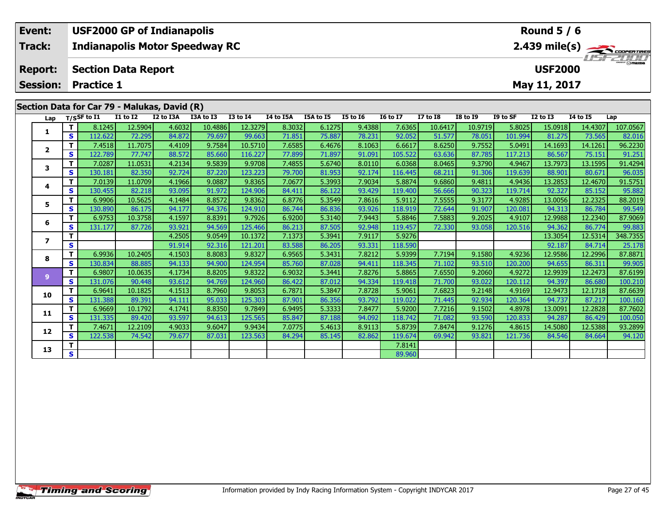|                                              | Event:          |                                 |                                              | <b>USF2000 GP of Indianapolis</b>     |           |                 | <b>Round 5 / 6</b><br>$2.439 \text{ mile(s)}$ |           |          |                 |                 |                 |          |                 |                 |     |
|----------------------------------------------|-----------------|---------------------------------|----------------------------------------------|---------------------------------------|-----------|-----------------|-----------------------------------------------|-----------|----------|-----------------|-----------------|-----------------|----------|-----------------|-----------------|-----|
| <b>Track:</b>                                |                 |                                 |                                              | <b>Indianapolis Motor Speedway RC</b> |           |                 |                                               |           |          |                 |                 |                 |          |                 |                 |     |
|                                              | <b>Report:</b>  |                                 | <b>USF2000</b><br><b>Section Data Report</b> |                                       |           |                 |                                               |           |          |                 |                 |                 |          |                 |                 |     |
|                                              | <b>Session:</b> | <b>Practice 1</b>               |                                              |                                       |           |                 | May 11, 2017                                  |           |          |                 |                 |                 |          |                 |                 |     |
|                                              |                 |                                 |                                              |                                       |           |                 |                                               |           |          |                 |                 |                 |          |                 |                 |     |
| Section Data for Car 79 - Malukas, David (R) |                 |                                 |                                              |                                       |           |                 |                                               |           |          |                 |                 |                 |          |                 |                 |     |
|                                              |                 | Lap $T/S$ SF to $\overline{11}$ | I1 to I2                                     | I2 to I3A                             | I3A to I3 | <b>I3 to I4</b> | I4 to I5A                                     | I5A to I5 | I5 to I6 | <b>I6 to I7</b> | <b>I7 to I8</b> | <b>I8 to 19</b> | I9 to SF | <b>I2 to I3</b> | <b>I4 to I5</b> | Lap |

| Lap          | ,,,,,        |         |         |        |         |         |        |        |        |         |         |         |         |         |         |          |
|--------------|--------------|---------|---------|--------|---------|---------|--------|--------|--------|---------|---------|---------|---------|---------|---------|----------|
|              | т            | 8.1245  | 12.5904 | 4.6032 | 10.4886 | 12.3279 | 8.3032 | 6.1275 | 9.4388 | 7.6365  | 10.6417 | 10.9719 | 5.8025  | 15.0918 | 14.4307 | 107.0567 |
|              | S            | 112.622 | 72.295  | 84.872 | 79.697  | 99.663  | 71.851 | 75.887 | 78.231 | 92.052  | 51.577  | 78.051  | 101.994 | 81.275  | 73.565  | 82.016   |
|              | т            | 7.4518  | 11.7075 | 4.4109 | 9.7584  | 10.5710 | 7.6585 | 6.4676 | 8.1063 | 6.6617  | 8.6250  | 9.7552  | 5.0491  | 14.1693 | 14.1261 | 96.2230  |
| $\mathbf{2}$ | S            | 122.789 | 77.747  | 88.572 | 85.660  | 116.227 | 77.899 | 71.897 | 91.091 | 105.522 | 63.636  | 87.785  | 117.213 | 86.567  | 75.151  | 91.251   |
|              | т            | 7.0287  | 11.0531 | 4.2134 | 9.5839  | 9.9708  | 7.4855 | 5.6740 | 8.0110 | 6.0368  | 8.0465  | 9.3790  | 4.9467  | 13.7973 | 13.1595 | 91.4294  |
| 3            | S            | 130.181 | 82.350  | 92.724 | 87.220  | 123.223 | 79.700 | 81.953 | 92.174 | 116.445 | 68.211  | 91.306  | 119.639 | 88.901  | 80.671  | 96.035   |
|              | т            | 7.0139  | 11.0709 | 4.1966 | 9.0887  | 9.8365  | 7.0677 | 5.3993 | 7.9034 | 5.8874  | 9.6860  | 9.4811  | 4.9436  | 13.2853 | 12.4670 | 91.5751  |
| 4            | $\mathbf{s}$ | 130.455 | 82.218  | 93.095 | 91.972  | 124.906 | 84.411 | 86.122 | 93.429 | 119.400 | 56.666  | 90.323  | 119.714 | 92.327  | 85.152  | 95.882   |
| 5            | т            | 6.9906  | 10.5625 | 4.1484 | 8.8572  | 9.8362  | 6.8776 | 5.3549 | 7.8616 | 5.9112  | 7.5555  | 9.3177  | 4.9285  | 13.0056 | 12.2325 | 88.2019  |
|              | <b>S</b>     | 130.890 | 86.175  | 94.177 | 94.376  | 124.910 | 86.744 | 86.836 | 93.926 | 118.919 | 72.644  | 91.907  | 120.081 | 94.313  | 86.784  | 99.549   |
|              | т            | 6.9753  | 10.3758 | 4.1597 | 8.8391  | 9.7926  | 6.9200 | 5.3140 | 7.9443 | 5.8846  | 7.5883  | 9.2025  | 4.9107  | 12.9988 | 12.2340 | 87.9069  |
| 6            | S            | 131.177 | 87.726  | 93.921 | 94.569  | 125.466 | 86.213 | 87.505 | 92.948 | 119.457 | 72.330  | 93.058  | 120.516 | 94.362  | 86.774  | 99.883   |
|              | т            |         |         | 4.2505 | 9.0549  | 10.1372 | 7.1373 | 5.3941 | 7.9117 | 5.9276  |         |         |         | 13.3054 | 12.5314 | 348.7355 |
| 7            | $\mathbf{s}$ |         |         | 91.914 | 92.316  | 121.201 | 83.588 | 86.205 | 93.331 | 118.590 |         |         |         | 92.187  | 84.714  | 25.178   |
|              | т            | 6.9936  | 10.2405 | 4.1503 | 8.8083  | 9.8327  | 6.9565 | 5.3431 | 7.8212 | 5.9399  | 7.7194  | 9.1580  | 4.9236  | 12.9586 | 12.2996 | 87.8871  |
| 8            | S            | 130.834 | 88.885  | 94.133 | 94.900  | 124.954 | 85.760 | 87.028 | 94.411 | 118.345 | 71.102  | 93.510  | 120.200 | 94.655  | 86.311  | 99.905   |
|              | т            | 6.9807  | 10.0635 | 4.1734 | 8.8205  | 9.8322  | 6.9032 | 5.3441 | 7.8276 | 5.8865  | 7.6550  | 9.2060  | 4.9272  | 12.9939 | 12.2473 | 87.6199  |
| 9            | <b>S</b>     | 131.076 | 90.448  | 93.612 | 94.769  | 124.960 | 86.422 | 87.012 | 94.334 | 119.418 | 71.700  | 93.022  | 120.112 | 94.397  | 86.680  | 100.210  |
|              | т            | 6.9641  | 10.1825 | 4.1513 | 8.7960  | 9.8053  | 6.7871 | 5.3847 | 7.8728 | 5.9061  | 7.6823  | 9.2148  | 4.9169  | 12.9473 | 12.1718 | 87.6639  |
| 10           | S            | 131.388 | 89.391  | 94.111 | 95.033  | 125.303 | 87.901 | 86.356 | 93.792 | 119.022 | 71.445  | 92.934  | 120.364 | 94.737  | 87.217  | 100.160  |
|              | т            | 6.9669  | 10.1792 | 4.1741 | 8.8350  | 9.7849  | 6.9495 | 5.3333 | 7.8477 | 5.9200  | 7.7216  | 9.1502  | 4.8978  | 13.0091 | 12.2828 | 87.7602  |
| 11           | S            | 131.335 | 89.420  | 93.597 | 94.613  | 125.565 | 85.847 | 87.188 | 94.092 | 118.742 | 71.082  | 93.590  | 120.833 | 94.287  | 86.429  | 100.050  |
|              | т            | 7.4671  | 12.2109 | 4.9033 | 9.6047  | 9.9434  | 7.0775 | 5.4613 | 8.9113 | 5.8739  | 7.8474  | 9.1276  | 4.8615  | 14.5080 | 12.5388 | 93.2899  |
| 12           | S            | 122.538 | 74.542  | 79.677 | 87.031  | 123.563 | 84.294 | 85.145 | 82.862 | 119.674 | 69.942  | 93.821  | 121.736 | 84.546  | 84.664  | 94.120   |
|              | т            |         |         |        |         |         |        |        |        | 7.8141  |         |         |         |         |         |          |
| 13           | $\mathbf{s}$ |         |         |        |         |         |        |        |        | 89.960  |         |         |         |         |         |          |
|              |              |         |         |        |         |         |        |        |        |         |         |         |         |         |         |          |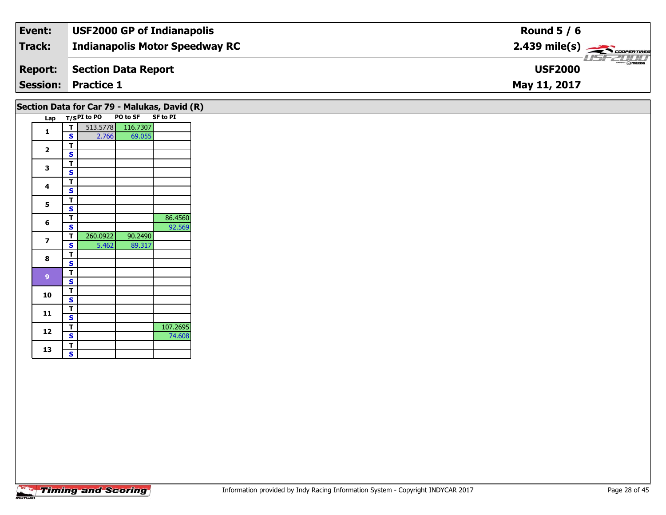| Event:         | <b>USF2000 GP of Indianapolis</b>     | Round $5/6$                                             |
|----------------|---------------------------------------|---------------------------------------------------------|
| Track:         | <b>Indianapolis Motor Speedway RC</b> | $2.439$ mile(s) $\overbrace{\hspace{2cm}}$ COOPER TIRES |
| <b>Report:</b> | Section Data Report                   | $\frac{2\pi}{2}$ omazoa<br><b>USF2000</b>               |
|                | <b>Session: Practice 1</b>            | May 11, 2017                                            |

| Lap                      |                         | T/SPI to PO | PO to SF | Section Data for Car 79 - Malukas, David (R)<br><b>SF to PI</b> |
|--------------------------|-------------------------|-------------|----------|-----------------------------------------------------------------|
| $\mathbf{1}$             | T                       | 513.5778    | 116.7307 |                                                                 |
|                          | $\mathbf{s}$            | 2.766       | 69.055   |                                                                 |
| $\overline{2}$           | T                       |             |          |                                                                 |
|                          | $\mathbf{s}$            |             |          |                                                                 |
| 3                        | T                       |             |          |                                                                 |
|                          | $\mathbf{s}$            |             |          |                                                                 |
| $\overline{\mathbf{4}}$  | T                       |             |          |                                                                 |
|                          | $\mathbf{s}$            |             |          |                                                                 |
| 5                        | T                       |             |          |                                                                 |
|                          | $\mathbf s$             |             |          |                                                                 |
| 6                        | T                       |             |          | 86.4560                                                         |
|                          | $\mathbf{s}$            |             |          | 92.569                                                          |
| $\overline{\phantom{a}}$ | T                       | 260.0922    | 90.2490  |                                                                 |
|                          | $\mathbf{s}$            | 5.462       | 89.317   |                                                                 |
| 8                        | T                       |             |          |                                                                 |
|                          | $\mathbf{s}$            |             |          |                                                                 |
| $\overline{9}$           | T                       |             |          |                                                                 |
|                          | $\mathbf{s}$            |             |          |                                                                 |
| 10                       | T                       |             |          |                                                                 |
|                          | $\mathbf s$             |             |          |                                                                 |
| 11                       | T                       |             |          |                                                                 |
|                          | $\overline{\mathbf{s}}$ |             |          |                                                                 |
| 12                       | T                       |             |          | 107.2695                                                        |
|                          | $\mathbf{s}$            |             |          | 74.608                                                          |
| 13                       | $\overline{\mathsf{r}}$ |             |          |                                                                 |
|                          | $\mathbf{s}$            |             |          |                                                                 |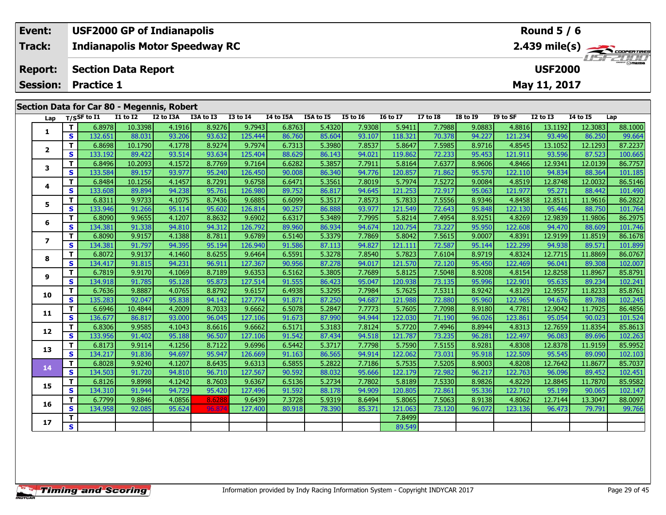| Event:         | <b>USF2000 GP of Indianapolis</b>          | Round $5/6$                                          |
|----------------|--------------------------------------------|------------------------------------------------------|
| Track:         | <b>Indianapolis Motor Speedway RC</b>      | $2.439$ mile(s) $\overbrace{\hspace{2cm}}$ coorgange |
| <b>Report:</b> | Section Data Report                        | <b>LISF 2004</b><br><b>USF2000</b>                   |
|                | <b>Session: Practice 1</b>                 | May 11, 2017                                         |
|                | Section Data for Car 80 - Megennis, Robert |                                                      |

| Lap            |                         | T/SSF to I1 | I1 to I2 | I2 to I3A | I3A to I3 | <b>I3 to I4</b> | I4 to I5A | I5A to I5 | <b>I5 to 16</b> | <b>16 to 17</b> | <b>I7 to I8</b> | <b>I8 to 19</b> | I9 to SF | <b>I2 to I3</b> | <b>I4 to I5</b> | Lap     |
|----------------|-------------------------|-------------|----------|-----------|-----------|-----------------|-----------|-----------|-----------------|-----------------|-----------------|-----------------|----------|-----------------|-----------------|---------|
|                | T.                      | 6.8978      | 10.3398  | 4.1916    | 8.9276    | 9.7943          | 6.8763    | 5.4320    | 7.9308          | 5.9411          | 7.7988          | 9.0883          | 4.8816   | 13.1192         | 12.3083         | 88.1000 |
| 1              | $\mathbf{s}$            | 132.651     | 88.031   | 93.206    | 93.632    | 125.444         | 86.760    | 85.604    | 93.107          | 118.321         | 70.378          | 94.227          | 121.234  | 93.496          | 86.250          | 99.664  |
|                | T.                      | 6.8698      | 10.1790  | 4.1778    | 8.9274    | 9.7974          | 6.7313    | 5.3980    | 7.8537          | 5.8647          | 7.5985          | 8.9716          | 4.8545   | 13.1052         | 12.1293         | 87.2237 |
| $\overline{2}$ | S                       | 133.192     | 89.422   | 93.514    | 93.634    | 125.404         | 88.629    | 86.143    | 94.021          | 119.862         | 72.233          | 95.453          | 121.911  | 93.596          | 87.523          | 100.665 |
|                | T.                      | 6.8496      | 10.2093  | 4.1572    | 8.7769    | 9.7164          | 6.6282    | 5.3857    | 7.7911          | 5.8164          | 7.6377          | 8.9606          | 4.8466   | 12.9341         | 12.0139         | 86.7757 |
| 3              | $\mathbf{s}$            | 133.584     | 89.157   | 93.977    | 95.240    | 126.450         | 90.008    | 86.340    | 94.776          | 120.857         | 71.862          | 95.570          | 122.110  | 94.834          | 88.364          | 101.185 |
|                | т                       | 6.8484      | 10.1256  | 4.1457    | 8.7291    | 9.6758          | 6.6471    | 5.3561    | 7.8019          | 5.7974          | 7.5272          | 9.0084          | 4.8519   | 12.8748         | 12.0032         | 86.5146 |
| 4              | S                       | 133.608     | 89.894   | 94.238    | 95.761    | 126.980         | 89.752    | 86.817    | 94.645          | 121.253         | 72.917          | 95.063          | 121.977  | 95.271          | 88.442          | 101.490 |
| 5              | T.                      | 6.8311      | 9.9733   | 4.1075    | 8.7436    | 9.6885          | 6.6099    | 5.3517    | 7.8573          | 5.7833          | 7.5556          | 8.9346          | 4.8458   | 12.8511         | 11.9616         | 86.2822 |
|                | <b>S</b>                | 133.946     | 91.266   | 95.114    | 95.602    | 126.814         | 90.257    | 86.888    | 93.977          | 121.549         | 72.643          | 95.848          | 122.130  | 95.446          | 88.750          | 101.764 |
| 6              | T.                      | 6.8090      | 9.9655   | 4.1207    | 8.8632    | 9.6902          | 6.6317    | 5.3489    | 7.7995          | 5.8214          | 7.4954          | 8.9251          | 4.8269   | 12.9839         | 11.9806         | 86.2975 |
|                | <b>S</b>                | 134.381     | 91.338   | 94.810    | 94.312    | 126.792         | 89.960    | 86.934    | 94.674          | 120.754         | 73.227          | 95.950          | 122.608  | 94.470          | 88.609          | 101.746 |
| $\mathbf{z}$   | T.                      | 6.8090      | 9.9157   | 4.1388    | 8.7811    | 9.6789          | 6.5140    | 5.3379    | 7.7869          | 5.8042          | 7.5615          | 9.0007          | 4.8391   | 12.9199         | 11.8519         | 86.1678 |
|                | S                       | 134.381     | 91.797   | 94.395    | 95.194    | 126.940         | 91.586    | 87.113    | 94.827          | 121.111         | 72.587          | 95.144          | 122.299  | 94.938          | 89.571          | 101.899 |
| 8              | T                       | 6.8072      | 9.9137   | 4.1460    | 8.6255    | 9.6464          | 6.5591    | 5.3278    | 7.8540          | 5.7823          | 7.6104          | 8.9719          | 4.8324   | 12.7715         | 11.8869         | 86.0767 |
|                | $\mathbf{s}$            | 134.417     | 91.815   | 94.231    | 96.911    | 127.367         | 90.956    | 87.278    | 94.017          | 121.570         | 72.120          | 95.450          | 122.469  | 96.041          | 89.308          | 102.007 |
| 9              | T.                      | 6.7819      | 9.9170   | 4.1069    | 8.7189    | 9.6353          | 6.5162    | 5.3805    | 7.7689          | 5.8125          | 7.5048          | 8.9208          | 4.8154   | 12.8258         | 11.8967         | 85.8791 |
|                | $\mathbf{s}$            | 134.918     | 91.785   | 95.128    | 95.873    | 127.514         | 91.555    | 86.423    | 95.047          | 120.938         | 73.135          | 95.996          | 122.901  | 95.635          | 89.234          | 102.241 |
| 10             | T.                      | 6.7636      | 9.8887   | 4.0765    | 8.8792    | 9.6157          | 6.4938    | 5.3295    | 7.7984          | 5.7625          | 7.5311          | 8.9242          | 4.8129   | 12.9557         | 11.8233         | 85.8761 |
|                | S                       | 135.283     | 92.047   | 95.838    | 94.142    | 127.774         | 91.871    | 87.250    | 94.687          | 121.988         | 72.880          | 95.960          | 122.965  | 94.676          | 89.788          | 102.245 |
| 11             | $\mathbf{T}$            | 6.6946      | 10.4844  | 4.2009    | 8.7033    | 9.6662          | 6.5078    | 5.2847    | 7.7773          | 5.7605          | 7.7098          | 8.9180          | 4.7781   | 12.9042         | 11.7925         | 86.4856 |
|                | $\mathbf{s}$            | 136.677     | 86.817   | 93,000    | 96.045    | 127.106         | 91.673    | 87.990    | 94.944          | 122.030         | 71.190          | 96.026          | 123.861  | 95.054          | 90.023          | 101.524 |
| 12             | T.                      | 6.8306      | 9.9585   | 4.1043    | 8.6616    | 9.6662          | 6.5171    | 5.3183    | 7.8124          | 5.7720          | 7.4946          | 8.8944          | 4.8313   | 12.7659         | 11.8354         | 85.8613 |
|                | $\mathbf{s}$            | 133.956     | 91.402   | 95.188    | 96.507    | 127.106         | 91.542    | 87.434    | 94.518          | 121.787         | 73.235          | 96.281          | 122.497  | 96.083          | 89.696          | 102.263 |
| 13             | T.                      | 6.8173      | 9.9114   | 4.1256    | 8.7122    | 9.6996          | 6.5442    | 5.3717    | 7.7798          | 5.7590          | 7.5155          | 8.9281          | 4.8308   | 12.8378         | 11.9159         | 85.9952 |
|                | $\overline{\mathbf{s}}$ | 134.217     | 91.836   | 94.697    | 95.947    | 126.669         | 91.163    | 86.565    | 94.914          | 122.062         | 73.031          | 95.918          | 122.509  | 95.545          | 89.090          | 102.103 |
| 14             | T.                      | 6.8028      | 9.9240   | 4.1207    | 8.6435    | 9.6313          | 6.5855    | 5.2822    | 7.7186          | 5.7535          | 7.5205          | 8.9003          | 4.8208   | 12.7642         | 11.8677         | 85.7037 |
|                | $\mathbf{s}$            | 134.503     | 91.720   | 94.810    | 96.710    | 127.567         | 90.592    | 88.032    | 95.666          | 122.179         | 72.982          | 96.217          | 122.763  | 96.096          | 89.452          | 102.451 |
| 15             | T.                      | 6.8126      | 9.8998   | 4.1242    | 8.7603    | 9.6367          | 6.5136    | 5.2734    | 7.7802          | 5.8189          | 7.5330          | 8.9826          | 4.8229   | 12.8845         | 11.7870         | 85.9582 |
|                | S                       | 134.310     | 91.944   | 94.729    | 95.420    | 127.496         | 91.592    | 88.178    | 94.909          | 120.805         | 72.861          | 95.336          | 122.710  | 95.199          | 90.065          | 102.147 |
| 16             | $\mathbf{T}$            | 6.7799      | 9.8846   | 4.0856    | 8.6288    | 9.6439          | 7.3728    | 5.9319    | 8.6494          | 5.8065          | 7.5063          | 8.9138          | 4.8062   | 12.7144         | 13.3047         | 88.0097 |
|                | $\mathbf{s}$            | 134.958     | 92.085   | 95.624    | 96.87     | 127.400         | 80.918    | 78.390    | 85.371          | 121.063         | 73.120          | 96.072          | 123.136  | 96.473          | 79.791          | 99.766  |
| 17             | T                       |             |          |           |           |                 |           |           |                 | 7.8499          |                 |                 |          |                 |                 |         |
|                | $\overline{\mathbf{s}}$ |             |          |           |           |                 |           |           |                 | 89.549          |                 |                 |          |                 |                 |         |

œ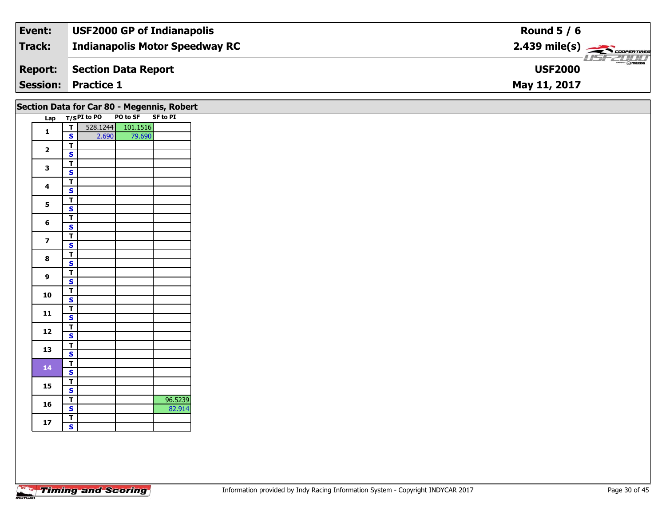| Event:         | <b>USF2000 GP of Indianapolis</b>     | Round $5/6$                                             |
|----------------|---------------------------------------|---------------------------------------------------------|
| Track:         | <b>Indianapolis Motor Speedway RC</b> | $2.439$ mile(s) $\overbrace{\hspace{2cm}}$ COOPER TIRES |
| <b>Report:</b> | Section Data Report                   | $\frac{2\pi}{2}$ omazoa<br><b>USF2000</b>               |
|                | <b>Session: Practice 1</b>            | May 11, 2017                                            |

|  |                         |                                                    | Section Data for Car 80 - Megennis, Robert |                   |         |
|--|-------------------------|----------------------------------------------------|--------------------------------------------|-------------------|---------|
|  |                         |                                                    | Lap T/SPI to PO                            | PO to SF SF to PI |         |
|  | $\mathbf{1}$            | T                                                  |                                            | 528.1244 101.1516 |         |
|  |                         | $\mathbf{s}$                                       | 2.690                                      | 79.690            |         |
|  | $\overline{\mathbf{2}}$ | $\overline{\mathsf{r}}$                            |                                            |                   |         |
|  |                         | $\overline{\mathbf{s}}$                            |                                            |                   |         |
|  | $\mathbf{3}$            | $\overline{\mathsf{r}}$<br>$\overline{\mathbf{s}}$ |                                            |                   |         |
|  |                         | $\overline{\mathsf{r}}$                            |                                            |                   |         |
|  | $\overline{\mathbf{4}}$ | $\mathbf{s}$                                       |                                            |                   |         |
|  |                         | $\overline{\mathsf{T}}$                            |                                            |                   |         |
|  | 5                       | $\overline{\mathbf{s}}$                            |                                            |                   |         |
|  |                         | $\overline{\mathbf{r}}$                            |                                            |                   |         |
|  | 6                       | $\mathbf{s}$                                       |                                            |                   |         |
|  |                         | $\overline{\mathsf{T}}$                            |                                            |                   |         |
|  | $\overline{\mathbf{z}}$ | $\mathbf{s}$                                       |                                            |                   |         |
|  |                         | $\overline{\mathsf{r}}$                            |                                            |                   |         |
|  | $\bf{8}$                | $\overline{\mathbf{s}}$                            |                                            |                   |         |
|  | 9                       | $\overline{\mathsf{T}}$                            |                                            |                   |         |
|  |                         | $\mathsf{s}$                                       |                                            |                   |         |
|  | 10                      | $rac{1}{s}$                                        |                                            |                   |         |
|  |                         |                                                    |                                            |                   |         |
|  | 11                      | $\frac{T}{S}$                                      |                                            |                   |         |
|  |                         |                                                    |                                            |                   |         |
|  | 12                      | $\frac{1}{s}$                                      |                                            |                   |         |
|  |                         |                                                    |                                            |                   |         |
|  | 13                      | $\overline{1}$<br>$\overline{\mathbf{s}}$          |                                            |                   |         |
|  |                         | $\overline{\mathsf{T}}$                            |                                            |                   |         |
|  | 14                      | $\mathbf{s}$                                       |                                            |                   |         |
|  |                         | $\overline{1}$                                     |                                            |                   |         |
|  | 15                      | $\overline{\mathbf{s}}$                            |                                            |                   |         |
|  |                         | $\overline{\mathbf{T}}$                            |                                            |                   | 96.5239 |
|  | 16                      | $\mathsf{s}$                                       |                                            |                   | 82.914  |
|  |                         | $\overline{\mathsf{T}}$                            |                                            |                   |         |
|  | 17                      | $\mathbf{s}$                                       |                                            |                   |         |
|  |                         |                                                    |                                            |                   |         |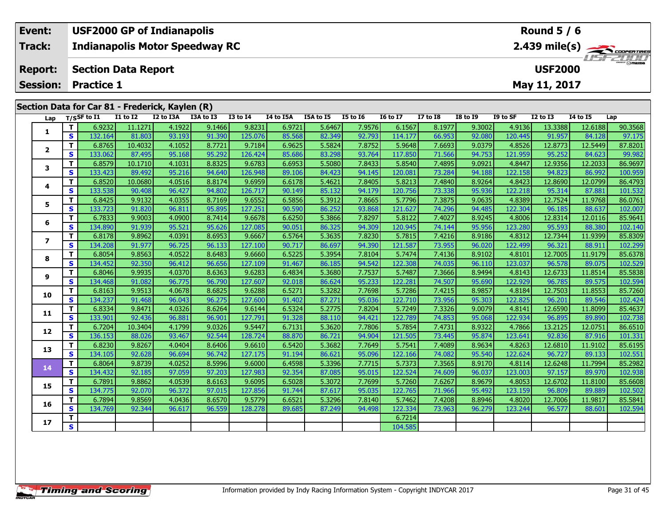| Event:                                          |                 | <b>USF2000 GP of Indianapolis</b>                                                                                                |                 |           |           |                 | Round $5/6$      |           |          |                 |                 |                 |          |                 |                 |     |  |
|-------------------------------------------------|-----------------|----------------------------------------------------------------------------------------------------------------------------------|-----------------|-----------|-----------|-----------------|------------------|-----------|----------|-----------------|-----------------|-----------------|----------|-----------------|-----------------|-----|--|
| Track:                                          |                 | <b>Indianapolis Motor Speedway RC</b>                                                                                            |                 |           |           | 2.439 mile(s)   |                  |           |          |                 |                 |                 |          |                 |                 |     |  |
| <b>Report:</b>                                  |                 | <b>Section Data Report</b><br><b>USF2000</b>                                                                                     |                 |           |           |                 |                  |           |          |                 |                 |                 |          |                 |                 |     |  |
|                                                 | <b>Session:</b> | <b>Practice 1</b>                                                                                                                |                 |           |           |                 |                  |           |          | May 11, 2017    |                 |                 |          |                 |                 |     |  |
| Section Data for Car 81 - Frederick, Kaylen (R) |                 |                                                                                                                                  |                 |           |           |                 |                  |           |          |                 |                 |                 |          |                 |                 |     |  |
|                                                 | Lap             | $T/S$ SF to I1<br>El consideració a contra consideració a contra consideración de la consideración de la consideración de contra | <b>I1 to I2</b> | I2 to I3A | I3A to I3 | <b>I3 to I4</b> | <b>I4 to I5A</b> | I5A to I5 | I5 to I6 | <b>16 to 17</b> | <b>I7 to I8</b> | <b>I8 to I9</b> | I9 to SF | <b>I2 to I3</b> | <b>I4 to I5</b> | Lap |  |

| Lap                     |              | 1/25r to 11 | <b>TT 10 TY</b> | <b>IZ WISA</b> | <b>TOW TO TP</b> | 12 TO 14 | 14 to 15A | 15A to 15 | <b>13 10 10</b> | TO TO TV | <b>T\ fO TO</b> | TO TO TA | זכ טו עו | TY 10 T2 | <b>14 10 13</b> | ∟ap     |
|-------------------------|--------------|-------------|-----------------|----------------|------------------|----------|-----------|-----------|-----------------|----------|-----------------|----------|----------|----------|-----------------|---------|
|                         | т            | 6.9232      | 11.1271         | 4.1922         | 9.1466           | 9.8231   | 6.9721    | 5.6467    | 7.9576          | 6.1567   | 8.1977          | 9.3002   | 4.9136   | 13.3388  | 12.6188         | 90.3568 |
| 1                       | S            | 132.164     | 81.803          | 93.193         | 91.390           | 125.076  | 85.568    | 82.349    | 92.793          | 114.177  | 66.953          | 92.080   | 120.445  | 91.957   | 84.128          | 97.175  |
|                         | т            | 6.8765      | 10.4032         | 4.1052         | 8.7721           | 9.7184   | 6.9625    | 5.5824    | 7.8752          | 5.9648   | 7.6693          | 9.0379   | 4.8526   | 12.8773  | 12.5449         | 87.8201 |
| $\overline{2}$          | S            | 133.062     | 87.495          | 95.168         | 95.292           | 126.424  | 85.686    | 83.298    | 93.764          | 117.850  | 71.566          | 94.753   | 121.959  | 95.252   | 84.623          | 99.982  |
|                         | т            | 6.8579      | 10.1710         | 4.1031         | 8.8325           | 9.6783   | 6.6953    | 5.5080    | 7.8433          | 5.8540   | 7.4895          | 9.0921   | 4.8447   | 12.9356  | 12.2033         | 86.9697 |
| 3                       | S            | 133.423     | 89.492          | 95.216         | 94.640           | 126.948  | 89.106    | 84.423    | 94.145          | 120.081  | 73.284          | 94.188   | 122.158  | 94.823   | 86.992          | 100.959 |
|                         | т            | 6.8520      | 10.0680         | 4.0516         | 8.8174           | 9.6959   | 6.6178    | 5.4621    | 7.8405          | 5.8213   | 7.4840          | 8.9264   | 4.8423   | 12.8690  | 12.0799         | 86.4793 |
| 4                       | S            | 133.538     | 90.408          | 96.427         | 94.802           | 126.717  | 90.149    | 85.132    | 94.179          | 120.756  | 73.338          | 95.936   | 122.218  | 95.314   | 87.881          | 101.532 |
| 5                       | т            | 6.8425      | 9.9132          | 4.0355         | 8.7169           | 9.6552   | 6.5856    | 5.3912    | 7.8665          | 5.7796   | 7.3875          | 9.0635   | 4.8389   | 12.7524  | 11.9768         | 86.0761 |
|                         | S            | 133.723     | 91.820          | 96.811         | 95.895           | 127.251  | 90.590    | 86.252    | 93.868          | 121.627  | 74.296          | 94.485   | 122.304  | 96.185   | 88.637          | 102.007 |
|                         | т            | 6.7833      | 9.9003          | 4.0900         | 8.7414           | 9.6678   | 6.6250    | 5.3866    | 7.8297          | 5.8122   | 7.4027          | 8.9245   | 4.8006   | 12.8314  | 12.0116         | 85.9641 |
| 6                       | S            | 134.890     | 91.939          | 95.521         | 95.626           | 127.085  | 90.051    | 86.325    | 94.309          | 120.945  | 74.144          | 95.956   | 123.280  | 95.593   | 88.380          | 102.140 |
| $\overline{\mathbf{z}}$ | т            | 6.8178      | 9.8962          | 4.0391         | 8.6953           | 9.6667   | 6.5764    | 5.3635    | 7.8230          | 5.7815   | 7.4216          | 8.9186   | 4.8312   | 12.7344  | 11.9399         | 85.8309 |
|                         | S            | 134.208     | 91.977          | 96.725         | 96.133           | 127.100  | 90.717    | 86.697    | 94.390          | 121.587  | 73.955          | 96.020   | 122.499  | 96.321   | 88.911          | 102.299 |
| 8                       | т            | 6.8054      | 9.8563          | 4.0522         | 8.6483           | 9.6660   | 6.5225    | 5.3954    | 7.8104          | 5.7474   | 7.4136          | 8.9102   | 4.8101   | 12.7005  | 11.9179         | 85.6378 |
|                         | S            | 134.452     | 92.350          | 96.412         | 96.656           | 127.109  | 91.467    | 86.185    | 94.542          | 122.308  | 74.035          | 96.110   | 123.037  | 96.578   | 89.075          | 102.529 |
| 9                       | Т            | 6.8046      | 9.9935          | 4.0370         | 8.6363           | 9.6283   | 6.4834    | 5.3680    | 7.7537          | 5.7487   | 7.3666          | 8.9494   | 4.8143   | 12.6733  | 11.8514         | 85.5838 |
|                         | S            | 134.468     | 91.082          | 96.775         | 96.790           | 127.607  | 92.018    | 86.624    | 95.233          | 122.281  | 74.507          | 95.690   | 122.929  | 96.785   | 89.575          | 102.594 |
| 10                      | т            | 6.8163      | 9.9513          | 4.0678         | 8.6825           | 9.6288   | 6.5271    | 5.3282    | 7.7698          | 5.7286   | 7.4215          | 8.9857   | 4.8184   | 12.7503  | 11.8553         | 85.7260 |
|                         | S            | 134.237     | 91.468          | 96.043         | 96.275           | 127.600  | 91.402    | 87.271    | 95.036          | 122.710  | 73.956          | 95.303   | 122.825  | 96.201   | 89.546          | 102.424 |
| 11                      | т            | 6.8334      | 9.8471          | 4.0326         | 8.6264           | 9.6144   | 6.5324    | 5.2775    | 7.8204          | 5.7249   | 7.3326          | 9.0079   | 4.8141   | 12.6590  | 11.8099         | 85.4637 |
|                         | S            | 133.901     | 92.436          | 96.881         | 96.901           | 127.791  | 91.328    | 88.110    | 94.421          | 122.789  | 74.853          | 95.068   | 122.934  | 96.895   | 89.890          | 102.738 |
| 12                      | т            | 6.7204      | 10.3404         | 4.1799         | 9.0326           | 9.5447   | 6.7131    | 5.3620    | 7.7806          | 5.7854   | 7.4731          | 8.9322   | 4.7866   | 13.2125  | 12.0751         | 86.6510 |
|                         | S            | 136.153     | 88.026          | 93.467         | 92.544           | 128.724  | 88.870    | 86.721    | 94.904          | 121.505  | 73.445          | 95.874   | 123.641  | 92.836   | 87.916          | 101.331 |
| 13                      | т            | 6.8230      | 9.8267          | 4.0404         | 8.6406           | 9.6610   | 6.5420    | 5.3682    | 7.7649          | 5.7541   | 7.4089          | 8.9634   | 4.8263   | 12.6810  | 11.9102         | 85.6195 |
|                         | S            | 134.105     | 92.628          | 96.694         | 96.742           | 127.175  | 91.194    | 86.621    | 95.096          | 122.166  | 74.082          | 95.540   | 122.624  | 96.727   | 89.133          | 102.551 |
| 14                      | т            | 6.8064      | 9.8739          | 4.0252         | 8.5996           | 9.6000   | 6.4598    | 5.3396    | 7.7715          | 5.7373   | 7.3565          | 8.9170   | 4.8114   | 12.6248  | 11.7994         | 85.2982 |
|                         | $\mathbf{s}$ | 134.432     | 92.185          | 97.059         | 97.203           | 127.983  | 92.354    | 87.085    | 95.015          | 122.524  | 74.609          | 96.037   | 123.003  | 97.157   | 89.970          | 102.938 |
| 15                      | т            | 6.7891      | 9.8862          | 4.0539         | 8.6163           | 9.6095   | 6.5028    | 5.3072    | 7.7699          | 5.7260   | 7.6267          | 8.9679   | 4.8053   | 12.6702  | 11.8100         | 85.6608 |
|                         | S            | 134.775     | 92.070          | 96.372         | 97.015           | 127.856  | 91.744    | 87.617    | 95.035          | 122.765  | 71.966          | 95.492   | 123.159  | 96.809   | 89.889          | 102.502 |
| 16                      | т            | 6.7894      | 9.8569          | 4.0436         | 8.6570           | 9.5779   | 6.6521    | 5.3296    | 7.8140          | 5.7462   | 7.4208          | 8.8946   | 4.8020   | 12.7006  | 11.9817         | 85.5841 |
|                         | S            | 134.769     | 92.344          | 96.617         | 96.559           | 128.278  | 89.685    | 87.249    | 94.498          | 122.334  | 73.963          | 96.279   | 123.244  | 96.577   | 88.601          | 102.594 |
| 17                      |              |             |                 |                |                  |          |           |           |                 | 6.7214   |                 |          |          |          |                 |         |
|                         | S            |             |                 |                |                  |          |           |           |                 | 104.585  |                 |          |          |          |                 |         |
|                         |              |             |                 |                |                  |          |           |           |                 |          |                 |          |          |          |                 |         |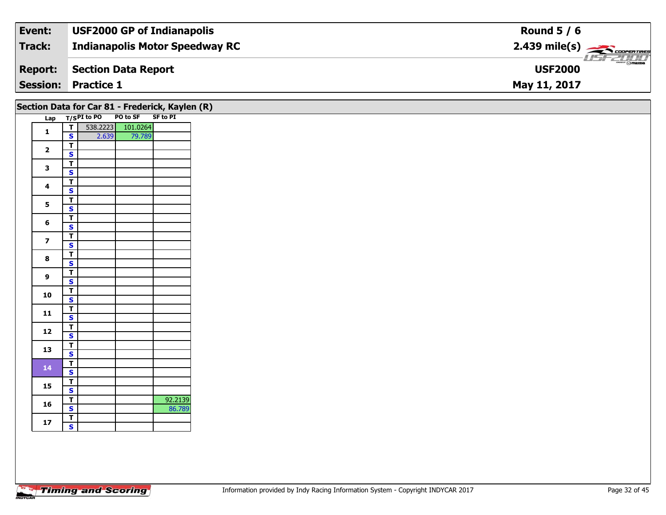| Event:         | <b>USF2000 GP of Indianapolis</b> | Round $5/6$                  |
|----------------|-----------------------------------|------------------------------|
| Track:         | Indianapolis Motor Speedway RC    |                              |
| <b>Report:</b> | Section Data Report               | $\sqrt{m}$<br><b>USF2000</b> |
|                | <b>Session: Practice 1</b>        | May 11, 2017                 |

|                         |                                         |                 | Section Data for Car 81 - Frederick, Kaylen (R) |                   |
|-------------------------|-----------------------------------------|-----------------|-------------------------------------------------|-------------------|
|                         |                                         | Lap T/SPI to PO | PO to SF SF to PI                               |                   |
| $\mathbf{1}$            | T                                       |                 | 538.2223 101.0264                               |                   |
|                         | $\mathbf{s}$<br>$\overline{\mathsf{r}}$ | 2.639           | 79.789                                          |                   |
| $\mathbf{2}$            | $\mathbf{s}$                            |                 |                                                 |                   |
|                         | $\overline{\mathsf{r}}$                 |                 |                                                 |                   |
| 3                       | $\overline{\mathbf{s}}$                 |                 |                                                 |                   |
| $\overline{\mathbf{4}}$ | $\overline{\mathsf{r}}$                 |                 |                                                 |                   |
|                         | $\mathbf{s}$                            |                 |                                                 |                   |
| 5                       | $\overline{\mathsf{r}}$                 |                 |                                                 |                   |
|                         | $\overline{\mathbf{s}}$                 |                 |                                                 |                   |
| 6                       | $\overline{\mathbf{T}}$<br>$\mathbf{s}$ |                 |                                                 |                   |
|                         | $\overline{\mathsf{r}}$                 |                 |                                                 |                   |
| $\overline{\mathbf{z}}$ | $\overline{\mathbf{s}}$                 |                 |                                                 |                   |
|                         | $\overline{\mathsf{T}}$                 |                 |                                                 |                   |
| 8                       | $\overline{\mathbf{s}}$                 |                 |                                                 |                   |
| 9                       | $\overline{\mathsf{r}}$                 |                 |                                                 |                   |
|                         | $\mathbf{s}$                            |                 |                                                 |                   |
| 10                      | $\overline{\mathbf{r}}$                 |                 |                                                 |                   |
|                         | $\overline{\mathbf{s}}$                 |                 |                                                 |                   |
| 11                      | $\overline{\mathbf{T}}$<br>$\mathbf{s}$ |                 |                                                 |                   |
|                         | $\overline{\mathbf{r}}$                 |                 |                                                 |                   |
| $12$                    | $\overline{\mathbf{s}}$                 |                 |                                                 |                   |
|                         | $\overline{\mathsf{r}}$                 |                 |                                                 |                   |
| 13                      | $\mathbf{s}$                            |                 |                                                 |                   |
| 14                      | $\overline{\mathsf{r}}$                 |                 |                                                 |                   |
|                         | $\mathbf{s}$                            |                 |                                                 |                   |
| 15                      | $\overline{\mathsf{r}}$                 |                 |                                                 |                   |
|                         | $\overline{\mathbf{s}}$                 |                 |                                                 |                   |
| 16                      | $rac{1}{s}$                             |                 |                                                 | 92.2139<br>86.789 |
|                         |                                         |                 |                                                 |                   |
| 17                      | $rac{1}{s}$                             |                 |                                                 |                   |
|                         |                                         |                 |                                                 |                   |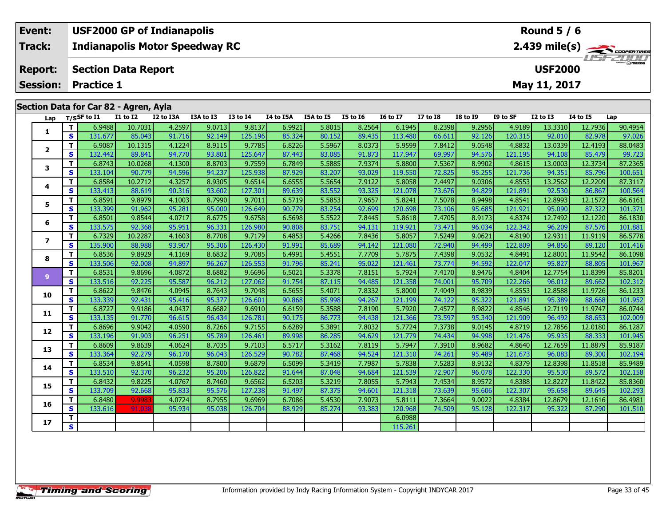| Event:                                          | <b>USF2000 GP of Indianapolis</b> |          |           |           |          |           |           |          |                 |                                                                    | Round $5/6$ |          |                |                 |     |  |
|-------------------------------------------------|-----------------------------------|----------|-----------|-----------|----------|-----------|-----------|----------|-----------------|--------------------------------------------------------------------|-------------|----------|----------------|-----------------|-----|--|
| Track:<br><b>Indianapolis Motor Speedway RC</b> |                                   |          |           |           |          |           |           |          |                 | $2.439$ mile(s) $\sum_{\text{coherent lines}}$<br><b>LISF 2000</b> |             |          |                |                 |     |  |
| <b>Report:</b>                                  | <b>Section Data Report</b>        |          |           |           |          |           |           |          |                 |                                                                    |             |          | <b>USF2000</b> |                 |     |  |
| <b>Session: Practice 1</b>                      |                                   |          |           |           |          |           |           |          |                 |                                                                    |             |          | May 11, 2017   |                 |     |  |
|                                                 |                                   |          |           |           |          |           |           |          |                 |                                                                    |             |          |                |                 |     |  |
| Section Data for Car 82 - Agren, Ayla           |                                   |          |           |           |          |           |           |          |                 |                                                                    |             |          |                |                 |     |  |
|                                                 | $1 - n$ $T/CSE$ to $T1$           | T1 to T2 | 17 to 13A | T3A to T3 | T3 to T4 | T4 to T5A | T5A to T5 | T5 to T6 | <b>I6 to 17</b> | 17 to T.R                                                          | TR to TQ    | TQ to SF | 12 to 13       | <b>14 to 15</b> | lan |  |

| Lap            |    | $T/S$ SF to I1 | <b>I1 to I2</b> | I2 to I3A | I3A to I3 | <b>I3 to I4</b> | I4 to I5A | I5A to I5 | <b>I5 to 16</b> | <b>16 to 17</b> | <b>I7 to I8</b> | <b>I8 to I9</b> | I9 to SF | <b>I2 to I3</b> | 14 to 15 | Lap     |
|----------------|----|----------------|-----------------|-----------|-----------|-----------------|-----------|-----------|-----------------|-----------------|-----------------|-----------------|----------|-----------------|----------|---------|
| 1              | T  | 6.9488         | 10.7031         | 4.2597    | 9.0713    | 9.8137          | 6.9921    | 5.8015    | 8.2564          | 6.1945          | 8.2398          | 9.2956          | 4.9189   | 13.3310         | 12.7936  | 90.4954 |
|                | S  | 131.677        | 85.043          | 91.716    | 92.149    | 125.196         | 85.324    | 80.152    | 89.435          | 113.480         | 66.611          | 92.126          | 120.315  | 92.010          | 82.978   | 97.026  |
|                | T. | 6.9087         | 10.1315         | 4.1224    | 8.9115    | 9.7785          | 6.8226    | 5.5967    | 8.0373          | 5.9599          | 7.8412          | 9.0548          | 4.8832   | 13.0339         | 12.4193  | 88.0483 |
| $\mathbf{2}$   | S  | 132.442        | 89.841          | 94.770    | 93.801    | 125.647         | 87.443    | 83.085    | 91.873          | 117.947         | 69.997          | 94.576          | 121.195  | 94.108          | 85.479   | 99.723  |
| 3              | T. | 6.8743         | 10.0268         | 4.1300    | 8.8703    | 9.7559          | 6.7849    | 5.5885    | 7.9374          | 5.8800          | 7.5367          | 8.9902          | 4.8615   | 13.0003         | 12.3734  | 87.2365 |
|                | S  | 133.104        | 90.779          | 94.596    | 94.237    | 125.938         | 87.929    | 83.207    | 93.029          | 119.550         | 72.825          | 95.255          | 121.736  | 94.351          | 85.796   | 100.651 |
|                | T. | 6.8584         | 10.2712         | 4.3257    | 8.9305    | 9.6514          | 6.6555    | 5.5654    | 7.9122          | 5.8058          | 7.4497          | 9.0306          | 4.8553   | 13.2562         | 12.2209  | 87.3117 |
| 4              | S  | 133.413        | 88.619          | 90.316    | 93.602    | 127.301         | 89.639    | 83.552    | 93.325          | 121.078         | 73.676          | 94.829          | 121.891  | 92.530          | 86.867   | 100.564 |
| 5              | T. | 6.8591         | 9.8979          | 4.1003    | 8.7990    | 9.7011          | 6.5719    | 5.5853    | 7.9657          | 5.8241          | 7.5078          | 8.9498          | 4.8541   | 12.8993         | 12.1572  | 86.6161 |
|                | S  | 133.399        | 91.962          | 95.281    | 95.000    | 126.649         | 90.779    | 83.254    | 92.699          | 120.698         | 73.106          | 95.685          | 121.921  | 95.090          | 87.322   | 101.371 |
| 6              | т  | 6.8501         | 9.8544          | 4.0717    | 8.6775    | 9.6758          | 6.5698    | 5.5522    | 7.8445          | 5.8618          | 7.4705          | 8.9173          | 4.8374   | 12.7492         | 12.1220  | 86.1830 |
|                | S  | 133.575        | 92.368          | 95.951    | 96.331    | 126.980         | 90.808    | 83.751    | 94.131          | 119.921         | 73.471          | 96.034          | 122.342  | 96.209          | 87.576   | 101.881 |
| $\overline{ }$ | T. | 6.7329         | 10.2287         | 4.1603    | 8.7708    | 9.7179          | 6.4853    | 5.4266    | 7.8436          | 5.8057          | 7.5249          | 9.0621          | 4.8190   | 12.9311         | 11.9119  | 86.5778 |
|                | S  | 135.900        | 88.988          | 93.907    | 95.306    | 126.430         | 91.991    | 85.689    | 94.142          | 121.080         | 72.940          | 94.499          | 122.809  | 94.856          | 89.120   | 101.416 |
| 8              | T. | 6.8536         | 9.8929          | 4.1169    | 8.6832    | 9.7085          | 6.4991    | 5.4551    | 7.7709          | 5.7875          | 7.4398          | 9.0532          | 4.8491   | 12.8001         | 11.9542  | 86.1098 |
|                | S  | 133.506        | 92.008          | 94.897    | 96.267    | 126.553         | 91.796    | 85.241    | 95.022          | 121.461         | 73.774          | 94.592          | 122.047  | 95.827          | 88.805   | 101.967 |
| 9 <sup>°</sup> | T. | 6.8531         | 9.8696          | 4.0872    | 8.6882    | 9.6696          | 6.5021    | 5.3378    | 7.8151          | 5.7924          | 7.4170          | 8.9476          | 4.8404   | 12.7754         | 11.8399  | 85.8201 |
|                | S  | 133.516        | 92.225          | 95.587    | 96.212    | 127.062         | 91.754    | 87.115    | 94.485          | 121.358         | 74.001          | 95.709          | 122.266  | 96.012          | 89.662   | 102.312 |
| 10             | T. | 6.8622         | 9.8476          | 4.0945    | 8.7643    | 9.7048          | 6.5655    | 5.4071    | 7.8332          | 5.8000          | 7.4049          | 8.9839          | 4.8553   | 12.8588         | 11.9726  | 86.1233 |
|                | S  | 133.339        | 92.431          | 95.416    | 95.377    | 126.601         | 90.868    | 85.998    | 94.267          | 121.199         | 74.122          | 95.322          | 121.891  | 95.389          | 88.668   | 101.952 |
| 11             | T. | 6.8727         | 9.9186          | 4.0437    | 8.6682    | 9.6910          | 6.6159    | 5.3588    | 7.8190          | 5.7920          | 7.4577          | 8.9822          | 4.8546   | 12.7119         | 11.9747  | 86.0744 |
|                | S  | 133.135        | 91.770          | 96.615    | 96.434    | 126.781         | 90.175    | 86.773    | 94.438          | 121.366         | 73.597          | 95.340          | 121.909  | 96.492          | 88.653   | 102.009 |
| 12             | T. | 6.8696         | 9.9042          | 4.0590    | 8.7266    | 9.7155          | 6.6289    | 5.3891    | 7.8032          | 5.7724          | 7.3738          | 9.0145          | 4.8719   | 12.7856         | 12.0180  | 86.1287 |
|                | S  | 133.196        | 91.903          | 96.251    | 95.789    | 126.461         | 89.998    | 86.285    | 94.629          | 121.779         | 74.434          | 94.998          | 121.476  | 95.935          | 88.333   | 101.945 |
| 13             | T. | 6.8609         | 9.8639          | 4.0624    | 8.7035    | 9.7103          | 6.5717    | 5.3162    | 7.8119          | 5.7947          | 7.3910          | 8.9682          | 4.8640   | 12.7659         | 11.8879  | 85.9187 |
|                | S  | 133.364        | 92.279          | 96.170    | 96.043    | 126.529         | 90.782    | 87.468    | 94.524          | 121.310         | 74.261          | 95.489          | 121.673  | 96.083          | 89.300   | 102.194 |
| 14             | T. | 6.8534         | 9.8541          | 4.0598    | 8.7800    | 9.6879          | 6.5099    | 5.3419    | 7.7987          | 5.7838          | 7.5283          | 8.9132          | 4.8379   | 12.8398         | 11.8518  | 85.9489 |
|                | S  | 133.510        | 92.370          | 96.232    | 95.206    | 126,822         | 91.644    | 87.048    | 94.684          | 121.539         | 72.907          | 96.078          | 122.330  | 95.530          | 89.572   | 102.158 |
| 15             | T. | 6.8432         | 9.8225          | 4.0767    | 8.7460    | 9.6562          | 6.5203    | 5.3219    | 7.8055          | 5.7943          | 7.4534          | 8.9572          | 4.8388   | 12.8227         | 11.8422  | 85.8360 |
|                | S. | 133.709        | 92.668          | 95.833    | 95.576    | 127.238         | 91.497    | 87.375    | 94.601          | 121.318         | 73.639          | 95.606          | 122.307  | 95.658          | 89.645   | 102.293 |
| 16             | T. | 6.8480         | 9.9983          | 4.0724    | 8.7955    | 9.6969          | 6.7086    | 5.4530    | 7.9073          | 5.8111          | 7.3664          | 9.0022          | 4.8384   | 12.8679         | 12.1616  | 86.4981 |
|                | S  | 133.616        | 91.03           | 95.934    | 95.038    | 126.704         | 88.929    | 85.274    | 93.383          | 120.968         | 74.509          | 95.128          | 122.317  | 95.322          | 87.290   | 101.510 |
| 17             | T. |                |                 |           |           |                 |           |           |                 | 6.0988          |                 |                 |          |                 |          |         |
|                | S. |                |                 |           |           |                 |           |           |                 | 115.261         |                 |                 |          |                 |          |         |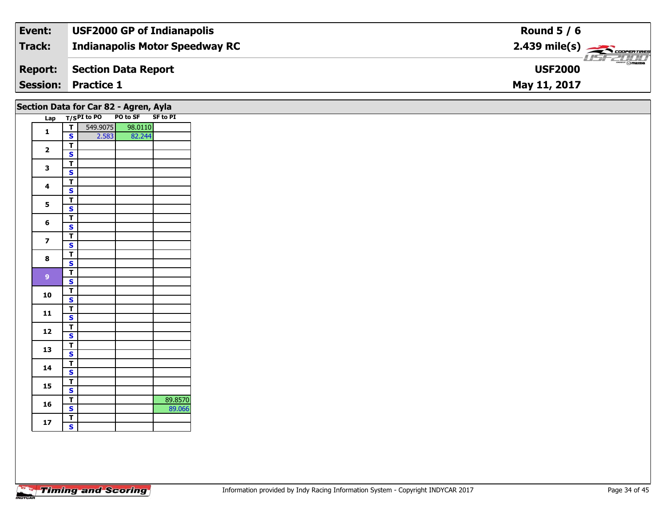| Event:         | <b>USF2000 GP of Indianapolis</b>     | Round $5/6$                                            |
|----------------|---------------------------------------|--------------------------------------------------------|
| Track:         | <b>Indianapolis Motor Speedway RC</b> | $2.439$ mile(s) $\overbrace{\hspace{2cm}}$ coorerrings |
| <b>Report:</b> | Section Data Report                   | $\sim$ $\sim$ mazoa<br><b>USF2000</b>                  |
|                | <b>Session: Practice 1</b>            | May 11, 2017                                           |

| Section Data for Car 82 - Agren, Ayla |  |  |  |  |
|---------------------------------------|--|--|--|--|
|---------------------------------------|--|--|--|--|

| Lap          |                         | T/SPI to PO PO to SF SF to PI |         |         |
|--------------|-------------------------|-------------------------------|---------|---------|
| 1            | T                       | 549.9075                      | 98.0110 |         |
|              | S                       | 2.583                         | 82.244  |         |
|              | T                       |                               |         |         |
| 2            | S                       |                               |         |         |
| 3            | т                       |                               |         |         |
|              | S                       |                               |         |         |
| 4            | T                       |                               |         |         |
|              | S                       |                               |         |         |
| 5            | T                       |                               |         |         |
|              | S                       |                               |         |         |
| 6            | T                       |                               |         |         |
|              | S                       |                               |         |         |
| 7            | т                       |                               |         |         |
|              | S                       |                               |         |         |
| 8            | Т                       |                               |         |         |
|              | S                       |                               |         |         |
| $\mathbf{9}$ | T                       |                               |         |         |
|              | S                       |                               |         |         |
| 10           | т                       |                               |         |         |
|              | S                       |                               |         |         |
| 11           | Т                       |                               |         |         |
|              | S                       |                               |         |         |
| 12           | Т                       |                               |         |         |
|              | S                       |                               |         |         |
| 13           | T                       |                               |         |         |
|              | S                       |                               |         |         |
| 14           | т                       |                               |         |         |
|              | S                       |                               |         |         |
| 15           | Т                       |                               |         |         |
|              | S                       |                               |         |         |
| 16           | T                       |                               |         | 89.8570 |
|              | S                       |                               |         | 89.066  |
| 17           | т                       |                               |         |         |
|              | $\overline{\mathbf{s}}$ |                               |         |         |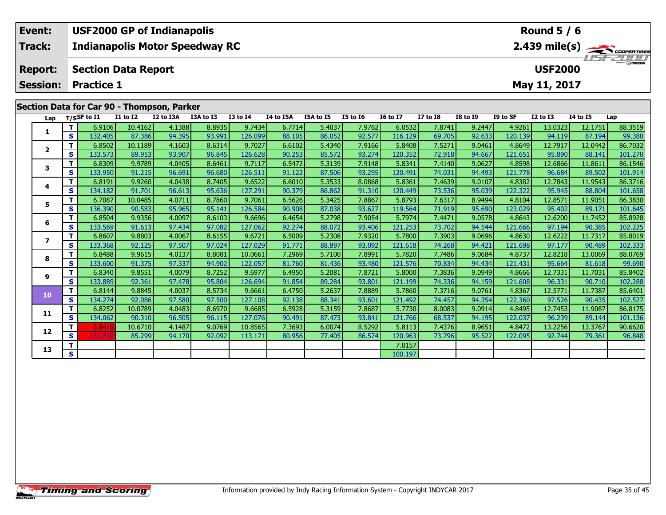| Event:                                     | <b>USF2000 GP of Indianapolis</b>            |          |           |           |          |           |           |          |                 |                 |                 | Round $5/6$                                             |                 |          |     |  |  |
|--------------------------------------------|----------------------------------------------|----------|-----------|-----------|----------|-----------|-----------|----------|-----------------|-----------------|-----------------|---------------------------------------------------------|-----------------|----------|-----|--|--|
| <b>Track:</b>                              | <b>Indianapolis Motor Speedway RC</b>        |          |           |           |          |           |           |          |                 |                 |                 | $2.439$ mile(s) $\overbrace{\hspace{2cm}}$ coorer Times |                 |          |     |  |  |
| <b>Report:</b>                             | <b>USF2000</b><br><b>Section Data Report</b> |          |           |           |          |           |           |          |                 |                 |                 |                                                         | <b>USF 2000</b> |          |     |  |  |
| <b>Session:</b>                            | <b>Practice 1</b><br>May 11, 2017            |          |           |           |          |           |           |          |                 |                 |                 |                                                         |                 |          |     |  |  |
|                                            |                                              |          |           |           |          |           |           |          |                 |                 |                 |                                                         |                 |          |     |  |  |
| Section Data for Car 90 - Thompson, Parker |                                              |          |           |           |          |           |           |          |                 |                 |                 |                                                         |                 |          |     |  |  |
| Lap                                        | $T/S$ SF to I1                               | I1 to I2 | I2 to I3A | I3A to I3 | I3 to I4 | I4 to I5A | I5A to I5 | I5 to I6 | <b>I6 to I7</b> | <b>I7 to I8</b> | <b>I8 to I9</b> | I9 to SF                                                | $I2$ to $I3$    | 14 to 15 | Lap |  |  |

| Lap                     |                         | $T/S$ SF to $I1$ | <b>I1 to I2</b> | I2 to I3A | I3A to I3 | <b>I3 to I4</b> | I4 to I5A | I5A to I5 | <b>I5 to 16</b> | <b>16 to 17</b> | <b>I7 to I8</b> | <b>I8 to I9</b> | I9 to SF | <b>I2 to I3</b> | <b>I4 to I5</b> | Lap     |
|-------------------------|-------------------------|------------------|-----------------|-----------|-----------|-----------------|-----------|-----------|-----------------|-----------------|-----------------|-----------------|----------|-----------------|-----------------|---------|
| 1                       | T.                      | 6.9106           | 10.4162         | 4.1388    | 8.8935    | 9.7434          | 6.7714    | 5.4037    | 7.9762          | 6.0532          | 7.8741          | 9.2447          | 4.9261   | 13.0323         | 12.1751         | 88.3519 |
|                         | S                       | 132.405          | 87.386          | 94.395    | 93.991    | 126.099         | 88.105    | 86.052    | 92.577          | 116.129         | 69.705          | 92.633          | 120.139  | 94.119          | 87.194          | 99.380  |
| $\overline{\mathbf{2}}$ | т                       | 6.8502           | 10.1189         | 4.1603    | 8.6314    | 9.7027          | 6.6102    | 5.4340    | 7.9166          | 5.8408          | 7.5271          | 9.0461          | 4.8649   | 12.7917         | 12.0442         | 86.7032 |
|                         | S                       | 133.573          | 89.953          | 93.907    | 96.845    | 126.628         | 90.253    | 85.572    | 93.274          | 120.352         | 72.918          | 94.667          | 121.651  | 95.890          | 88.141          | 101.270 |
| 3                       | т                       | 6.8309           | 9.9789          | 4.0405    | 8.6461    | 9.7117          | 6.5472    | 5.3139    | 7.9148          | 5.8341          | 7.4140          | 9.0627          | 4.8598   | 12.6866         | 11.8611         | 86.1546 |
|                         | S                       | 133.950          | 91.215          | 96.691    | 96.680    | 126.511         | 91.122    | 87.506    | 93.295          | 120.491         | 74.031          | 94.493          | 121.778  | 96.684          | 89.502          | 101.914 |
| 4                       | т                       | 6.8191           | 9.9260          | 4.0438    | 8.7405    | 9.6522          | 6.6010    | 5.3533    | 8.0868          | 5.8361          | 7.4639          | 9.0107          | 4.8382   | 12.7843         | 11.9543         | 86.3716 |
|                         | S                       | 134.182          | 91.701          | 96.613    | 95.636    | 127.291         | 90.379    | 86.862    | 91.310          | 120.449         | 73.536          | 95.039          | 122.322  | 95.945          | 88.804          | 101.658 |
| 5                       | т                       | 6.7087           | 10.0485         | 4.0711    | 8.7860    | 9.7061          | 6.5626    | 5.3425    | 7.8867          | 5.8793          | 7.6317          | 8.9494          | 4.8104   | 12.8571         | 11.9051         | 86.3830 |
|                         | S                       | 136.390          | 90.583          | 95.965    | 95.141    | 126.584         | 90.908    | 87.038    | 93.627          | 119.564         | 71.919          | 95.690          | 123.029  | 95.402          | 89.171          | 101.645 |
| 6                       | т                       | 6.8504           | 9.9356          | 4.0097    | 8.6103    | 9.6696          | 6.4654    | 5.2798    | 7.9054          | 5.7974          | 7.4471          | 9.0578          | 4.8643   | 12.6200         | 11.7452         | 85.8928 |
|                         | S                       | 133.569          | 91.613          | 97.434    | 97.082    | 127.062         | 92.274    | 88.072    | 93.406          | 121.253         | 73.702          | 94.544          | 121.666  | 97.194          | 90.385          | 102.225 |
| 7                       | т                       | 6.8607           | 9.8803          | 4.0067    | 8.6155    | 9.6721          | 6.5009    | 5.2308    | 7.9320          | 5.7800          | 7.3903          | 9.0696          | 4.8630   | 12.6222         | 11.7317         | 85.8019 |
|                         | S                       | 133.368          | 92.125          | 97.507    | 97.024    | 127.029         | 91.771    | 88.897    | 93.092          | 121.618         | 74.268          | 94.421          | 121.698  | 97.177          | 90.489          | 102.333 |
| 8                       | т                       | 6.8488           | 9.9615          | 4.0137    | 8.8081    | 10.0661         | 7.2969    | 5.7100    | 7.8991          | 5.7820          | 7.7486          | 9.0684          | 4.8737   | 12.8218         | 13.0069         | 88.0769 |
|                         | S                       | 133.600          | 91.375          | 97.337    | 94.902    | 122.057         | 81.760    | 81.436    | 93.480          | 121.576         | 70.834          | 94.434          | 121.431  | 95.664          | 81.618          | 99.690  |
| 9                       | т                       | 6.8340           | 9.8551          | 4.0079    | 8.7252    | 9.6977          | 6.4950    | 5.2081    | 7.8721          | 5.8000          | 7.3836          | 9.0949          | 4.8666   | 12.7331         | 11.7031         | 85.8402 |
|                         | S                       | 133.889          | 92.361          | 97.478    | 95.804    | 126.694         | 91.854    | 89.284    | 93.801          | 121.199         | 74.336          | 94.159          | 121.608  | 96.331          | 90.710          | 102.288 |
| 10                      | т                       | 6.8144           | 9.8845          | 4.0037    | 8.5734    | 9.6661          | 6.4750    | 5.2637    | 7.8889          | 5.7860          | 7.3716          | 9.0761          | 4.8367   | 12.5771         | 11.7387         | 85.6401 |
|                         | S                       | 134.274          | 92.086          | 97.580    | 97.500    | 127.108         | 92.138    | 88.341    | 93.601          | 121.492         | 74.457          | 94.354          | 122.360  | 97.526          | 90.435          | 102.527 |
| 11                      | т                       | 6.8252           | 10.0789         | 4.0483    | 8.6970    | 9.6685          | 6.5928    | 5.3159    | 7.8687          | 5.7730          | 8.0083          | 9.0914          | 4.8495   | 12.7453         | 11.9087         | 86.8175 |
|                         | S                       | 134.062          | 90.310          | 96.505    | 96.115    | 127.076         | 90.491    | 87.473    | 93.841          | 121.766         | 68.537          | 94.195          | 122.037  | 96.239          | 89.144          | 101.136 |
| 12                      | т                       | 6.941            | 10.6710         | 4.1487    | 9.0769    | 10.8565         | 7.3693    | 6.0074    | 8.5292          | 5.8113          | 7.4376          | 8.9651          | 4.8472   | 13.2256         | 13.3767         | 90.6620 |
|                         | S                       | 131.810          | 85.299          | 94.170    | 92.092    | 113.171         | 80.956    | 77.405    | 86.574          | 120.963         | 73.796          | 95.522          | 122.095  | 92.744          | 79.361          | 96.848  |
| 13                      | т                       |                  |                 |           |           |                 |           |           |                 | 7.0157          |                 |                 |          |                 |                 |         |
|                         | $\overline{\mathbf{s}}$ |                  |                 |           |           |                 |           |           |                 | 100.197         |                 |                 |          |                 |                 |         |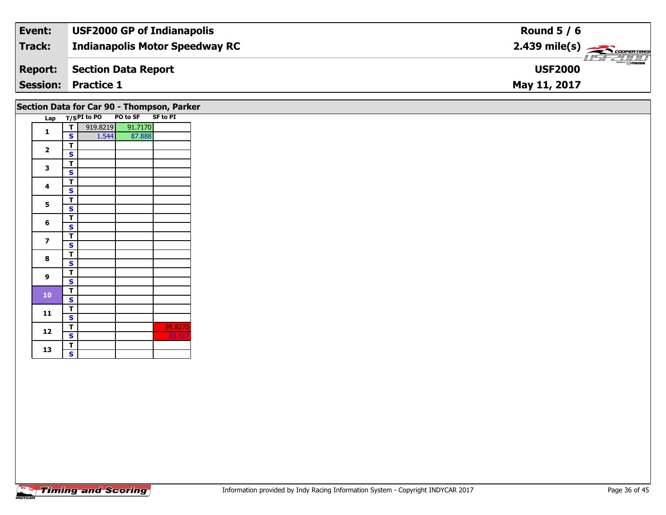| Event:          | <b>USF2000 GP of Indianapolis</b>     | Round $5/6$                                                                                                                                                                                                                                                                                                                                                                                                                                                                                       |
|-----------------|---------------------------------------|---------------------------------------------------------------------------------------------------------------------------------------------------------------------------------------------------------------------------------------------------------------------------------------------------------------------------------------------------------------------------------------------------------------------------------------------------------------------------------------------------|
| Track:          | <b>Indianapolis Motor Speedway RC</b> | $2.439$ mile(s) $\frac{1}{\sqrt{2.600 \text{ cm} \cdot \text{m}}$                                                                                                                                                                                                                                                                                                                                                                                                                                 |
| <b>Report:</b>  | Section Data Report                   | $\overline{\phantom{a}}$ $\overline{\phantom{a}}$ $\overline{\phantom{a}}$ $\overline{\phantom{a}}$ $\overline{\phantom{a}}$ $\overline{\phantom{a}}$ $\overline{\phantom{a}}$ $\overline{\phantom{a}}$ $\overline{\phantom{a}}$ $\overline{\phantom{a}}$ $\overline{\phantom{a}}$ $\overline{\phantom{a}}$ $\overline{\phantom{a}}$ $\overline{\phantom{a}}$ $\overline{\phantom{a}}$ $\overline{\phantom{a}}$ $\overline{\phantom{a}}$ $\overline{\phantom{a}}$ $\overline{\$<br><b>USF2000</b> |
| <b>Session:</b> | <b>Practice 1</b>                     | May 11, 2017                                                                                                                                                                                                                                                                                                                                                                                                                                                                                      |

### **Section Data for Car 90 - Thompson, Parker**

| Lap |                         | T/SPI to PO PO to SF SF to PI |         |         |
|-----|-------------------------|-------------------------------|---------|---------|
|     | т                       | 919.8219                      | 91.7170 |         |
| 1   | S                       | 1.544                         | 87.888  |         |
|     | т                       |                               |         |         |
| 2   | S                       |                               |         |         |
| 3   | т                       |                               |         |         |
|     | S                       |                               |         |         |
| 4   | т                       |                               |         |         |
|     | S                       |                               |         |         |
| 5   | т                       |                               |         |         |
|     | S                       |                               |         |         |
| 6   | т                       |                               |         |         |
|     | S                       |                               |         |         |
| 7   | т                       |                               |         |         |
|     | S                       |                               |         |         |
| 8   | т                       |                               |         |         |
|     | S                       |                               |         |         |
| 9   | т                       |                               |         |         |
|     | S                       |                               |         |         |
| 10  | т                       |                               |         |         |
|     | S                       |                               |         |         |
| 11  | т                       |                               |         |         |
|     | S                       |                               |         |         |
| 12  | т                       |                               |         | 95.8270 |
|     | S                       |                               |         | 83.517  |
| 13  | т                       |                               |         |         |
|     | $\overline{\mathbf{s}}$ |                               |         |         |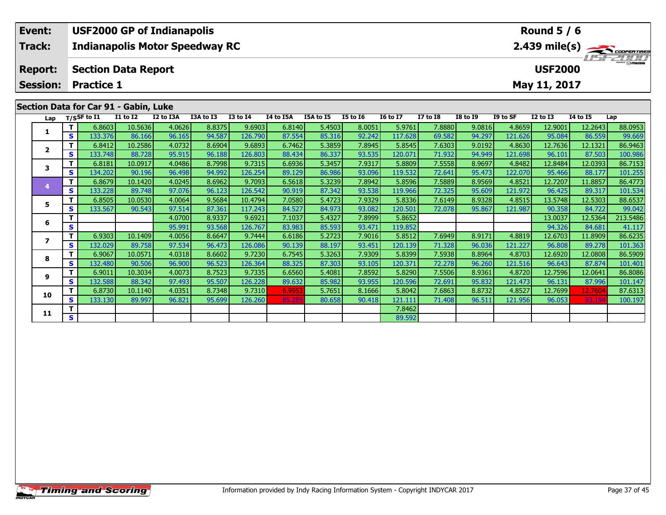| Event:                                | <b>USF2000 GP of Indianapolis</b>            |          |           |           |          |           |           |          |          |                 |                 |                  | Round $5/6$     |          |                                                       |
|---------------------------------------|----------------------------------------------|----------|-----------|-----------|----------|-----------|-----------|----------|----------|-----------------|-----------------|------------------|-----------------|----------|-------------------------------------------------------|
| Track:                                | <b>Indianapolis Motor Speedway RC</b>        |          |           |           |          |           |           |          |          |                 |                 |                  |                 |          | $2.439$ mile(s) $\overbrace{\hspace{2cm}}$ coorentmen |
| <b>Report:</b>                        | <b>USF2000</b><br><b>Section Data Report</b> |          |           |           |          |           |           |          |          |                 |                 | <b>LIST ZUID</b> |                 |          |                                                       |
| <b>Session:</b>                       | Practice 1                                   |          |           |           |          |           |           |          |          |                 |                 |                  | May 11, 2017    |          |                                                       |
|                                       |                                              |          |           |           |          |           |           |          |          |                 |                 |                  |                 |          |                                                       |
| Section Data for Car 91 - Gabin, Luke |                                              |          |           |           |          |           |           |          |          |                 |                 |                  |                 |          |                                                       |
| Lap                                   | T/SSF to I1                                  | I1 to I2 | I2 to I3A | I3A to I3 | I3 to I4 | I4 to I5A | I5A to I5 | I5 to I6 | 16 to 17 | <b>I7 to I8</b> | <b>I8 to I9</b> | I9 to SF         | <b>I2 to I3</b> | 14 to 15 | Lap                                                   |

| Lap                     |   | $1/5$ <sup>31</sup> to 11 | 11 W 12 | 14 W 13M | 13M W 13 | 13 W 17 | אכו ש דו | 13M W 13 | 19 W 19 | 10 W 17 | 17 W 10 | 10 LV 19 | 19 W 31 | 14 W 19 | 14 W 19 | ∟aµ      |
|-------------------------|---|---------------------------|---------|----------|----------|---------|----------|----------|---------|---------|---------|----------|---------|---------|---------|----------|
|                         | т | 6.8603                    | 10.5636 | 4.0626   | 8.8375   | 9.6903  | 6.8140   | 5.4503   | 8.0051  | 5.9761  | 7.8880  | 9.0816   | 4.8659  | 12.9001 | 12.2643 | 88.0953  |
|                         | S | 133.376                   | 86.166  | 96.165   | 94.587   | 126.790 | 87.554   | 85.316   | 92.242  | 117.628 | 69.582  | 94.297   | 121.626 | 95.084  | 86.559  | 99.669   |
| $\overline{\mathbf{2}}$ | т | 6.8412                    | 10.2586 | 4.0732   | 8.6904   | 9.6893  | 6.7462   | 5.3859   | 7.8945  | 5.8545  | 7.6303  | 9.0192   | 4.8630  | 12.7636 | 12.1321 | 86.9463  |
|                         | S | 133.748                   | 88.728  | 95.915   | 96.188   | 126.803 | 88.434   | 86.337   | 93.535  | 120.071 | 71.932  | 94.949   | 121.698 | 96.101  | 87.503  | 100.986  |
| 3                       | т | 6.8181                    | 10.0917 | 4.0486   | 8.7998   | 9.7315  | 6.6936   | 5.3457   | 7.9317  | 5.8809  | 7.5558  | 8.9697   | 4.8482  | 12.8484 | 12.0393 | 86.7153  |
|                         | s | 134.202                   | 90.196  | 96.498   | 94.992   | 126.254 | 89.129   | 86.986   | 93.096  | 119.532 | 72.641  | 95.473   | 122.070 | 95.466  | 88.177  | 101.255  |
|                         | т | 6.8679                    | 10.1420 | 4.0245   | 8.6962   | 9.7093  | 6.5618   | 5.3239   | 7.8942  | 5.8596  | 7.5889  | 8.9569   | 4.8521  | 12.7207 | 11.8857 | 86.4773  |
|                         | S | 133.228                   | 89.748  | 97.076   | 96.123   | 126.542 | 90.919   | 87.342   | 93.538  | 119.966 | 72.325  | 95.609   | 121.972 | 96.425  | 89.317  | 101.534  |
| 5                       | т | 6.8505                    | 10.0530 | 4.0064   | 9.5684   | 10.4794 | 7.0580   | 5.4723   | 7.9329  | 5.8336  | 7.6149  | 8.9328   | 4.8515  | 13.5748 | 12.5303 | 88.6537  |
|                         | S | 133.567                   | 90.543  | 97.514   | 87.361   | 117.243 | 84.527   | 84.973   | 93.082  | 120.501 | 72.078  | 95.867   | 121.987 | 90.358  | 84.722  | 99.042   |
| 6                       |   |                           |         | 4.0700   | 8.9337   | 9.6921  | 7.1037   | 5.4327   | 7.8999  | 5.8652  |         |          |         | 13.0037 | 12.5364 | 213.5486 |
|                         | S |                           |         | 95.991   | 93.568   | 126.767 | 83.983   | 85.593   | 93.471  | 119.852 |         |          |         | 94.326  | 84.681  | 41.117   |
| 7                       | т | 6.9303                    | 10.1409 | 4.0056   | 8.6647   | 9.7444  | 6.6186   | 5.2723   | 7.9016  | 5.8512  | 7.6949  | 8.9171   | 4.8819  | 12.6703 | 11.8909 | 86.6235  |
|                         | S | 132.029                   | 89.758  | 97.534   | 96.473   | 126.086 | 90.139   | 88.197   | 93.451  | 120.139 | 71.328  | 96.036   | 121.227 | 96.808  | 89.278  | 101.363  |
| 8                       |   | 6.9067                    | 10.0571 | 4.0318   | 8.6602   | 9.7230  | 6.7545   | 5.3263   | 7.9309  | 5.8399  | 7.5938  | 8.8964   | 4.8703  | 12.6920 | 12.0808 | 86.5909  |
|                         | S | 132.480                   | 90.506  | 96.900   | 96.523   | 126.364 | 88.325   | 87.303   | 93.105  | 120.371 | 72.278  | 96.260   | 121.516 | 96.643  | 87.874  | 101.401  |
| 9                       | т | 6.9011                    | 10.3034 | 4.0073   | 8.7523   | 9.7335  | 6.6560   | 5.4081   | 7.8592  | 5.8290  | 7.5506  | 8.9361   | 4.8720  | 12.7596 | 12.0641 | 86.8086  |
|                         | S | 132.588                   | 88.342  | 97.493   | 95.507   | 126.228 | 89.632   | 85.982   | 93.955  | 120.596 | 72.691  | 95.832   | 121.473 | 96.131  | 87.996  | 101.147  |
| 10                      |   | 6.8730                    | 10.1140 | 4.0351   | 8.7348   | 9.7310  | 6.9953   | 5.7651   | 8.1666  | 5.8042  | 7.6863  | 8.8732   | 4.8527  | 12.7699 | 12.7604 | 87.6313  |
|                         | S | 133.130                   | 89.997  | 96.821   | 95.699   | 126.260 | 85.285   | 80.658   | 90.418  | 121.111 | 71.408  | 96.511   | 121.956 | 96.053  | 83.194  | 100.197  |
| 11                      | т |                           |         |          |          |         |          |          |         | 7.8462  |         |          |         |         |         |          |
|                         | S |                           |         |          |          |         |          |          |         | 89.592  |         |          |         |         |         |          |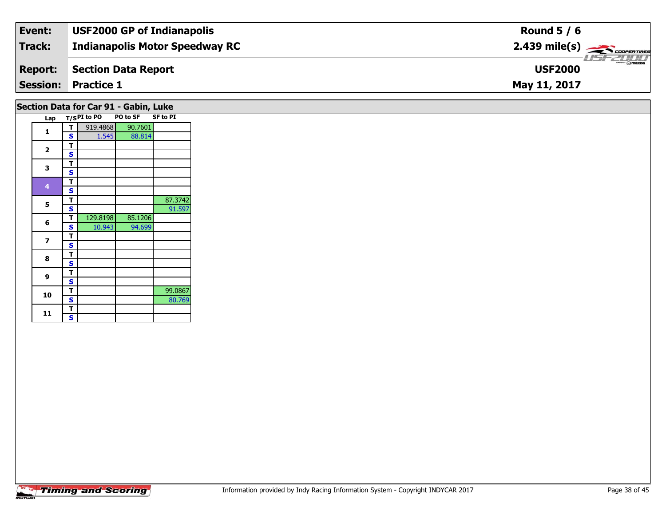| Event:         | <b>USF2000 GP of Indianapolis</b>     | Round $5/6$                                      |
|----------------|---------------------------------------|--------------------------------------------------|
| Track:         | <b>Indianapolis Motor Speedway RC</b> |                                                  |
| <b>Report:</b> | Section Data Report                   | $\frac{2}{\sqrt{2}}$ or mazing<br><b>USF2000</b> |
|                | <b>Session: Practice 1</b>            | May 11, 2017                                     |
|                |                                       |                                                  |

## **Section Data for Car 91 - Gabin, Luke**

| Lap          |   | $T/SPI$ to PO | <b>PO to SF</b> | <b>SF to PI</b> |
|--------------|---|---------------|-----------------|-----------------|
| 1            | т | 919.4868      | 90.7601         |                 |
|              | S | 1.545         | 88.814          |                 |
| $\mathbf{2}$ | т |               |                 |                 |
|              | S |               |                 |                 |
|              | т |               |                 |                 |
| 3            | S |               |                 |                 |
|              | т |               |                 |                 |
| 4            | S |               |                 |                 |
| 5            | т |               |                 | 87.3742         |
|              | S |               |                 | 91.597          |
| 6            | т | 129.8198      | 85.1206         |                 |
|              | S | 10.943        | 94.699          |                 |
| 7            | т |               |                 |                 |
|              | S |               |                 |                 |
| 8            | T |               |                 |                 |
|              | S |               |                 |                 |
| 9            | т |               |                 |                 |
|              | S |               |                 |                 |
| 10           | т |               |                 | 99.0867         |
|              | S |               |                 | 80.769          |
| 11           | Т |               |                 |                 |
|              | S |               |                 |                 |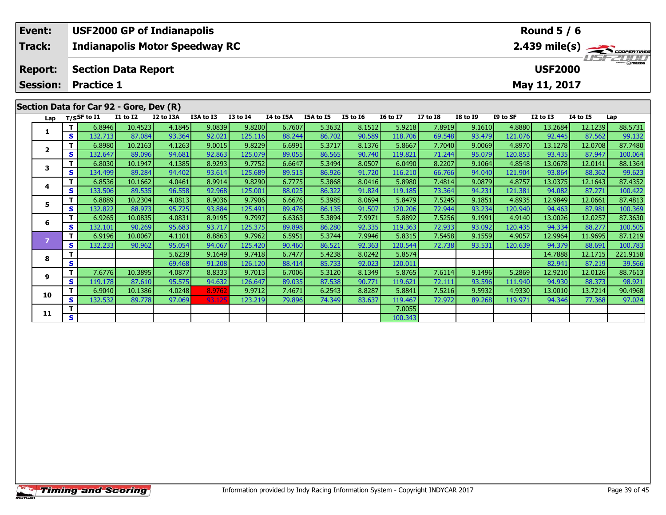| Event:          |    |                   |                                         | <b>USF2000 GP of Indianapolis</b>     |           |                 |                  |           |                 |                 |                 |                 |          | <b>Round 5 / 6</b> |                 |                         |
|-----------------|----|-------------------|-----------------------------------------|---------------------------------------|-----------|-----------------|------------------|-----------|-----------------|-----------------|-----------------|-----------------|----------|--------------------|-----------------|-------------------------|
| Track:          |    |                   |                                         | <b>Indianapolis Motor Speedway RC</b> |           |                 |                  |           |                 |                 |                 |                 |          |                    |                 | $2.439 \text{ mile(s)}$ |
| <b>Report:</b>  |    |                   | <b>Section Data Report</b>              |                                       |           |                 |                  |           |                 |                 |                 |                 |          | <b>USF2000</b>     |                 | <b>HSFZDDD</b>          |
| <b>Session:</b> |    | <b>Practice 1</b> |                                         |                                       |           |                 |                  |           |                 |                 |                 |                 |          | May 11, 2017       |                 |                         |
|                 |    |                   |                                         |                                       |           |                 |                  |           |                 |                 |                 |                 |          |                    |                 |                         |
|                 |    |                   | Section Data for Car 92 - Gore, Dev (R) |                                       |           |                 |                  |           |                 |                 |                 |                 |          |                    |                 |                         |
| Lap             |    | $T/S$ SF to I1    | <b>I1 to I2</b>                         | I2 to I3A                             | I3A to I3 | <b>I3 to I4</b> | <b>I4 to I5A</b> | I5A to I5 | <b>I5 to 16</b> | <b>16 to 17</b> | <b>I7 to I8</b> | <b>I8 to I9</b> | I9 to SF | $I2$ to $I3$       | <b>I4 to I5</b> | Lap                     |
|                 |    | 6.8946            | 10.4523                                 | 4.1845                                | 9.0839    | 9.8200          | 6.7607           | 5.3632    | 8.1512          | 5.9218          | 7.8919          | 9.1610          | 4.8880   | 13.2684            | 12.1239         | 88.5731                 |
|                 | S. | 132.713           | 87.084                                  | 93.364                                | 92.021    | 125.116         | 88.244           | 86.702    | 90.589          | 118.706         | 69.548          | 93.479          | 121.076  | 92.445             | 87.562          | 99.132                  |
|                 |    | 6.8980            | 10.2163                                 | 4.1263                                | 9.0015    | 9.8229          | 6.6991           | 5.3717    | 8.1376          | 5.8667          | 7.7040          | 9.0069          | 4.8970   | 13.1278            | 12.0708         | 87.7480                 |
|                 | S. | 132.647           | 89.096                                  | 94.681                                | 92.863    | 125.079         | 89.055           | 86.565    | 90.740          | 119.821         | 71.244          | 95.079          | 120.853  | 93.435             | 87.947          | 100.064                 |
|                 |    | 6.8030            | 10.1947                                 | 4.1385                                | 8.9293    | 9.7752          | 6.6647           | 5.3494    | 8.0507          | 6.0490          | 8.2207          | 9.1064          | 4.8548   | 13.0678            | 12.0141         | 88.1364                 |

|    |    | 6.8980  | 10.2163 | 4.1263 | 9.0015 | 9.8229  | 6.6991 | 5.3717 | 8.1376 | 5.8667  | 7.7040 | 9.0069 | 4.8970  | 13.1278 | 12.0708 | 87.7480  |
|----|----|---------|---------|--------|--------|---------|--------|--------|--------|---------|--------|--------|---------|---------|---------|----------|
|    | S  | 132.647 | 89.096  | 94.681 | 92.863 | 125.079 | 89.055 | 86.565 | 90.740 | 119.821 | 71.244 | 95.079 | 120.853 | 93.435  | 87.947  | 100.064  |
|    |    | 6.8030  | 10.1947 | 4.1385 | 8.9293 | 9.7752  | 6.6647 | 5.3494 | 8.0507 | 6.0490  | 8.2207 | 9.1064 | 4.8548  | 13.0678 | 12.0141 | 88.1364  |
|    | S. | 134.499 | 89.284  | 94.402 | 93.614 | 125.689 | 89.515 | 86.926 | 91.720 | 116.210 | 66.766 | 94.040 | 121.904 | 93.864  | 88.362  | 99.623   |
|    |    | 6.8536  | 10.1662 | 4.0461 | 8.9914 | 9.8290  | 6.7775 | 5.3868 | 8.0416 | 5.8980  | 7.4814 | 9.0879 | 4.8757  | 13.0375 | 12.1643 | 87.4352  |
|    | S  | 133.506 | 89.535  | 96.558 | 92.968 | 125.001 | 88.025 | 86.322 | 91.824 | 119.185 | 73.364 | 94.231 | 121.381 | 94.082  | 87.271  | 100.422  |
|    |    | 6.8889  | 10.2304 | 4.0813 | 8.9036 | 9.7906  | 6.6676 | 5.3985 | 8.0694 | 5.8479  | 7.5245 | 9.1851 | 4.8935  | 12.9849 | 12.0661 | 87.4813  |
|    | S. | 132.822 | 88.973  | 95.725 | 93.884 | 125.491 | 89.476 | 86.135 | 91.507 | 120.206 | 72.944 | 93.234 | 120.940 | 94.463  | 87.981  | 100.369  |
|    |    | 6.9265  | 10.0835 | 4.0831 | 8.9195 | 9.7997  | 6.6363 | 5.3894 | 7.9971 | 5.8892  | 7.5256 | 9.1991 | 4.9140  | 13.0026 | 12.0257 | 87.3630  |
| 6  | S  | 132.101 | 90.269  | 95.683 | 93.717 | 125.375 | 89.898 | 86.280 | 92.335 | 119.363 | 72.933 | 93.092 | 120.435 | 94.334  | 88.277  | 100.505  |
|    |    | 6.9196  | 10.0067 | 4.1101 | 8.8863 | 9.7962  | 6.5951 | 5.3744 | 7.9946 | 5.8315  | 7.5458 | 9.1559 | 4.9057  | 12.9964 | 11.9695 | 87.1219  |
|    | S  | 132.233 | 90.962  | 95.054 | 94.067 | 125.420 | 90.460 | 86.521 | 92.363 | 120.544 | 72.738 | 93.531 | 120.639 | 94.379  | 88.691  | 100.783  |
| 8  |    |         |         | 5.6239 | 9.1649 | 9.7418  | 6.7477 | 5.4238 | 8.0242 | 5.8574  |        |        |         | 14.7888 | 12.1715 | 221.9158 |
|    | S  |         |         | 69.468 | 91.208 | 126.120 | 88.414 | 85.733 | 92.023 | 120.011 |        |        |         | 82.941  | 87.219  | 39.566   |
| 9  |    | 7.6776  | 10.3895 | 4.0877 | 8.8333 | 9.7013  | 6.7006 | 5.3120 | 8.1349 | 5.8765  | 7.6114 | 9.1496 | 5.2869  | 12.9210 | 12.0126 | 88.7613  |
|    | S. | 119.178 | 87.610  | 95.575 | 94.632 | 126.647 | 89.035 | 87.538 | 90.771 | 119.621 | 72.111 | 93.596 | 111.940 | 94.930  | 88.373  | 98.921   |
| 10 |    | 6.9040  | 10.1386 | 4.0248 | 8.9762 | 9.9712  | 7.4671 | 6.2543 | 8.8287 | 5.8841  | 7.5216 | 9.5932 | 4.9330  | 13.0010 | 13.7214 | 90.4968  |
|    | S. | 132.532 | 89.778  | 97.069 | 93.125 | 123.219 | 79.896 | 74.349 | 83.637 | 119.467 | 72.972 | 89.268 | 119.971 | 94.346  | 77.368  | 97.024   |
| 11 |    |         |         |        |        |         |        |        |        | 7.0055  |        |        |         |         |         |          |
|    | S. |         |         |        |        |         |        |        |        | 100.343 |        |        |         |         |         |          |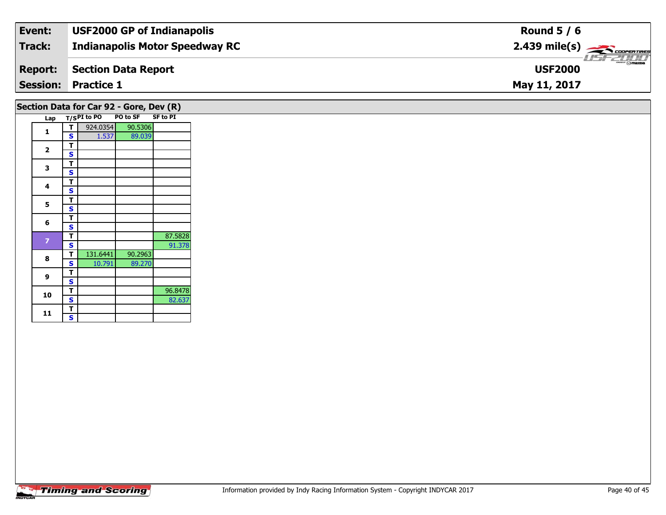| Track:<br><b>Indianapolis Motor Speedway RC</b> | $2.439$ mile(s) $\frac{1}{\sqrt{2.600 \text{ cm} \cdot \text{m}}}}$ |
|-------------------------------------------------|---------------------------------------------------------------------|
| Section Data Report<br><b>Report:</b>           | $\overline{\Theta}$ mazba<br><b>USF2000</b>                         |
| <b>Session: Practice 1</b>                      | May 11, 2017                                                        |

## **Section Data for Car 92 - Gore, Dev (R)**

| Lap            |   | $T/SPI$ to PO | <b>PO to SF</b> | <b>SF to PI</b> |
|----------------|---|---------------|-----------------|-----------------|
| 1              | т | 924.0354      | 90.5306         |                 |
|                | S | 1.537         | 89.039          |                 |
|                | т |               |                 |                 |
| 2              | S |               |                 |                 |
| 3              | т |               |                 |                 |
|                | S |               |                 |                 |
| 4              | т |               |                 |                 |
|                | S |               |                 |                 |
| 5              | т |               |                 |                 |
|                | S |               |                 |                 |
| 6              | т |               |                 |                 |
|                | S |               |                 |                 |
| $\overline{z}$ | т |               |                 | 87.5828         |
|                | S |               |                 | 91.378          |
| 8              | т | 131.6441      | 90.2963         |                 |
|                | S | 10.791        | 89.270          |                 |
| 9              | т |               |                 |                 |
|                | S |               |                 |                 |
| 10             | т |               |                 | 96.8478         |
|                | S |               |                 | 82.637          |
| 11             | т |               |                 |                 |
|                | S |               |                 |                 |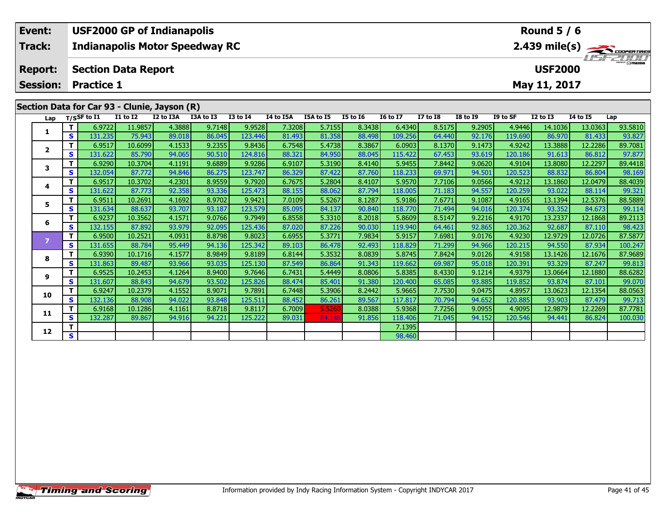| Event:                                       | <b>USF2000 GP of Indianapolis</b><br>Round $5/6$                                                |                                              |           |           |                 |           |           |          |                 |                 |                 |          |                 |                  |     |
|----------------------------------------------|-------------------------------------------------------------------------------------------------|----------------------------------------------|-----------|-----------|-----------------|-----------|-----------|----------|-----------------|-----------------|-----------------|----------|-----------------|------------------|-----|
| <b>Track:</b>                                | $2.439$ mile(s) $\overbrace{\hspace{2cm}}$ coder Tires<br><b>Indianapolis Motor Speedway RC</b> |                                              |           |           |                 |           |           |          |                 |                 |                 |          |                 |                  |     |
| <b>Report:</b>                               |                                                                                                 | <b>USF2000</b><br><b>Section Data Report</b> |           |           |                 |           |           |          |                 |                 |                 |          |                 | <b>LISF 2000</b> |     |
| <b>Session:</b>                              | <b>Practice 1</b>                                                                               |                                              |           |           |                 |           |           |          |                 |                 |                 |          | May 11, 2017    |                  |     |
|                                              |                                                                                                 |                                              |           |           |                 |           |           |          |                 |                 |                 |          |                 |                  |     |
| Section Data for Car 93 - Clunie, Jayson (R) |                                                                                                 |                                              |           |           |                 |           |           |          |                 |                 |                 |          |                 |                  |     |
| Lap                                          | $T/S$ SF to $I1$                                                                                | <b>I1 to I2</b>                              | I2 to I3A | I3A to I3 | <b>I3 to I4</b> | I4 to I5A | I5A to I5 | I5 to I6 | <b>I6 to I7</b> | <b>I7 to I8</b> | <b>I8 to I9</b> | I9 to SF | <b>I2 to I3</b> | 14 to 15         | Lap |

| Lap            |          | T/SSF to 11 | 11 TO 12 | <b>IZ TO ISA</b> | 13A TO 13 | 13 TO 14 | 14 TO 15A | <b>158 10 15</b> | <b>12 10 10</b> | 10 TO TV | <b>17 10 18</b> | 19 10 17 | 19 TO SF | 12 TO 13 | 14 IO 15 | Lap     |
|----------------|----------|-------------|----------|------------------|-----------|----------|-----------|------------------|-----------------|----------|-----------------|----------|----------|----------|----------|---------|
| 1              | т        | 6.9722      | 11.9857  | 4.3888           | 9.7148    | 9.9528   | 7.3208    | 5.7155           | 8.3438          | 6.4340   | 8.5175          | 9.2905   | 4.9446   | 14.1036  | 13.0363  | 93.5810 |
|                | S        | 131.235     | 75.943   | 89.018           | 86.045    | 123.446  | 81.493    | 81.358           | 88.498          | 109.256  | 64.440          | 92.176   | 119.690  | 86.970   | 81.433   | 93.827  |
| $\overline{2}$ | Т        | 6.9517      | 10.6099  | 4.1533           | 9.2355    | 9.8436   | 6.7548    | 5.4738           | 8.3867          | 6.0903   | 8.1370          | 9.1473   | 4.9242   | 13.3888  | 12.2286  | 89.7081 |
|                | <b>S</b> | 131.622     | 85.790   | 94.065           | 90.510    | 124.816  | 88.321    | 84.950           | 88.045          | 115.422  | 67.453          | 93.619   | 120.186  | 91.613   | 86.812   | 97.877  |
| 3              | Т        | 6.9290      | 10.3704  | 4.1191           | 9.6889    | 9.9286   | 6.9107    | 5.3190           | 8.4140          | 5.9455   | 7.8442          | 9.0620   | 4.9104   | 13.8080  | 12.2297  | 89.4418 |
|                | S        | 132.054     | 87.772   | 94.846           | 86.275    | 123.747  | 86.329    | 87.422           | 87.760          | 118.233  | 69.971          | 94.501   | 120.523  | 88.832   | 86.804   | 98.169  |
| 4              | Т        | 6.9517      | 10.3702  | 4.2301           | 8.9559    | 9.7920   | 6.7675    | 5.2804           | 8.4107          | 5.9570   | 7.7106          | 9.0566   | 4.9212   | 13.1860  | 12.0479  | 88.4039 |
|                | S        | 131.622     | 87.773   | 92.358           | 93.336    | 125.473  | 88.155    | 88.062           | 87.794          | 118.005  | 71.183          | 94.557   | 120.259  | 93.022   | 88.114   | 99.321  |
| 5              | Т        | 6.9511      | 10.2691  | 4.1692           | 8.9702    | 9.9421   | 7.0109    | 5.5267           | 8.1287          | 5.9186   | 7.6771          | 9.1087   | 4.9165   | 13.1394  | 12.5376  | 88.5889 |
|                | S        | 131.634     | 88.637   | 93.707           | 93.187    | 123.579  | 85.095    | 84.137           | 90.840          | 118.770  | 71.494          | 94.016   | 120.374  | 93.352   | 84.673   | 99.114  |
| 6              | Т        | 6.9237      | 10.3562  | 4.1571           | 9.0766    | 9.7949   | 6.8558    | 5.3310           | 8.2018          | 5.8609   | 8.5147          | 9.2216   | 4.9170   | 13.2337  | 12.1868  | 89.2113 |
|                | S        | 132.155     | 87.892   | 93.979           | 92.095    | 125.436  | 87.020    | 87.226           | 90.030          | 119.940  | 64.461          | 92.865   | 120.362  | 92.687   | 87.110   | 98.423  |
| 7              | т        | 6.9500      | 10.2521  | 4.0931           | 8.8798    | 9.8023   | 6.6955    | 5.3771           | 7.9834          | 5.9157   | 7.6981          | 9.0176   | 4.9230   | 12.9729  | 12.0726  | 87.5877 |
|                | <b>S</b> | 131.655     | 88.784   | 95.449           | 94.136    | 125.342  | 89.103    | 86.478           | 92.493          | 118.829  | 71.299          | 94.966   | 120.215  | 94.550   | 87.934   | 100.247 |
| 8              | Т        | 6.9390      | 10.1716  | 4.1577           | 8.9849    | 9.8189   | 6.8144    | 5.3532           | 8.0839          | 5.8745   | 7.8424          | 9.0126   | 4.9158   | 13.1426  | 12.1676  | 87.9689 |
|                | S        | 131.863     | 89.487   | 93.966           | 93.035    | 125.130  | 87.549    | 86.864           | 91.343          | 119.662  | 69.987          | 95.018   | 120.391  | 93.329   | 87.247   | 99.813  |
| 9              | Т        | 6.9525      | 10.2453  | 4.1264           | 8.9400    | 9.7646   | 6.7431    | 5.4449           | 8.0806          | 5.8385   | 8.4330          | 9.1214   | 4.9379   | 13.0664  | 12.1880  | 88.6282 |
|                | <b>S</b> | 131.607     | 88.843   | 94.679           | 93.502    | 125.826  | 88.474    | 85.401           | 91.380          | 120.400  | 65.085          | 93.885   | 119.852  | 93.874   | 87.101   | 99.070  |
| 10             | T        | 6.9247      | 10.2379  | 4.1552           | 8.9071    | 9.7891   | 6.7448    | 5.3906           | 8.2442          | 5.9665   | 7.7530          | 9.0475   | 4.8957   | 13.0623  | 12.1354  | 88.0563 |
|                | <b>S</b> | 132.136     | 88.908   | 94.022           | 93.848    | 125.511  | 88.452    | 86.261           | 89.567          | 117.817  | 70.794          | 94.652   | 120.885  | 93.903   | 87.479   | 99.713  |
| 11             |          | 6.9168      | 10.1286  | 4.1161           | 8.8718    | 9.8117   | 6.7009    | 5.5260           | 8.0388          | 5.9368   | 7.7256          | 9.0955   | 4.9095   | 12.9879  | 12.2269  | 87.7781 |
|                | s        | 132.287     | 89.867   | 94.916           | 94.221    | 125.222  | 89.031    | 84.148           | 91.856          | 118.406  | 71.045          | 94.152   | 120.546  | 94.441   | 86.824   | 100.030 |
| 12             |          |             |          |                  |           |          |           |                  |                 | 7.1395   |                 |          |          |          |          |         |
|                | S        |             |          |                  |           |          |           |                  |                 | 98.460   |                 |          |          |          |          |         |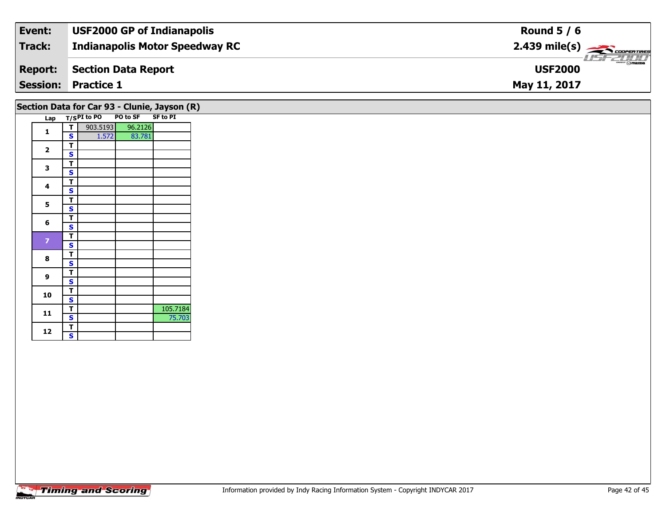| Event:          | <b>USF2000 GP of Indianapolis</b>     | Round $5/6$                                                                                                                                                                                                                                                                                                                                                                                                                                                                                       |
|-----------------|---------------------------------------|---------------------------------------------------------------------------------------------------------------------------------------------------------------------------------------------------------------------------------------------------------------------------------------------------------------------------------------------------------------------------------------------------------------------------------------------------------------------------------------------------|
| Track:          | <b>Indianapolis Motor Speedway RC</b> | $2.439$ mile(s) $\frac{1}{\sqrt{2.600 \text{ cm} \cdot \text{m}}$                                                                                                                                                                                                                                                                                                                                                                                                                                 |
| <b>Report:</b>  | Section Data Report                   | $\overline{\phantom{a}}$ $\overline{\phantom{a}}$ $\overline{\phantom{a}}$ $\overline{\phantom{a}}$ $\overline{\phantom{a}}$ $\overline{\phantom{a}}$ $\overline{\phantom{a}}$ $\overline{\phantom{a}}$ $\overline{\phantom{a}}$ $\overline{\phantom{a}}$ $\overline{\phantom{a}}$ $\overline{\phantom{a}}$ $\overline{\phantom{a}}$ $\overline{\phantom{a}}$ $\overline{\phantom{a}}$ $\overline{\phantom{a}}$ $\overline{\phantom{a}}$ $\overline{\phantom{a}}$ $\overline{\$<br><b>USF2000</b> |
| <b>Session:</b> | <b>Practice 1</b>                     | May 11, 2017                                                                                                                                                                                                                                                                                                                                                                                                                                                                                      |

## **Section Data for Car 93 - Clunie, Jayson (R)**

| Lap            |   | $T/SPI$ to PO | PO to SF | <b>SF to PI</b> |
|----------------|---|---------------|----------|-----------------|
|                | Т | 903.5193      | 96.2126  |                 |
| 1              | S | 1.572         | 83.781   |                 |
|                | т |               |          |                 |
| 2              | S |               |          |                 |
| 3              | T |               |          |                 |
|                | S |               |          |                 |
| 4              | т |               |          |                 |
|                | S |               |          |                 |
| 5              | т |               |          |                 |
|                | S |               |          |                 |
| 6              | т |               |          |                 |
|                | S |               |          |                 |
| $\overline{z}$ | Т |               |          |                 |
|                | S |               |          |                 |
| 8              | Т |               |          |                 |
|                | S |               |          |                 |
| 9              | T |               |          |                 |
|                | S |               |          |                 |
| 10             | T |               |          |                 |
|                | S |               |          |                 |
| 11             | T |               |          | 105.7184        |
|                | S |               |          | 75.703          |
| 12             | T |               |          |                 |
|                | S |               |          |                 |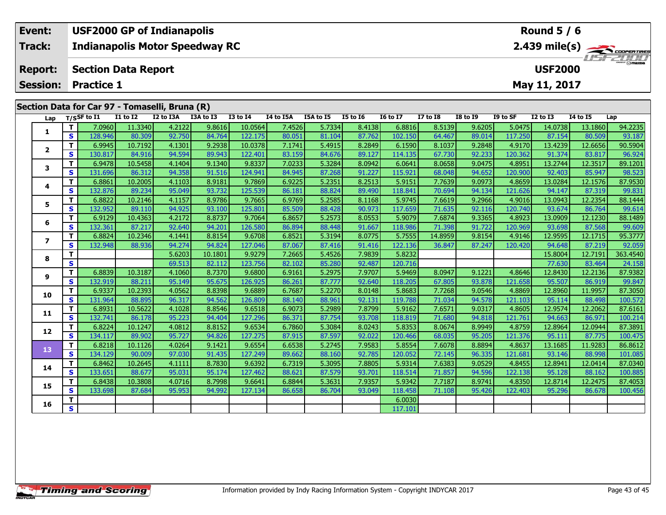| Event:                                         |                            |          | <b>USF2000 GP of Indianapolis</b>     |           |              |           |           |          |                 |                 |                 |          | Round $5/6$     |                 |                                                       |
|------------------------------------------------|----------------------------|----------|---------------------------------------|-----------|--------------|-----------|-----------|----------|-----------------|-----------------|-----------------|----------|-----------------|-----------------|-------------------------------------------------------|
| Track:                                         |                            |          | <b>Indianapolis Motor Speedway RC</b> |           |              |           |           |          |                 |                 |                 |          |                 |                 | $2.439$ mile(s) $\overbrace{\hspace{2cm}}$ cover TIME |
| <b>Report:</b>                                 | <b>Section Data Report</b> |          |                                       |           |              |           |           |          |                 |                 |                 |          | <b>USF2000</b>  |                 | <b>LISE 2007</b>                                      |
| <b>Session: Practice 1</b>                     |                            |          |                                       |           |              |           |           |          |                 |                 |                 |          | May 11, 2017    |                 |                                                       |
|                                                |                            |          |                                       |           |              |           |           |          |                 |                 |                 |          |                 |                 |                                                       |
| Section Data for Car 97 - Tomaselli, Bruna (R) |                            |          |                                       |           |              |           |           |          |                 |                 |                 |          |                 |                 |                                                       |
| Lap                                            | T/SSF to I1                | I1 to I2 | I2 to I3A                             | I3A to I3 | $I3$ to $I4$ | I4 to I5A | I5A to I5 | I5 to 16 | <b>16 to 17</b> | <b>I7 to I8</b> | <b>I8 to 19</b> | I9 to SF | <b>I2 to I3</b> | <b>I4 to I5</b> | Lap                                                   |

| Lap            |    | T/SSF to 11 | 11 TO 12 | 12 TO 13A | <b>13A TO 13</b> | 13 TO 14 | 14 TO 15A | LA TO 15 | 12 10 10 | 10 TO TV | <b>17 10 18</b> | 19 10 19 | 19 TO SF | 12 TO 13 | 14 IO 15 | Lap      |
|----------------|----|-------------|----------|-----------|------------------|----------|-----------|----------|----------|----------|-----------------|----------|----------|----------|----------|----------|
| 1              | т  | 7.0960      | 11.3340  | 4.2122    | 9.8616           | 10.0564  | 7.4526    | 5.7334   | 8.4138   | 6.8816   | 8.5139          | 9.6205   | 5.0475   | 14.0738  | 13.1860  | 94.2235  |
|                | S  | 128.946     | 80.309   | 92.750    | 84.764           | 122.175  | 80.051    | 81.104   | 87.762   | 102.150  | 64.467          | 89.014   | 117.250  | 87.154   | 80.509   | 93.187   |
|                | T. | 6.9945      | 10.7192  | 4.1301    | 9.2938           | 10.0378  | 7.1741    | 5.4915   | 8.2849   | 6.1590   | 8.1037          | 9.2848   | 4.9170   | 13.4239  | 12.6656  | 90.5904  |
| $\mathbf{2}$   | S  | 130.817     | 84.916   | 94.594    | 89.943           | 122.401  | 83.159    | 84.676   | 89.127   | 114.135  | 67.730          | 92.233   | 120.362  | 91.374   | 83.817   | 96.924   |
| 3              | T. | 6.9478      | 10.5458  | 4.1404    | 9.1340           | 9.8337   | 7.0233    | 5.3284   | 8.0942   | 6.0641   | 8.0658          | 9.0475   | 4.8951   | 13.2744  | 12.3517  | 89.1201  |
|                | S  | 131.696     | 86.312   | 94.358    | 91.516           | 124.941  | 84.945    | 87.268   | 91.227   | 115.921  | 68.048          | 94.652   | 120.900  | 92.403   | 85.947   | 98.523   |
| 4              | т  | 6.8861      | 10.2005  | 4.1103    | 8.9181           | 9.7869   | 6.9225    | 5.2351   | 8.2513   | 5.9151   | 7.7639          | 9.0973   | 4.8659   | 13.0284  | 12.1576  | 87.9530  |
|                | S  | 132.876     | 89.234   | 95.049    | 93.732           | 125.539  | 86.181    | 88.824   | 89.490   | 118.841  | 70.694          | 94.134   | 121.626  | 94.147   | 87.319   | 99.831   |
| 5              | T  | 6.8822      | 10.2146  | 4.1157    | 8.9786           | 9.7665   | 6.9769    | 5.2585   | 8.1168   | 5.9745   | 7.6619          | 9.2966   | 4.9016   | 13.0943  | 12.2354  | 88.1444  |
|                | S  | 132.952     | 89.110   | 94.925    | 93.100           | 125.801  | 85.509    | 88.428   | 90.973   | 117.659  | 71.635          | 92.116   | 120.740  | 93.674   | 86.764   | 99.614   |
| 6              | T. | 6.9129      | 10.4363  | 4.2172    | 8.8737           | 9.7064   | 6.8657    | 5.2573   | 8.0553   | 5.9079   | 7.6874          | 9.3365   | 4.8923   | 13.0909  | 12.1230  | 88.1489  |
|                | S  | 132.361     | 87.217   | 92.640    | 94.201           | 126.580  | 86.894    | 88.448   | 91.667   | 118.986  | 71.398          | 91.722   | 120.969  | 93.698   | 87.568   | 99.609   |
| $\overline{ }$ | т  | 6.8824      | 10.2346  | 4.1441    | 8.8154           | 9.6708   | 6.8521    | 5.3194   | 8.0775   | 5.7555   | 14.8959         | 9.8154   | 4.9146   | 12.9595  | 12.1715  | 95.3777  |
|                | S  | 132.948     | 88.936   | 94.274    | 94.824           | 127.046  | 87.067    | 87.416   | 91.416   | 122.136  | 36.847          | 87.247   | 120.420  | 94.648   | 87.219   | 92.059   |
| 8              | т  |             |          | 5.6203    | 10.1801          | 9.9279   | 7.2665    | 5.4526   | 7.9839   | 5.8232   |                 |          |          | 15.8004  | 12.7191  | 363.4540 |
|                | S  |             |          | 69.513    | 82.112           | 123.756  | 82.102    | 85.280   | 92.487   | 120.716  |                 |          |          | 77.630   | 83.464   | 24.158   |
| 9              | T. | 6.8839      | 10.3187  | 4.1060    | 8.7370           | 9.6800   | 6.9161    | 5.2975   | 7.9707   | 5.9469   | 8.0947          | 9.1221   | 4.8646   | 12.8430  | 12.2136  | 87.9382  |
|                | S  | 132.919     | 88.211   | 95.149    | 95.675           | 126.925  | 86.261    | 87.777   | 92.640   | 118.205  | 67.805          | 93.878   | 121.658  | 95.507   | 86.919   | 99.847   |
| 10             | T. | 6.9337      | 10.2393  | 4.0562    | 8.8398           | 9.6889   | 6.7687    | 5.2270   | 8.0148   | 5.8683   | 7.7268          | 9.0546   | 4.8869   | 12.8960  | 11.9957  | 87.3050  |
|                | S  | 131.964     | 88.895   | 96.317    | 94.562           | 126.809  | 88.140    | 88.961   | 92.131   | 119.788  | 71.034          | 94.578   | 121.103  | 95.114   | 88.498   | 100.572  |
| 11             | T. | 6.8931      | 10.5622  | 4.1028    | 8.8546           | 9.6518   | 6.9073    | 5.2989   | 7.8799   | 5.9162   | 7.6571          | 9.0317   | 4.8605   | 12.9574  | 12.2062  | 87.6161  |
|                | S  | 132.741     | 86.178   | 95.223    | 94.404           | 127.296  | 86.371    | 87.754   | 93.708   | 118.819  | 71.680          | 94.818   | 121.761  | 94.663   | 86.971   | 100.214  |
| 12             | T. | 6.8224      | 10.1247  | 4.0812    | 8.8152           | 9.6534   | 6.7860    | 5.3084   | 8.0243   | 5.8353   | 8.0674          | 8.9949   | 4.8759   | 12.8964  | 12.0944  | 87.3891  |
|                | S  | 134.117     | 89.902   | 95.727    | 94.826           | 127.275  | 87.915    | 87.597   | 92.022   | 120.466  | 68.035          | 95.205   | 121.376  | 95.111   | 87.775   | 100.475  |
| 13             | T. | 6.8218      | 10.1126  | 4.0264    | 9.1421           | 9.6554   | 6.6538    | 5.2745   | 7.9583   | 5.8554   | 7.6078          | 8.8894   | 4.8637   | 13.1685  | 11.9283  | 86.8612  |
|                | S  | 134.129     | 90.009   | 97.030    | 91.435           | 127.249  | 89.662    | 88.160   | 92.785   | 120.052  | 72.145          | 96.335   | 121.681  | 93.146   | 88.998   | 101.085  |
| 14             | T. | 6.8462      | 10.2645  | 4.1111    | 8.7830           | 9.6392   | 6.7319    | 5.3095   | 7.8805   | 5.9314   | 7.6383          | 9.0529   | 4.8455   | 12.8941  | 12.0414  | 87.0340  |
|                | S  | 133.651     | 88.677   | 95.031    | 95.174           | 127.462  | 88.621    | 87.579   | 93.701   | 118.514  | 71.857          | 94.596   | 122.138  | 95.128   | 88.162   | 100.885  |
| 15             | T. | 6.8438      | 10.3808  | 4.0716    | 8.7998           | 9.6641   | 6.8844    | 5.3631   | 7.9357   | 5.9342   | 7.7187          | 8.9741   | 4.8350   | 12.8714  | 12.2475  | 87.4053  |
|                | S  | 133.698     | 87.684   | 95.953    | 94.992           | 127.134  | 86.658    | 86.704   | 93.049   | 118.458  | 71.108          | 95.426   | 122.403  | 95.296   | 86.678   | 100.456  |
| 16             | T. |             |          |           |                  |          |           |          |          | 6.0030   |                 |          |          |          |          |          |
|                | S  |             |          |           |                  |          |           |          |          | 117.101  |                 |          |          |          |          |          |
|                |    |             |          |           |                  |          |           |          |          |          |                 |          |          |          |          |          |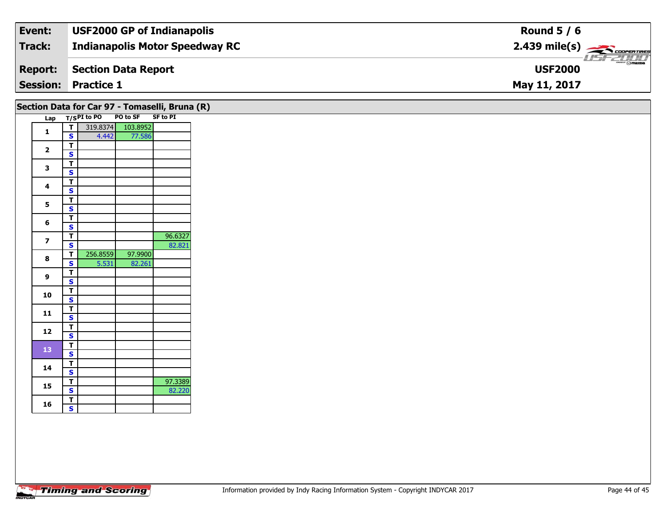| Event:         | <b>USF2000 GP of Indianapolis</b>     | Round $5/6$                                   |
|----------------|---------------------------------------|-----------------------------------------------|
| Track:         | <b>Indianapolis Motor Speedway RC</b> |                                               |
| <b>Report:</b> | Section Data Report                   | $\frac{2}{\sqrt{2}}$ omazoa<br><b>USF2000</b> |
|                | <b>Session: Practice 1</b>            | May 11, 2017                                  |

|                         |                                                    |          | Section Data for Car 97 - Tomaselli, Bruna (R) |         |
|-------------------------|----------------------------------------------------|----------|------------------------------------------------|---------|
|                         |                                                    |          | Lap T/SPI to PO PO to SF SF to PI              |         |
| $\mathbf{1}$            | न।                                                 |          | 319.8374 103.8952                              |         |
|                         | $\mathbf{s}$                                       | 4.442    | 77.586                                         |         |
| $\overline{\mathbf{2}}$ | $\overline{\mathsf{r}}$                            |          |                                                |         |
|                         | $\mathbf{s}$                                       |          |                                                |         |
| $\mathbf{3}$            | $\overline{\mathbf{T}}$<br>$\mathbf{s}$            |          |                                                |         |
|                         | $\overline{\mathsf{r}}$                            |          |                                                |         |
| $\overline{\mathbf{4}}$ | $\mathbf{s}$                                       |          |                                                |         |
|                         | $\overline{\mathsf{r}}$                            |          |                                                |         |
| $5\phantom{.0}$         | $\overline{\mathbf{s}}$                            |          |                                                |         |
|                         |                                                    |          |                                                |         |
| 6                       | $\overline{\mathbf{T}}$<br>$\overline{\mathbf{s}}$ |          |                                                |         |
|                         | $\overline{\mathbf{T}}$                            |          |                                                | 96.6327 |
| $\overline{\mathbf{z}}$ | $\overline{\mathbf{s}}$                            |          |                                                | 82.821  |
|                         | T                                                  | 256.8559 | 97.9900                                        |         |
| 8                       | $\overline{\mathbf{s}}$                            | 5.531    | 82.261                                         |         |
| 9                       | $\overline{1}$                                     |          |                                                |         |
|                         | $\mathbf{s}$                                       |          |                                                |         |
| 10                      | $\overline{1}$                                     |          |                                                |         |
|                         | $\overline{\mathbf{s}}$                            |          |                                                |         |
| 11                      | $rac{1}{s}$                                        |          |                                                |         |
|                         |                                                    |          |                                                |         |
| 12                      | $\overline{\mathsf{r}}$                            |          |                                                |         |
|                         | $\overline{\mathbf{s}}$                            |          |                                                |         |
| 13                      | $\overline{\mathsf{r}}$<br>$\mathbf{s}$            |          |                                                |         |
|                         | $\overline{\mathsf{r}}$                            |          |                                                |         |
| 14                      | $\mathbf{s}$                                       |          |                                                |         |
|                         | $\overline{\mathbf{r}}$                            |          |                                                | 97.3389 |
| 15                      | $\overline{\mathbf{s}}$                            |          |                                                | 82.220  |
|                         | T                                                  |          |                                                |         |
| 16                      | $\mathbf{s}$                                       |          |                                                |         |
|                         |                                                    |          |                                                |         |